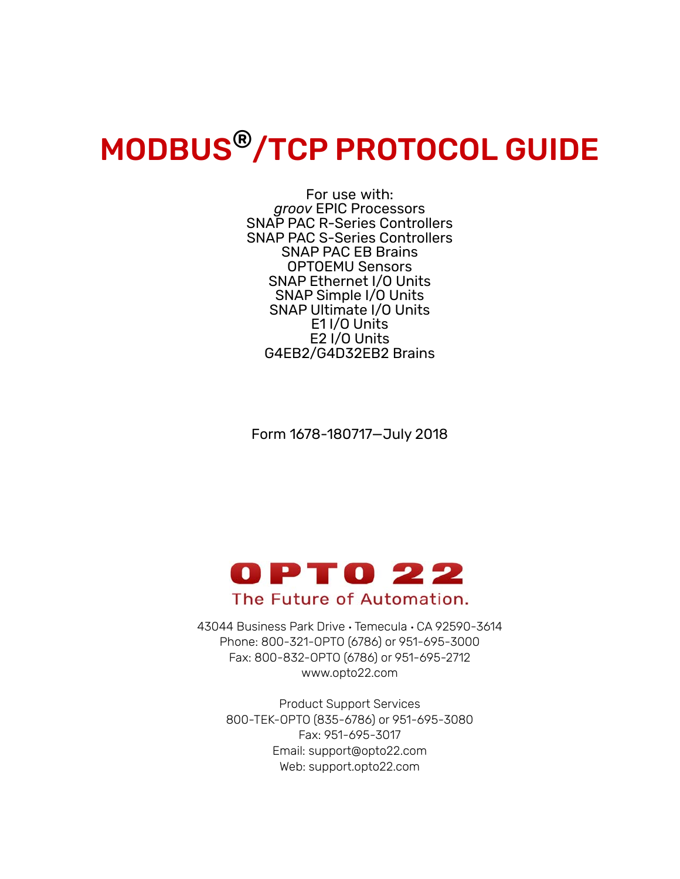# MODBUS®/TCP PROTOCOL GUIDE

For use with: *groov* EPIC Processors SNAP PAC R-Series Controllers SNAP PAC S-Series Controllers SNAP PAC EB Brains OPTOEMU Sensors SNAP Ethernet I/O Units SNAP Simple I/O Units SNAP Ultimate I/O Units E1 I/O Units E2 I/O Units G4EB2/G4D32EB2 Brains

Form 1678-180717—July 2018



43044 Business Park Drive • Temecula • CA 92590-3614 Phone: 800-321-OPTO (6786) or 951-695-3000 Fax: 800-832-OPTO (6786) or 951-695-2712 www.opto22.com

Product Support Services 800-TEK-OPTO (835-6786) or 951-695-3080 Fax: 951-695-3017 Email: support@opto22.com Web: support.opto22.com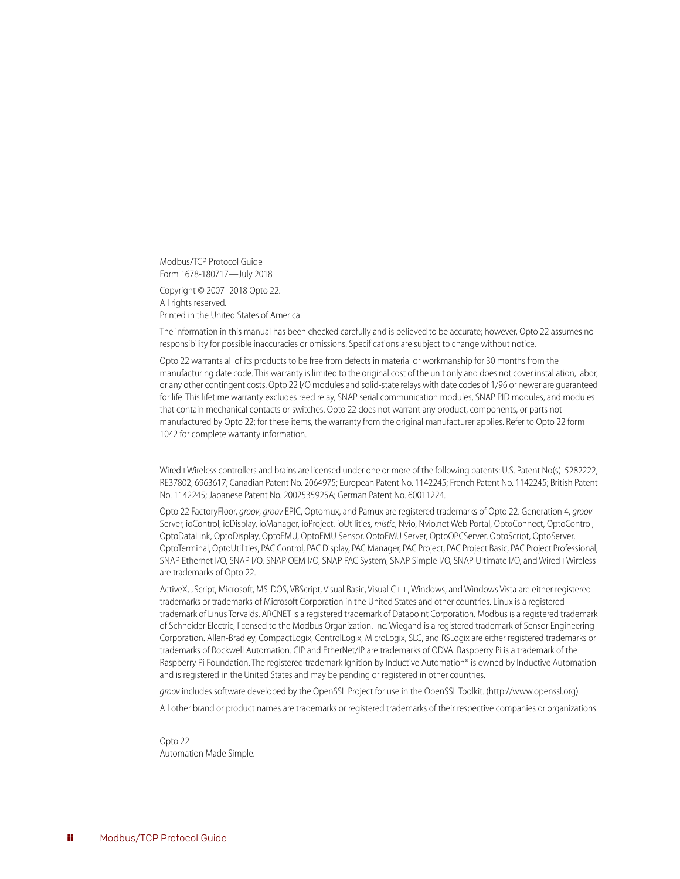Modbus/TCP Protocol Guide Form 1678-180717—July 2018

Copyright © 2007–2018 Opto 22. All rights reserved. Printed in the United States of America.

The information in this manual has been checked carefully and is believed to be accurate; however, Opto 22 assumes no responsibility for possible inaccuracies or omissions. Specifications are subject to change without notice.

Opto 22 warrants all of its products to be free from defects in material or workmanship for 30 months from the manufacturing date code. This warranty is limited to the original cost of the unit only and does not cover installation, labor, or any other contingent costs. Opto 22 I/O modules and solid-state relays with date codes of 1/96 or newer are guaranteed for life. This lifetime warranty excludes reed relay, SNAP serial communication modules, SNAP PID modules, and modules that contain mechanical contacts or switches. Opto 22 does not warrant any product, components, or parts not manufactured by Opto 22; for these items, the warranty from the original manufacturer applies. Refer to Opto 22 form 1042 for complete warranty information.

ActiveX, JScript, Microsoft, MS-DOS, VBScript, Visual Basic, Visual C++, Windows, and Windows Vista are either registered trademarks or trademarks of Microsoft Corporation in the United States and other countries. Linux is a registered trademark of Linus Torvalds. ARCNET is a registered trademark of Datapoint Corporation. Modbus is a registered trademark of Schneider Electric, licensed to the Modbus Organization, Inc. Wiegand is a registered trademark of Sensor Engineering Corporation. Allen-Bradley, CompactLogix, ControlLogix, MicroLogix, SLC, and RSLogix are either registered trademarks or trademarks of Rockwell Automation. CIP and EtherNet/IP are trademarks of ODVA. Raspberry Pi is a trademark of the Raspberry Pi Foundation. The registered trademark Ignition by Inductive Automation® is owned by Inductive Automation and is registered in the United States and may be pending or registered in other countries.

*groov* includes software developed by the OpenSSL Project for use in the OpenSSL Toolkit. (http://www.openssl.org)

All other brand or product names are trademarks or registered trademarks of their respective companies or organizations.

Opto 22 Automation Made Simple.

Wired+Wireless controllers and brains are licensed under one or more of the following patents: U.S. Patent No(s). 5282222, RE37802, 6963617; Canadian Patent No. 2064975; European Patent No. 1142245; French Patent No. 1142245; British Patent No. 1142245; Japanese Patent No. 2002535925A; German Patent No. 60011224.

Opto 22 FactoryFloor, *groov*, *groov* EPIC, Optomux, and Pamux are registered trademarks of Opto 22. Generation 4, *groov* Server, ioControl, ioDisplay, ioManager, ioProject, ioUtilities, *mistic*, Nvio, Nvio.net Web Portal, OptoConnect, OptoControl, OptoDataLink, OptoDisplay, OptoEMU, OptoEMU Sensor, OptoEMU Server, OptoOPCServer, OptoScript, OptoServer, OptoTerminal, OptoUtilities, PAC Control, PAC Display, PAC Manager, PAC Project, PAC Project Basic, PAC Project Professional, SNAP Ethernet I/O, SNAP I/O, SNAP OEM I/O, SNAP PAC System, SNAP Simple I/O, SNAP Ultimate I/O, and Wired+Wireless are trademarks of Opto 22.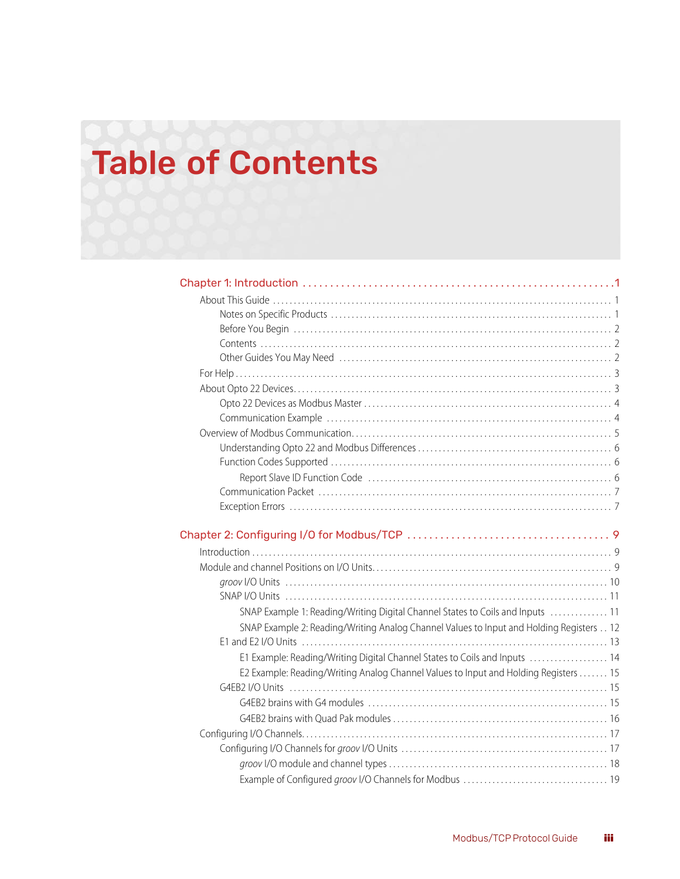# [Table of Contents](#page-4-0)

| $Introduction \dots 39$                                                                 |  |
|-----------------------------------------------------------------------------------------|--|
|                                                                                         |  |
|                                                                                         |  |
|                                                                                         |  |
| SNAP Example 1: Reading/Writing Digital Channel States to Coils and Inputs  11          |  |
| SNAP Example 2: Reading/Writing Analog Channel Values to Input and Holding Registers 12 |  |
|                                                                                         |  |
| E1 Example: Reading/Writing Digital Channel States to Coils and Inputs  14              |  |
| E2 Example: Reading/Writing Analog Channel Values to Input and Holding Registers 15     |  |
|                                                                                         |  |
|                                                                                         |  |
|                                                                                         |  |
|                                                                                         |  |
|                                                                                         |  |
|                                                                                         |  |
|                                                                                         |  |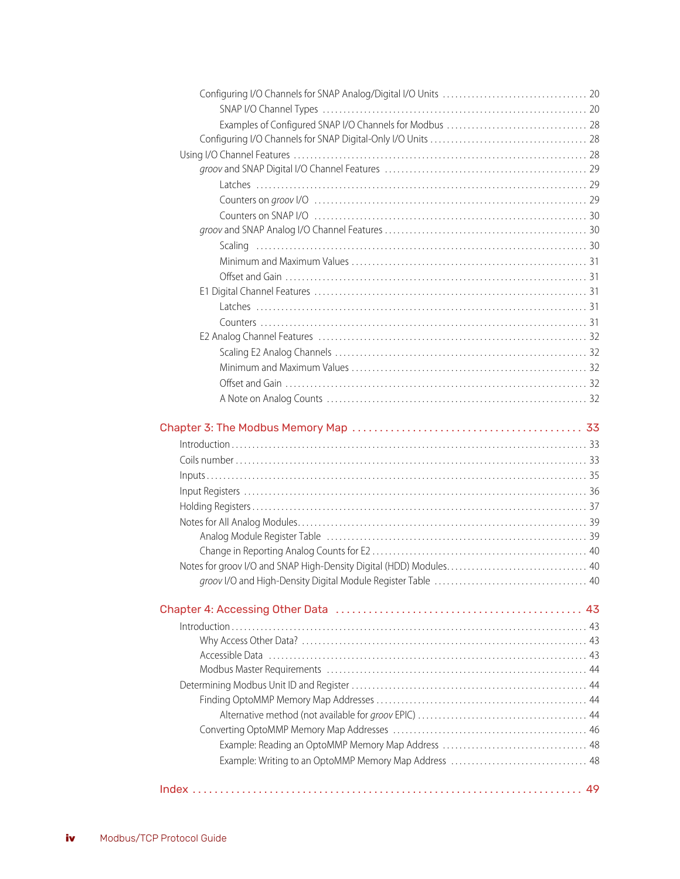| $\blacksquare$ |  |
|----------------|--|
|                |  |
|                |  |
|                |  |
|                |  |
|                |  |
|                |  |
|                |  |
|                |  |
|                |  |
|                |  |
|                |  |
|                |  |
|                |  |
|                |  |
|                |  |
|                |  |
|                |  |
|                |  |
|                |  |
|                |  |
|                |  |
|                |  |
|                |  |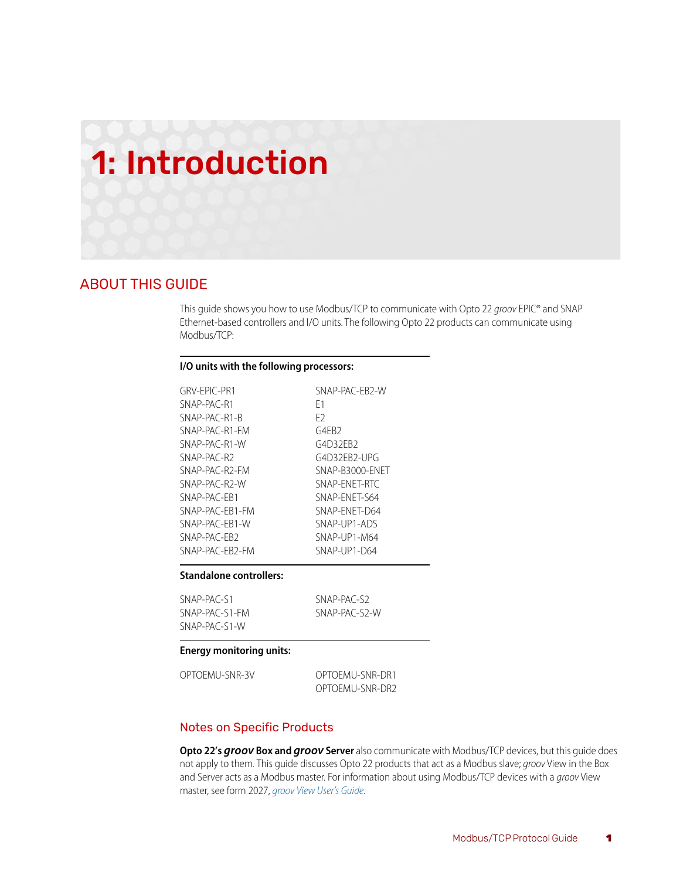# <span id="page-4-4"></span><span id="page-4-0"></span>1: Introduction

# <span id="page-4-1"></span>ABOUT THIS GUIDE

This guide shows you how to use Modbus/TCP to communicate with Opto 22 *groov* EPIC® and SNAP Ethernet-based controllers and I/O units. The following Opto 22 products can communicate using Modbus/TCP:

#### <span id="page-4-3"></span>**I/O units with the following processors:**

| GRV-FPIC-PR1    | SNAP-PAC-EB2-W  |
|-----------------|-----------------|
| SNAP-PAC-R1     | F1              |
| $SNAP-PAC-R1-R$ | F <sub>2</sub>  |
| SNAP-PAC-R1-FM  | G4FB2           |
| SNAP-PAC-R1-W   | G4D32EB2        |
| SNAP-PAC-R2     | G4D32EB2-UPG    |
| SNAP-PAC-R2-FM  | SNAP-B3000-ENET |
| SNAP-PAC-R2-W   | SNAP-FNFT-RTC   |
| SNAP-PAC-FR1    | SNAP-ENET-S64   |
| SNAP-PAC-FR1-FM | SNAP-FNFT-D64   |
| SNAP-PAC-FR1-W  | SNAP-UP1-ADS    |
| SNAP-PAC-FR2    | SNAP-UP1-M64    |
| SNAP-PAC-FR2-FM | SNAP-UP1-D64    |

#### **Standalone controllers:**

| SNAP-PAC-S1    | SNAP-PAC-S2   |
|----------------|---------------|
| SNAP-PAC-S1-FM | SNAP-PAC-S2-W |
| SNAP-PAC-S1-W  |               |

#### **Energy monitoring units:**

| OPTOEMU-SNR-3V | OPTOEMU-SNR-DR1 |
|----------------|-----------------|
|                | OPTOEMU-SNR-DR2 |

#### <span id="page-4-2"></span>Notes on Specific Products

**Opto 22's** *groov* **Box and** *groov* **Server** also communicate with Modbus/TCP devices, but this guide does not apply to them*.* This guide discusses Opto 22 products that act as a Modbus slave; *groov* View in the Box and Server acts as a Modbus master. For information about using Modbus/TCP devices with a *groov* View master, see form 2027, *[groov View User's Guide](http://www.opto22.com/site/documents/doc_drilldown.aspx?aid=4361)*.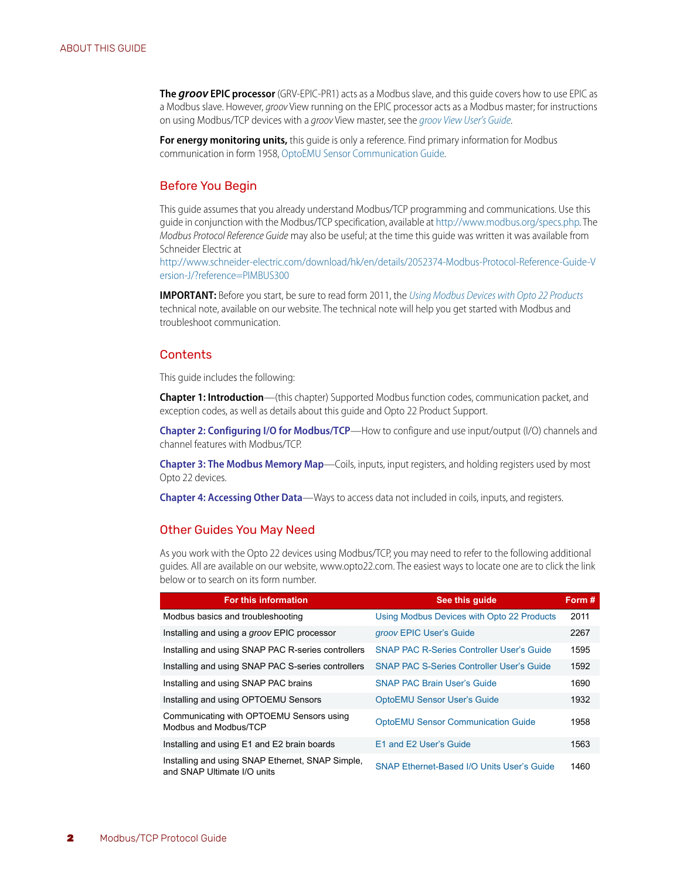**The** *groov* **EPIC processor** (GRV-EPIC-PR1) acts as a Modbus slave, and this guide covers how to use EPIC as a Modbus slave. However, *groov* View running on the EPIC processor acts as a Modbus master; for instructions on using Modbus/TCP devices with a *groov* View master, see the *[groov View User's Guide](http://www.opto22.com/site/documents/doc_drilldown.aspx?aid=4361)*.

**For energy monitoring units,** this guide is only a reference. Find primary information for Modbus communication in form 1958, [OptoEMU Sensor Communication Guide](http://www.opto22.com/site/documents/doc_drilldown.aspx?aid=4128).

#### <span id="page-5-0"></span>Before You Begin

This guide assumes that you already understand Modbus/TCP programming and communications. Use this guide in conjunction with the Modbus/TCP specification, available at [http://www.modbus.org/specs.php.](http://www.modbus.org/specs.php) The *Modbus Protocol Reference Guide* may also be useful; at the time this guide was written it was available from Schneider Electric at

[http://www.schneider-electric.com/download/hk/en/details/2052374-Modbus-Protocol-Reference-Guide-V](http://www.schneider-electric.com/download/hk/en/details/2052374-Modbus-Protocol-Reference-Guide-Version-J/?reference=PIMBUS300) ersion-J/?reference=PIMBUS300

**IMPORTANT:** Before you start, be sure to read form 2011, the *[Using Modbus Devices with Opto 22 Products](http://www.opto22.com/site/documents/doc_drilldown.aspx?aid=4283)* technical note, available on our website. The technical note will help you get started with Modbus and troubleshoot communication.

#### <span id="page-5-1"></span>**Contents**

This guide includes the following:

**[Chapter 1: Introduction](#page-4-0)**—(this chapter) Supported Modbus function codes, communication packet, and exception codes, as well as details about this guide and Opto 22 Product Support.

**[Chapter 2: Configuring I/O for Modbus/TCP](#page-12-3)**—How to configure and use input/output (I/O) channels and channel features with Modbus/TCP.

**[Chapter 3: The Modbus Memory Map](#page-36-3)**—Coils, inputs, input registers, and holding registers used by most Opto 22 devices.

**[Chapter 4: Accessing Other Data](#page-46-4)**—Ways to access data not included in coils, inputs, and registers.

#### <span id="page-5-3"></span><span id="page-5-2"></span>Other Guides You May Need

As you work with the Opto 22 devices using Modbus/TCP, you may need to refer to the following additional guides. All are available on our website, www.opto22.com. The easiest ways to locate one are to click the link below or to search on its form number.

| <b>For this information</b>                                                     | See this quide                                   | Form# |
|---------------------------------------------------------------------------------|--------------------------------------------------|-------|
| Modbus basics and troubleshooting                                               | Using Modbus Devices with Opto 22 Products       | 2011  |
| Installing and using a groov EPIC processor                                     | groov EPIC User's Guide                          | 2267  |
| Installing and using SNAP PAC R-series controllers                              | <b>SNAP PAC R-Series Controller User's Guide</b> | 1595  |
| Installing and using SNAP PAC S-series controllers                              | <b>SNAP PAC S-Series Controller User's Guide</b> | 1592  |
| Installing and using SNAP PAC brains                                            | <b>SNAP PAC Brain User's Guide</b>               | 1690  |
| Installing and using OPTOEMU Sensors                                            | <b>OptoEMU Sensor User's Guide</b>               | 1932  |
| Communicating with OPTOEMU Sensors using<br>Modbus and Modbus/TCP               | <b>OptoEMU Sensor Communication Guide</b>        | 1958  |
| Installing and using E1 and E2 brain boards                                     | E1 and E2 User's Guide                           | 1563  |
| Installing and using SNAP Ethernet, SNAP Simple,<br>and SNAP Ultimate I/O units | SNAP Ethernet-Based I/O Units User's Guide       | 1460  |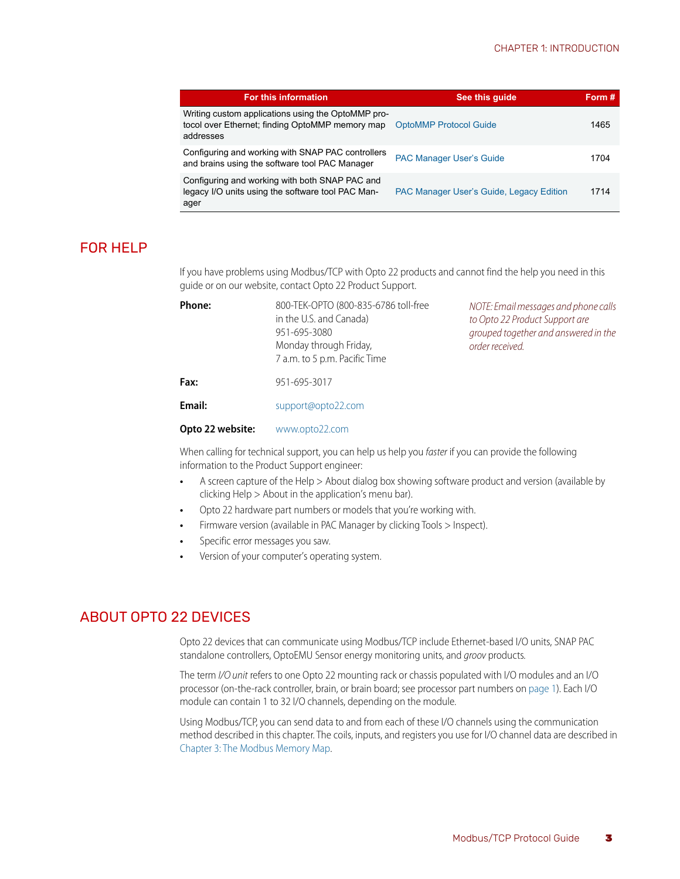| For this information                                                                                               | See this quide                                  | Form # |
|--------------------------------------------------------------------------------------------------------------------|-------------------------------------------------|--------|
| Writing custom applications using the OptoMMP pro-<br>tocol over Ethernet; finding OptoMMP memory map<br>addresses | <b>OptoMMP Protocol Guide</b>                   | 1465   |
| Configuring and working with SNAP PAC controllers<br>and brains using the software tool PAC Manager                | <b>PAC Manager User's Guide</b>                 | 1704   |
| Configuring and working with both SNAP PAC and<br>legacy I/O units using the software tool PAC Man-<br>ager        | <b>PAC Manager User's Guide, Legacy Edition</b> | 1714   |

## <span id="page-6-3"></span><span id="page-6-0"></span>FOR HELP

If you have problems using Modbus/TCP with Opto 22 products and cannot find the help you need in this guide or on our website, contact Opto 22 Product Support.

| <b>Phone:</b> | 800-TEK-OPTO (800-835-6786 toll-free<br>in the U.S. and Canada)<br>951-695-3080<br>Monday through Friday,<br>7 a.m. to 5 p.m. Pacific Time | NOTE: Email messages and phone calls<br>to Opto 22 Product Support are<br>grouped together and answered in the<br>order received. |  |  |
|---------------|--------------------------------------------------------------------------------------------------------------------------------------------|-----------------------------------------------------------------------------------------------------------------------------------|--|--|
| Fax:          | 951-695-3017                                                                                                                               |                                                                                                                                   |  |  |
| Email:        | support@opto22.com                                                                                                                         |                                                                                                                                   |  |  |

#### **Opto 22 website:** [www.opto22.com](https://www.opto22.com)

When calling for technical support, you can help us help you *faster* if you can provide the following information to the Product Support engineer:

- **•** A screen capture of the Help > About dialog box showing software product and version (available by clicking Help > About in the application's menu bar).
- **•** Opto 22 hardware part numbers or models that you're working with.
- **•** Firmware version (available in PAC Manager by clicking Tools > Inspect).
- **•** Specific error messages you saw.
- **•** Version of your computer's operating system.

# <span id="page-6-1"></span>ABOUT OPTO 22 DEVICES

<span id="page-6-2"></span>Opto 22 devices that can communicate using Modbus/TCP include Ethernet-based I/O units, SNAP PAC standalone controllers, OptoEMU Sensor energy monitoring units, and *groov* products*.*

The term *I/O unit* refers to one Opto 22 mounting rack or chassis populated with I/O modules and an I/O processor (on-the-rack controller, brain, or brain board; see processor part numbers on [page 1](#page-4-3)). Each I/O module can contain 1 to 32 I/O channels, depending on the module.

Using Modbus/TCP, you can send data to and from each of these I/O channels using the communication method described in this chapter. The coils, inputs, and registers you use for I/O channel data are described in [Chapter 3: The Modbus Memory Map](#page-36-3).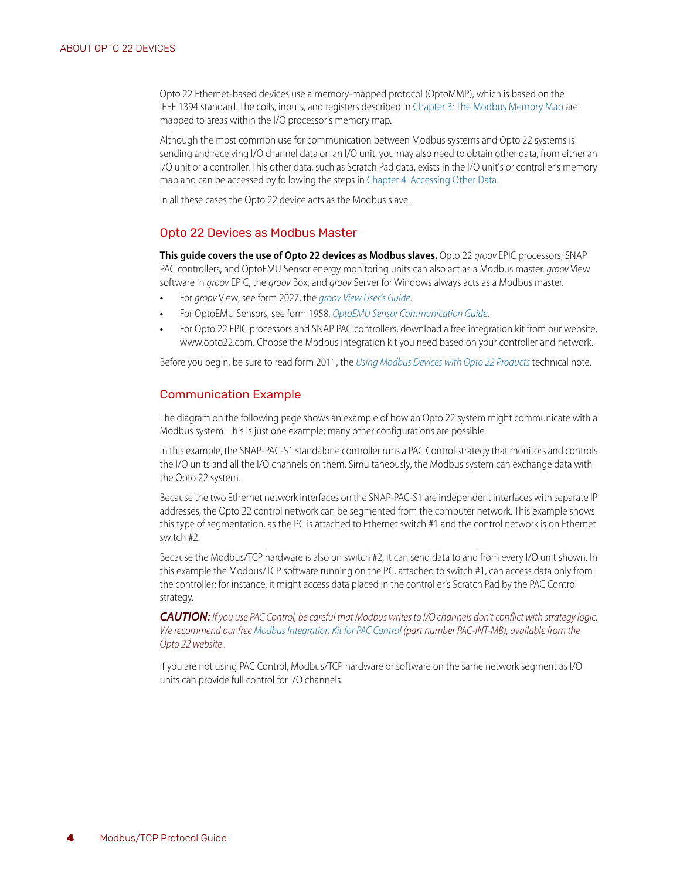<span id="page-7-4"></span>Opto 22 Ethernet-based devices use a memory-mapped protocol (OptoMMP), which is based on the IEEE 1394 standard. The coils, inputs, and registers described in [Chapter 3: The Modbus Memory Map](#page-36-3) are mapped to areas within the I/O processor's memory map.

Although the most common use for communication between Modbus systems and Opto 22 systems is sending and receiving I/O channel data on an I/O unit, you may also need to obtain other data, from either an I/O unit or a controller. This other data, such as Scratch Pad data, exists in the I/O unit's or controller's memory map and can be accessed by following the steps in [Chapter 4: Accessing Other Data](#page-46-4).

In all these cases the Opto 22 device acts as the Modbus slave.

#### <span id="page-7-0"></span>Opto 22 Devices as Modbus Master

**This guide covers the use of Opto 22 devices as Modbus slaves.** Opto 22 *groov* EPIC processors, SNAP PAC controllers, and OptoEMU Sensor energy monitoring units can also act as a Modbus master. *groov* View software in *groov* EPIC, the *groov* Box, and *groov* Server for Windows always acts as a Modbus master.

- **•** For *groov* View, see form 2027, the *[groov View User's Guide](https://www.opto22.com/support/resources-tools/documents/2027-groov-view-users-guide)*.
- **•** For OptoEMU Sensors, see form 1958, *[OptoEMU Sensor Communication Guide](http://www.opto22.com/site/documents/doc_drilldown.aspx?aid=4128)*.
- **•** For Opto 22 EPIC processors and SNAP PAC controllers, download a free integration kit from our website, www.opto22.com. Choose the Modbus integration kit you need based on your controller and network.

Before you begin, be sure to read form 2011, the *[Using Modbus Devices with Opto 22 Products](https://www.opto22.com/support/resources-tools/documents/2011-using-modbus-devices-with-opto-22-products)* technical note.

#### <span id="page-7-1"></span>Communication Example

<span id="page-7-3"></span>The diagram on the following page shows an example of how an Opto 22 system might communicate with a Modbus system. This is just one example; many other configurations are possible.

<span id="page-7-2"></span>In this example, the SNAP-PAC-S1 standalone controller runs a PAC Control strategy that monitors and controls the I/O units and all the I/O channels on them. Simultaneously, the Modbus system can exchange data with the Opto 22 system.

Because the two Ethernet network interfaces on the SNAP-PAC-S1 are independent interfaces with separate IP addresses, the Opto 22 control network can be segmented from the computer network. This example shows this type of segmentation, as the PC is attached to Ethernet switch #1 and the control network is on Ethernet switch #2.

Because the Modbus/TCP hardware is also on switch #2, it can send data to and from every I/O unit shown. In this example the Modbus/TCP software running on the PC, attached to switch #1, can access data only from the controller; for instance, it might access data placed in the controller's Scratch Pad by the PAC Control strategy.

*CAUTION: If you use PAC Control, be careful that Modbus writes to I/O channels don't conflict with strategy logic. We recommend our free [Modbus Integration Kit for PAC Control](https://www.opto22.com/products/pac-int-mb) (part number PAC-INT-MB), available from the Opto 22 website .*

If you are not using PAC Control, Modbus/TCP hardware or software on the same network segment as I/O units can provide full control for I/O channels.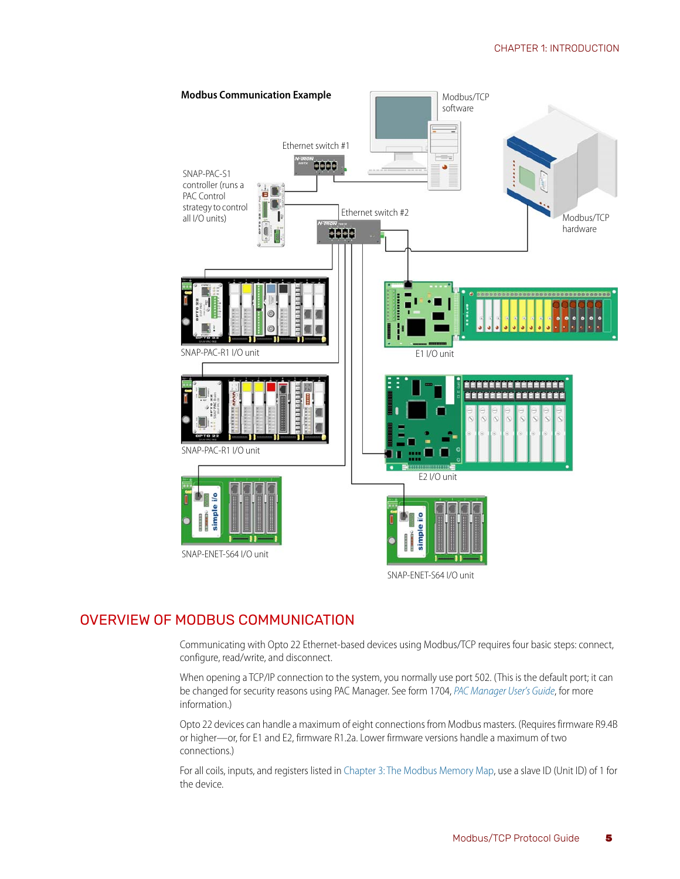

# <span id="page-8-0"></span>OVERVIEW OF MODBUS COMMUNICATION

<span id="page-8-1"></span>Communicating with Opto 22 Ethernet-based devices using Modbus/TCP requires four basic steps: connect, configure, read/write, and disconnect.

When opening a TCP/IP connection to the system, you normally use port 502. (This is the default port; it can be changed for security reasons using PAC Manager. See form 1704, *[PAC Manager User's Guide](https://www.opto22.com/support/resources-tools/documents/1704-pac-manager-users-guide)*, for more information.)

Opto 22 devices can handle a maximum of eight connections from Modbus masters. (Requires firmware R9.4B or higher—or, for E1 and E2, firmware R1.2a. Lower firmware versions handle a maximum of two connections.)

For all coils, inputs, and registers listed in [Chapter 3: The Modbus Memory Map,](#page-36-3) use a slave ID (Unit ID) of 1 for the device.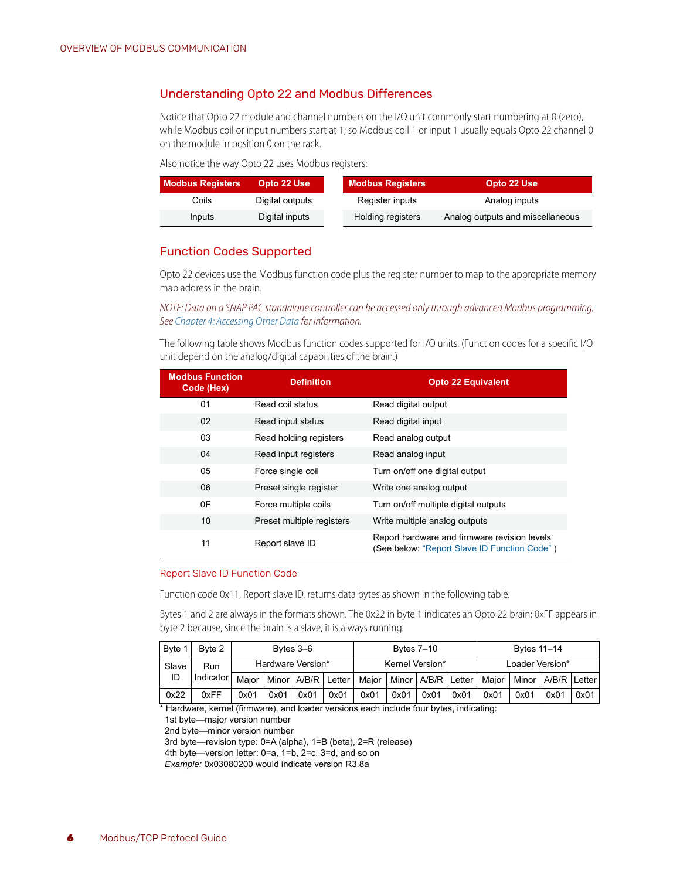#### <span id="page-9-0"></span>Understanding Opto 22 and Modbus Differences

Notice that Opto 22 module and channel numbers on the I/O unit commonly start numbering at 0 (zero), while Modbus coil or input numbers start at 1; so Modbus coil 1 or input 1 usually equals Opto 22 channel 0 on the module in position 0 on the rack.

Also notice the way Opto 22 uses Modbus registers:

| <b>Modbus Registers</b> | Opto 22 Use     | <b>Modbus Registers</b> | Opto 22 Use                      |
|-------------------------|-----------------|-------------------------|----------------------------------|
| Coils                   | Digital outputs | Register inputs         | Analog inputs                    |
| Inputs                  | Digital inputs  | Holding registers       | Analog outputs and miscellaneous |

#### <span id="page-9-3"></span><span id="page-9-1"></span>Function Codes Supported

Opto 22 devices use the Modbus function code plus the register number to map to the appropriate memory map address in the brain.

*NOTE: Data on a SNAP PAC standalone controller can be accessed only through advanced Modbus programming. See [Chapter 4: Accessing Other Data](#page-46-4) for information.*

The following table shows Modbus function codes supported for I/O units. (Function codes for a specific I/O unit depend on the analog/digital capabilities of the brain.)

| <b>Modbus Function</b><br>Code (Hex) | <b>Definition</b>         | <b>Opto 22 Equivalent</b>                                                                    |
|--------------------------------------|---------------------------|----------------------------------------------------------------------------------------------|
| 01                                   | Read coil status          | Read digital output                                                                          |
| 02                                   | Read input status         | Read digital input                                                                           |
| 03                                   | Read holding registers    | Read analog output                                                                           |
| 04                                   | Read input registers      | Read analog input                                                                            |
| 05                                   | Force single coil         | Turn on/off one digital output                                                               |
| 06                                   | Preset single register    | Write one analog output                                                                      |
| 0F                                   | Force multiple coils      | Turn on/off multiple digital outputs                                                         |
| 10                                   | Preset multiple registers | Write multiple analog outputs                                                                |
| 11                                   | Report slave ID           | Report hardware and firmware revision levels<br>(See below: "Report Slave ID Function Code") |

#### <span id="page-9-4"></span><span id="page-9-2"></span>Report Slave ID Function Code

Function code 0x11, Report slave ID, returns data bytes as shown in the following table.

Bytes 1 and 2 are always in the formats shown. The 0x22 in byte 1 indicates an Opto 22 brain; 0xFF appears in byte 2 because, since the brain is a slave, it is always running.

| Byte 1 | Byte 2                 | Bytes 3–6         |      |      |      | <b>Bytes 7–10</b>                                       |      |      |      | Bytes 11-14                    |                 |      |      |
|--------|------------------------|-------------------|------|------|------|---------------------------------------------------------|------|------|------|--------------------------------|-----------------|------|------|
| Slave  | Run                    | Hardware Version* |      |      |      | Kernel Version*                                         |      |      |      |                                | Loader Version* |      |      |
| ID     | Indicator <sup>1</sup> | Maior             |      |      |      | Minor   A/B/R   Letter   Maior   Minor   A/B/R   Letter |      |      |      | Maior   Minor   A/B/R   Letter |                 |      |      |
| 0x22   | 0xFF                   | 0x01              | 0x01 | 0x01 | 0x01 | 0x01                                                    | 0x01 | 0x01 | 0x01 | 0x01                           | 0x01            | 0x01 | 0x01 |

\* Hardware, kernel (firmware), and loader versions each include four bytes, indicating:

1st byte—major version number

2nd byte—minor version number

3rd byte—revision type: 0=A (alpha), 1=B (beta), 2=R (release)

4th byte—version letter: 0=a, 1=b, 2=c, 3=d, and so on

*Example:* 0x03080200 would indicate version R3.8a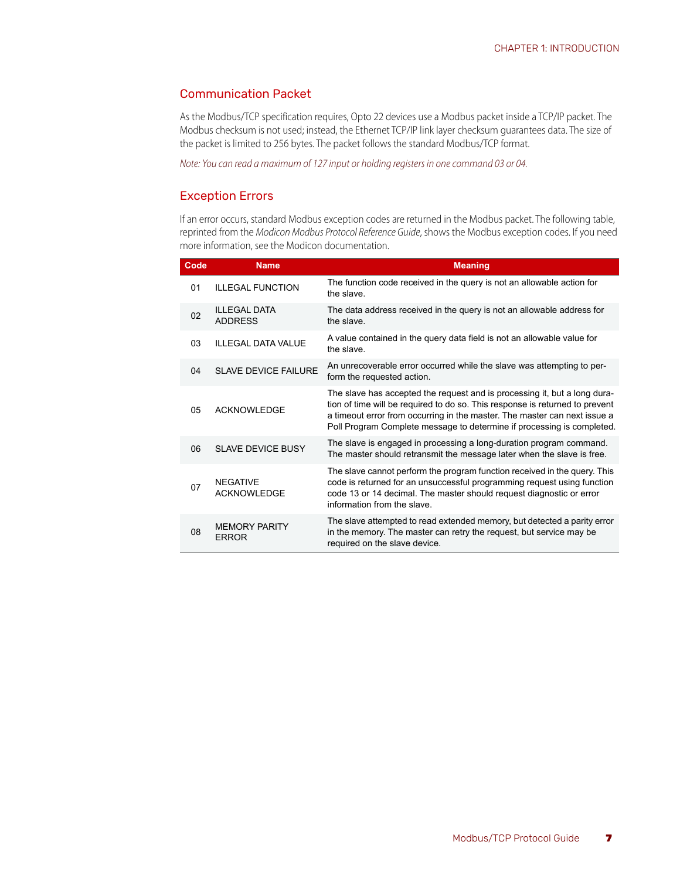#### <span id="page-10-2"></span><span id="page-10-0"></span>Communication Packet

As the Modbus/TCP specification requires, Opto 22 devices use a Modbus packet inside a TCP/IP packet. The Modbus checksum is not used; instead, the Ethernet TCP/IP link layer checksum guarantees data. The size of the packet is limited to 256 bytes. The packet follows the standard Modbus/TCP format.

*Note: You can read a maximum of 127 input or holding registers in one command 03 or 04.* 

#### <span id="page-10-3"></span><span id="page-10-1"></span>Exception Errors

If an error occurs, standard Modbus exception codes are returned in the Modbus packet. The following table, reprinted from the *Modicon Modbus Protocol Reference Guide*, shows the Modbus exception codes. If you need more information, see the Modicon documentation.

| Code | <b>Name</b>                           | <b>Meaning</b>                                                                                                                                                                                                                                                                                                   |
|------|---------------------------------------|------------------------------------------------------------------------------------------------------------------------------------------------------------------------------------------------------------------------------------------------------------------------------------------------------------------|
| 01   | <b>ILLEGAL FUNCTION</b>               | The function code received in the query is not an allowable action for<br>the slave                                                                                                                                                                                                                              |
| 02   | <b>ILLEGAL DATA</b><br><b>ADDRESS</b> | The data address received in the query is not an allowable address for<br>the slave                                                                                                                                                                                                                              |
| 03   | <b>ILLEGAL DATA VALUE</b>             | A value contained in the query data field is not an allowable value for<br>the slave                                                                                                                                                                                                                             |
| 04   | <b>SLAVE DEVICE FAILURE</b>           | An unrecoverable error occurred while the slave was attempting to per-<br>form the requested action.                                                                                                                                                                                                             |
| 05   | <b>ACKNOWLEDGE</b>                    | The slave has accepted the request and is processing it, but a long dura-<br>tion of time will be required to do so. This response is returned to prevent<br>a timeout error from occurring in the master. The master can next issue a<br>Poll Program Complete message to determine if processing is completed. |
| 06   | SLAVE DEVICE BUSY                     | The slave is engaged in processing a long-duration program command.<br>The master should retransmit the message later when the slave is free.                                                                                                                                                                    |
| 07   | <b>NFGATIVE</b><br><b>ACKNOWLEDGE</b> | The slave cannot perform the program function received in the query. This<br>code is returned for an unsuccessful programming request using function<br>code 13 or 14 decimal. The master should request diagnostic or error<br>information from the slave                                                       |
| 08   | <b>MEMORY PARITY</b><br><b>ERROR</b>  | The slave attempted to read extended memory, but detected a parity error<br>in the memory. The master can retry the request, but service may be<br>required on the slave device.                                                                                                                                 |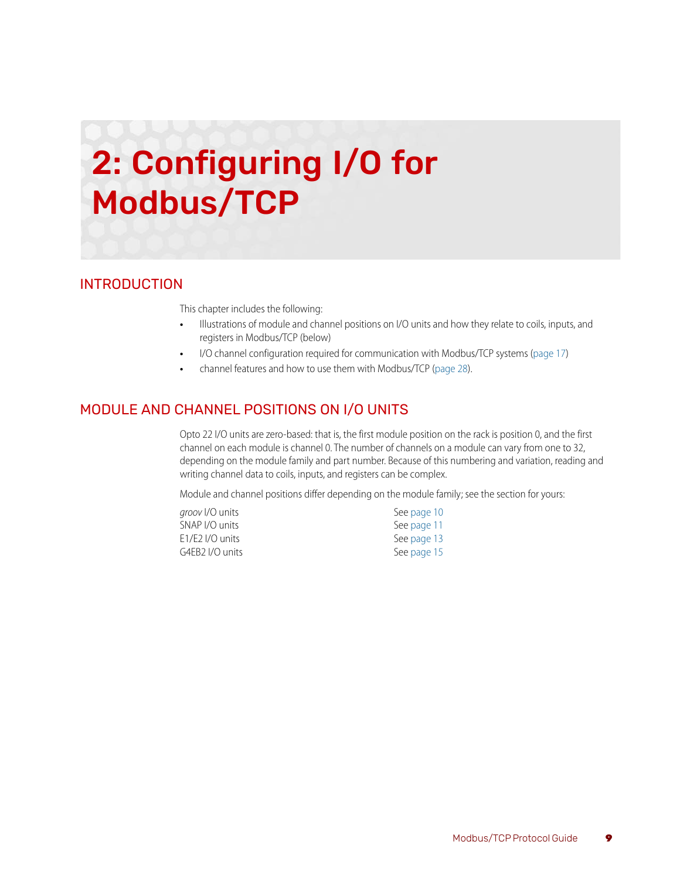# <span id="page-12-3"></span><span id="page-12-0"></span>2: Configuring I/O for Modbus/TCP

# <span id="page-12-1"></span>INTRODUCTION

This chapter includes the following:

- **•** Illustrations of module and channel positions on I/O units and how they relate to coils, inputs, and registers in Modbus/TCP (below)
- **•** I/O channel configuration required for communication with Modbus/TCP systems [\(page 17\)](#page-20-0)
- **•** channel features and how to use them with Modbus/TCP ([page 28](#page-31-2)).

# <span id="page-12-2"></span>MODULE AND CHANNEL POSITIONS ON I/O UNITS

Opto 22 I/O units are zero-based: that is, the first module position on the rack is position 0, and the first channel on each module is channel 0. The number of channels on a module can vary from one to 32, depending on the module family and part number. Because of this numbering and variation, reading and writing channel data to coils, inputs, and registers can be complex.

Module and channel positions differ depending on the module family; see the section for yours:

| <i>groov I/</i> O units | See page 10 |
|-------------------------|-------------|
| SNAP I/O units          | See page 11 |
| E1/E2 I/O units         | See page 13 |
| G4EB2 I/O units         | See page 15 |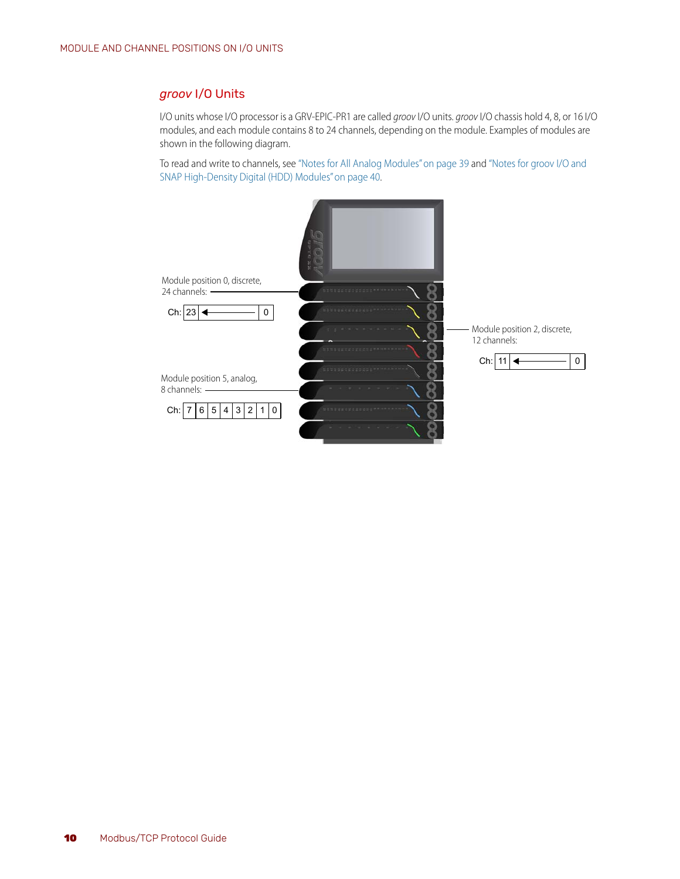#### <span id="page-13-1"></span><span id="page-13-0"></span>*groov* I/O Units

I/O units whose I/O processor is a GRV-EPIC-PR1 are called *groov* I/O units. *groov* I/O chassis hold 4, 8, or 16 I/O modules, and each module contains 8 to 24 channels, depending on the module. Examples of modules are shown in the following diagram.

To read and write to channels, see ["Notes for All Analog Modules" on page 39](#page-42-2) and ["Notes for groov I/O and](#page-43-3)  [SNAP High-Density Digital \(HDD\) Modules" on page 40](#page-43-3).

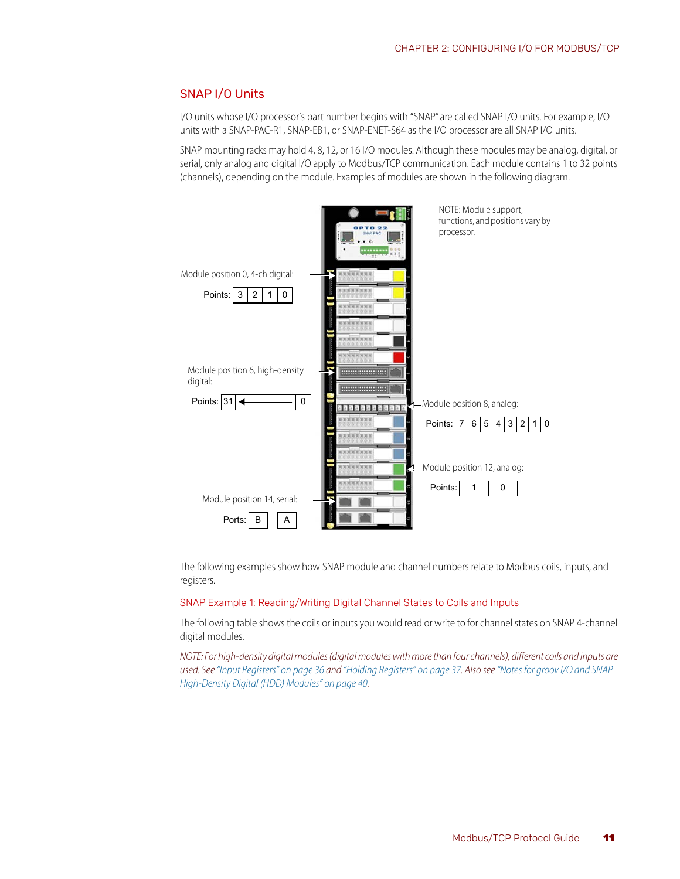#### <span id="page-14-3"></span><span id="page-14-0"></span>SNAP I/O Units

I/O units whose I/O processor's part number begins with "SNAP" are called SNAP I/O units. For example, I/O units with a SNAP-PAC-R1, SNAP-EB1, or SNAP-ENET-S64 as the I/O processor are all SNAP I/O units.

SNAP mounting racks may hold 4, 8, 12, or 16 I/O modules. Although these modules may be analog, digital, or serial, only analog and digital I/O apply to Modbus/TCP communication. Each module contains 1 to 32 points (channels), depending on the module. Examples of modules are shown in the following diagram.



The following examples show how SNAP module and channel numbers relate to Modbus coils, inputs, and registers.

<span id="page-14-2"></span><span id="page-14-1"></span>SNAP Example 1: Reading/Writing Digital Channel States to Coils and Inputs

The following table shows the coils or inputs you would read or write to for channel states on SNAP 4-channel digital modules.

*NOTE: For high-density digital modules (digital modules with more than four channels), different coils and inputs are used. See ["Input Registers" on page 36](#page-39-1) and ["Holding Registers" on page 37](#page-40-1). Also see ["Notes for groov I/O and SNAP](#page-43-3)  [High-Density Digital \(HDD\) Modules" on page 40](#page-43-3).*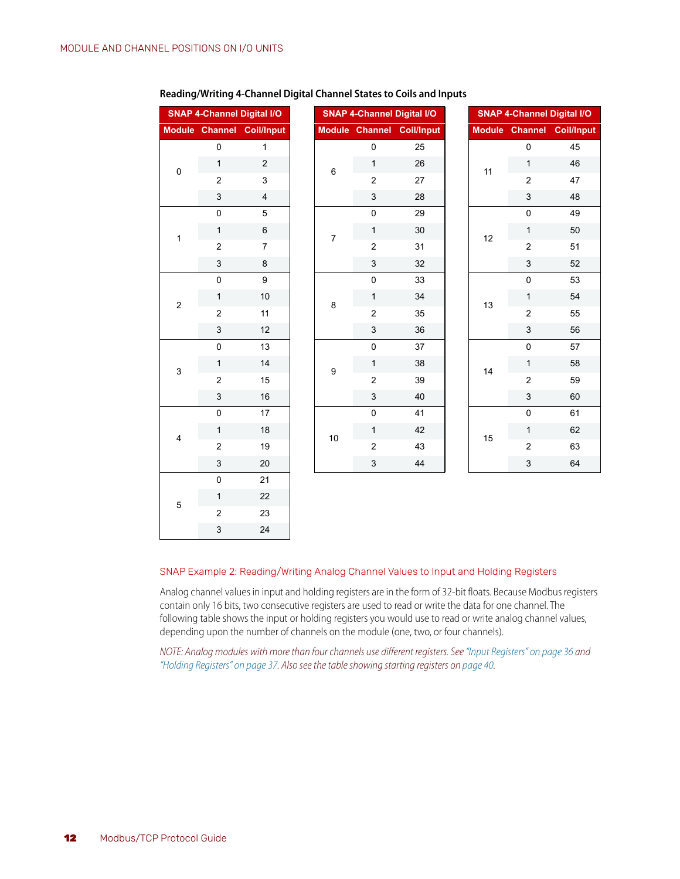<span id="page-15-1"></span>3 24

|                           | <b>SNAP 4-Channel Digital I/O</b> |                           |
|---------------------------|-----------------------------------|---------------------------|
|                           |                                   | Module Channel Coil/Input |
|                           | $\mathbf 0$                       | 1                         |
| $\pmb{0}$                 | $\mathbf{1}$                      | $\sqrt{2}$                |
|                           | $\overline{2}$                    | 3                         |
|                           | $\ensuremath{\mathsf{3}}$         | $\overline{\mathbf{4}}$   |
|                           | $\pmb{0}$                         | $\sqrt{5}$                |
| $\mathbf{1}$              | $\mathbf{1}$                      | $\,6$                     |
|                           | $\overline{2}$                    | $\boldsymbol{7}$          |
|                           | $\ensuremath{\mathsf{3}}$         | 8                         |
|                           | $\pmb{0}$                         | $\boldsymbol{9}$          |
| $\boldsymbol{2}$          | 1                                 | 10                        |
|                           | $\overline{2}$                    | 11                        |
|                           | $\ensuremath{\mathsf{3}}$         | 12                        |
|                           | $\pmb{0}$                         | 13                        |
| $\ensuremath{\mathsf{3}}$ | 1                                 | 14                        |
|                           | $\overline{2}$                    | 15                        |
|                           | $\ensuremath{\mathsf{3}}$         | 16                        |
|                           | $\pmb{0}$                         | 17                        |
| $\overline{\mathbf{4}}$   | 1                                 | 18                        |
|                           | $\overline{2}$                    | 19                        |
|                           | $\ensuremath{\mathsf{3}}$         | 20                        |
|                           | $\mathbf 0$                       | 21                        |
| $\mathbf 5$               | 1                                 | 22                        |
|                           | $\overline{c}$                    | 23                        |

#### **Reading/Writing 4-Channel Digital Channel States to Coils and Inputs**

#### <span id="page-15-0"></span>SNAP Example 2: Reading/Writing Analog Channel Values to Input and Holding Registers

Analog channel values in input and holding registers are in the form of 32-bit floats. Because Modbus registers contain only 16 bits, two consecutive registers are used to read or write the data for one channel. The following table shows the input or holding registers you would use to read or write analog channel values, depending upon the number of channels on the module (one, two, or four channels).

*NOTE: Analog modules with more than four channels use different registers. See ["Input Registers" on page 36](#page-39-1) and*  ["Holding Registers" on page 37.](#page-40-1) Also see the table showing starting registers on [page 40.](#page-43-4)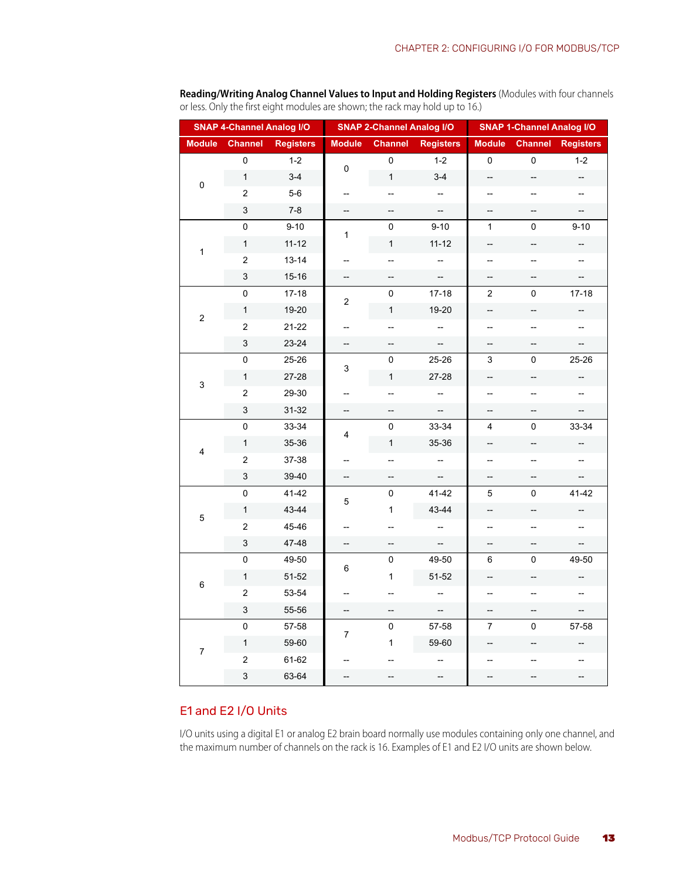|               | <b>SNAP 4-Channel Analog I/O</b> |                  |               | <b>SNAP 2-Channel Analog I/O</b> |                          | <b>SNAP 1-Channel Analog I/O</b> |                          |                  |
|---------------|----------------------------------|------------------|---------------|----------------------------------|--------------------------|----------------------------------|--------------------------|------------------|
| <b>Module</b> | <b>Channel</b>                   | <b>Registers</b> | <b>Module</b> | <b>Channel</b>                   | <b>Registers</b>         | <b>Module</b>                    | <b>Channel</b>           | <b>Registers</b> |
| $\mathbf 0$   | 0                                | $1 - 2$          | 0             | 0                                | $1 - 2$                  | $\mathbf 0$                      | $\pmb{0}$                | $1 - 2$          |
|               | $\mathbf{1}$                     | $3 - 4$          |               | $\mathbf{1}$                     | $3 - 4$                  | --                               | --                       | --               |
|               | $\boldsymbol{2}$                 | $5-6$            | --            | --                               | --                       | $\qquad \qquad -$                | $\qquad \qquad -$        | --               |
|               | 3                                | $7 - 8$          | --            | --                               | --                       | --                               | --                       | --               |
|               | 0                                | $9 - 10$         | 1             | 0                                | $9 - 10$                 | $\mathbf{1}$                     | 0                        | $9 - 10$         |
| $\mathbf{1}$  | $\mathbf{1}$                     | $11 - 12$        |               | $\mathbf 1$                      | $11 - 12$                | ÷                                | --                       | --               |
|               | $\boldsymbol{2}$                 | $13 - 14$        | --            | --                               | --                       | --                               | --                       | --               |
|               | 3                                | $15 - 16$        | --            | --                               |                          | --                               | --                       |                  |
|               | 0                                | $17 - 18$        | 2             | 0                                | $17 - 18$                | $\overline{2}$                   | 0                        | $17 - 18$        |
| $\mathbf 2$   | $\mathbf{1}$                     | 19-20            |               | $\mathbf{1}$                     | 19-20                    | --                               | --                       | --               |
|               | $\overline{c}$                   | $21 - 22$        | --            | --                               | --                       | --                               | --                       | --               |
|               | 3                                | 23-24            | --            | --                               | Щ,                       | --                               | --                       | --               |
|               | 0                                | 25-26            | 3             | 0                                | 25-26                    | 3                                | 0                        | 25-26            |
| 3             | $\mathbf{1}$                     | 27-28            |               | $\mathbf{1}$                     | 27-28                    | −−                               |                          |                  |
|               | 2                                | 29-30            | --            | --                               | --                       | --                               | $\overline{\phantom{a}}$ | --               |
|               | 3                                | 31-32            | --            | --                               |                          | --                               | --                       |                  |
|               | $\mathsf 0$                      | 33-34            | 4             | 0                                | 33-34                    | 4                                | 0                        | 33-34            |
| 4             | $\mathbf{1}$                     | 35-36            |               | $\mathbf{1}$                     | 35-36                    | --                               | --                       |                  |
|               | 2                                | 37-38            | --            | --                               | $\overline{\phantom{a}}$ | --                               | --                       |                  |
|               | $\ensuremath{\mathsf{3}}$        | 39-40            | --            | --                               | --                       | --                               | --                       |                  |
|               | 0                                | 41-42            | 5             | 0                                | 41-42                    | 5                                | 0                        | 41-42            |
| 5             | $\mathbf{1}$                     | 43-44            |               | 1                                | 43-44                    | --                               | --                       | --               |
|               | $\overline{c}$                   | 45-46            | --            | --                               | --                       | --                               | $\overline{a}$           | --               |
|               | 3                                | 47-48            | --            | --                               |                          | --                               | --                       |                  |
|               | 0                                | 49-50            | 6             | 0                                | 49-50                    | 6                                | 0                        | 49-50            |
| 6             | $\mathbf{1}$                     | 51-52            |               | 1                                | 51-52                    | --                               | --                       | --               |
|               | $\boldsymbol{2}$                 | 53-54            | --            | --                               | --                       | $\overline{a}$                   | $\overline{\phantom{a}}$ | --               |
|               | $\ensuremath{\mathsf{3}}$        | 55-56            | --            | --                               | $\overline{\phantom{a}}$ | --                               | $\overline{a}$           | --               |
|               | 0                                | 57-58            | 7             | 0                                | 57-58                    | $\overline{7}$                   | 0                        | 57-58            |
| 7             | $\mathbf{1}$                     | 59-60            |               | 1                                | 59-60                    |                                  |                          |                  |
|               | $\boldsymbol{2}$                 | 61-62            | --            |                                  | $\qquad \qquad -$        | --                               | $\qquad \qquad -$        | --               |
|               | 3                                | 63-64            | --            |                                  | --                       | --                               |                          |                  |

**Reading/Writing Analog Channel Values to Input and Holding Registers** (Modules with four channels or less. Only the first eight modules are shown; the rack may hold up to 16.)

#### <span id="page-16-1"></span><span id="page-16-0"></span>E1 and E2 I/O Units

I/O units using a digital E1 or analog E2 brain board normally use modules containing only one channel, and the maximum number of channels on the rack is 16. Examples of E1 and E2 I/O units are shown below.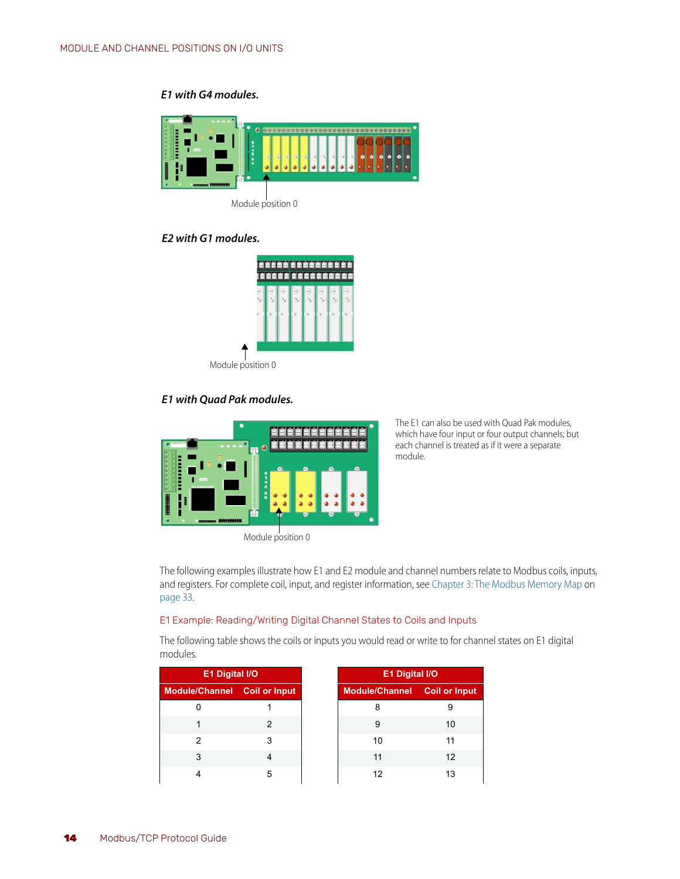#### *E1 with G4 modules.*



#### *E2 with G1 modules.*



#### *E1 with Quad Pak modules.*



Module position 0

<span id="page-17-2"></span>The E1 can also be used with Quad Pak modules, which have four input or four output channels; but each channel is treated as if it were a separate module.

The following examples illustrate how E1 and E2 module and channel numbers relate to Modbus coils, inputs, and registers. For complete coil, input, and register information, see [Chapter 3: The Modbus Memory Map](#page-36-3) on [page 33](#page-36-3).

#### <span id="page-17-1"></span><span id="page-17-0"></span>E1 Example: Reading/Writing Digital Channel States to Coils and Inputs

The following table shows the coils or inputs you would read or write to for channel states on E1 digital modules.

| E1 Digital I/O |                              |  |
|----------------|------------------------------|--|
|                | Module/Channel Coil or Input |  |
|                |                              |  |
|                |                              |  |
|                |                              |  |
| 3              |                              |  |
|                | 5                            |  |

| E1 Digital I/O |                       |  | <b>E1 Digital I/O</b>               |    |
|----------------|-----------------------|--|-------------------------------------|----|
|                | Channel Coil or Input |  | <b>Module/Channel</b> Coil or Input |    |
| 0              |                       |  |                                     |    |
| 1              |                       |  | 9                                   | 10 |
| 2              | 3                     |  | 10                                  | 11 |
| 3              |                       |  | 11                                  | 12 |
| 4              | 5                     |  | 12                                  | 13 |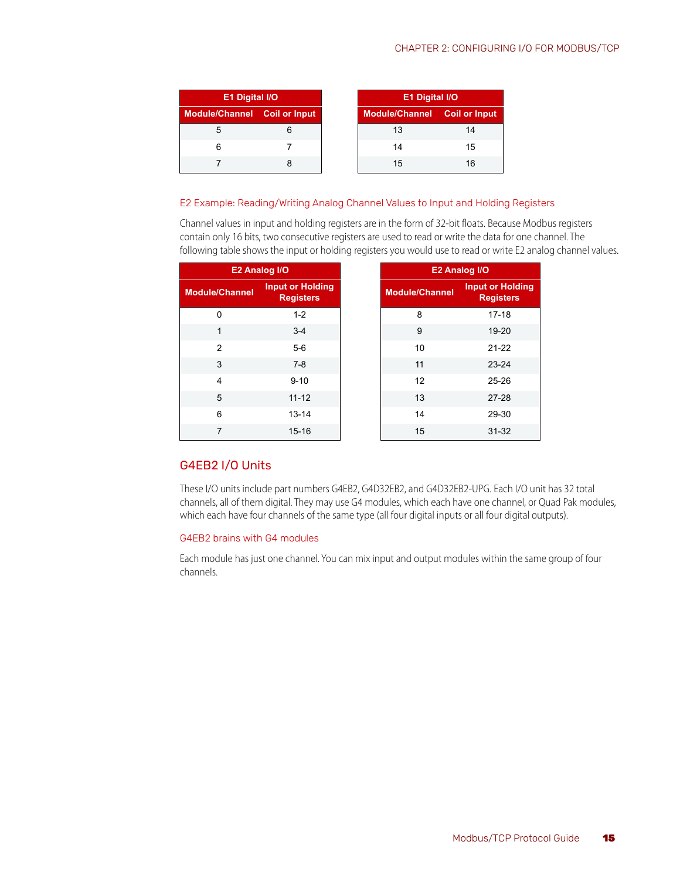#### CHAPTER 2: CONFIGURING I/O FOR MODBUS/TCP

| E1 Digital I/O               |  |  |
|------------------------------|--|--|
| Module/Channel Coil or Input |  |  |
|                              |  |  |
|                              |  |  |
|                              |  |  |

#### <span id="page-18-3"></span><span id="page-18-0"></span>E2 Example: Reading/Writing Analog Channel Values to Input and Holding Registers

Channel values in input and holding registers are in the form of 32-bit floats. Because Modbus registers contain only 16 bits, two consecutive registers are used to read or write the data for one channel. The following table shows the input or holding registers you would use to read or write E2 analog channel values.

| E2 Analog I/O                                                        |           |                       | E2 Analog I/O                               |
|----------------------------------------------------------------------|-----------|-----------------------|---------------------------------------------|
| <b>Input or Holding</b><br><b>Module/Channel</b><br><b>Registers</b> |           | <b>Module/Channel</b> | <b>Input or Holding</b><br><b>Registers</b> |
| $\Omega$                                                             | $1 - 2$   | 8                     | $17 - 18$                                   |
| $\mathbf 1$                                                          | $3 - 4$   | 9                     | 19-20                                       |
| $\mathfrak{p}$                                                       | $5-6$     | 10                    | $21 - 22$                                   |
| 3                                                                    | $7 - 8$   | 11                    | 23-24                                       |
| $\overline{4}$                                                       | $9 - 10$  | 12                    | $25 - 26$                                   |
| 5                                                                    | $11 - 12$ | 13                    | $27 - 28$                                   |
| 6                                                                    | $13 - 14$ | 14                    | 29-30                                       |
| 7                                                                    | $15 - 16$ | 15                    | $31 - 32$                                   |

## <span id="page-18-4"></span><span id="page-18-1"></span>G4EB2 I/O Units

These I/O units include part numbers G4EB2, G4D32EB2, and G4D32EB2-UPG. Each I/O unit has 32 total channels, all of them digital. They may use G4 modules, which each have one channel, or Quad Pak modules, which each have four channels of the same type (all four digital inputs or all four digital outputs).

#### <span id="page-18-2"></span>G4EB2 brains with G4 modules

Each module has just one channel. You can mix input and output modules within the same group of four channels.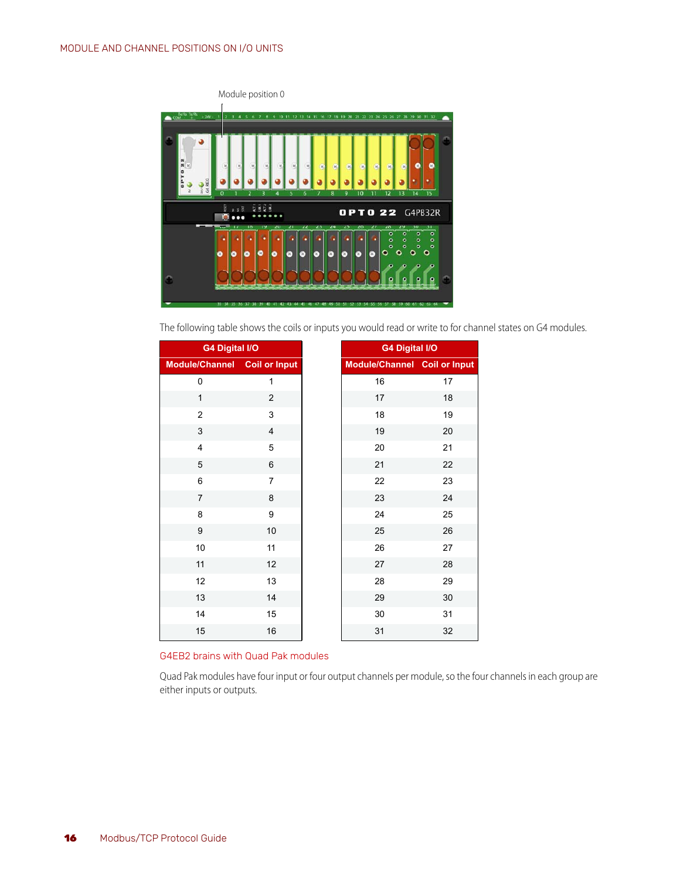

The following table shows the coils or inputs you would read or write to for channel states on G4 modules.

| <b>G4 Digital I/O</b>        |                |
|------------------------------|----------------|
| Module/Channel Coil or Input |                |
| 0                            | 1              |
| $\mathbf{1}$                 | $\overline{c}$ |
| $\overline{c}$               | 3              |
| 3                            | $\overline{4}$ |
| $\overline{\mathbf{4}}$      | 5              |
| 5                            | 6              |
| 6                            | $\overline{7}$ |
| $\overline{7}$               | $\bf 8$        |
| 8                            | 9              |
| 9                            | 10             |
| 10                           | 11             |
| 11                           | 12             |
| 12                           | 13             |
| 13                           | 14             |
| 14                           | 15             |
| 15                           | 16             |

#### <span id="page-19-0"></span>G4EB2 brains with Quad Pak modules

Quad Pak modules have four input or four output channels per module, so the four channels in each group are either inputs or outputs.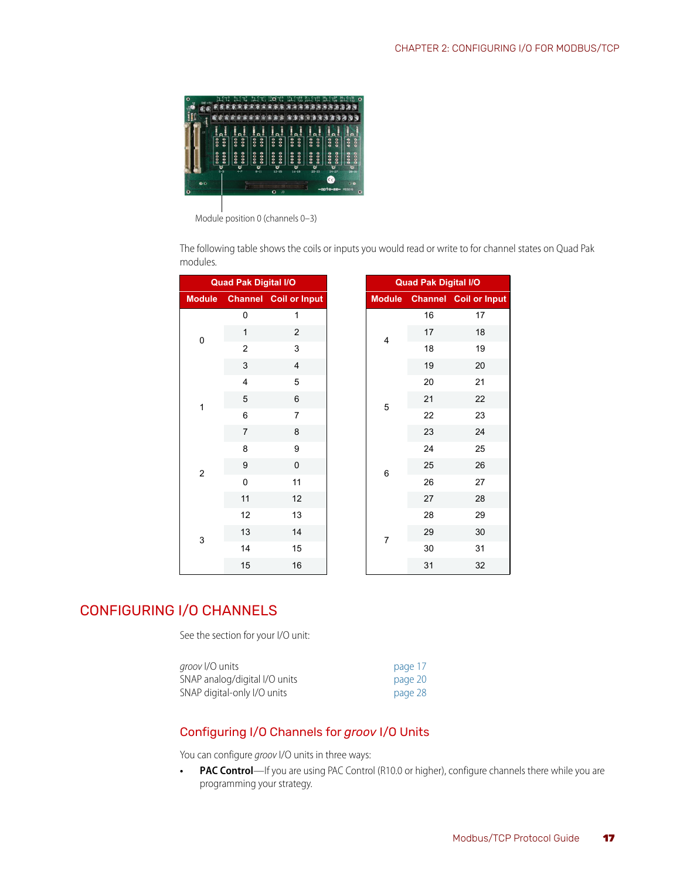

Module position 0 (channels 0–3)

The following table shows the coils or inputs you would read or write to for channel states on Quad Pak modules.

|                | <b>Quad Pak Digital I/O</b> |                              |
|----------------|-----------------------------|------------------------------|
|                |                             | Module Channel Coil or Input |
|                | 0                           | 1                            |
| 0              | $\mathbf{1}$                | $\overline{2}$               |
|                | $\overline{c}$              | 3                            |
|                | 3                           | $\overline{4}$               |
|                | $\overline{4}$<br>5         |                              |
| $\overline{1}$ | 5                           | 6                            |
|                | 6                           | 7                            |
|                | $\overline{7}$              | 8                            |
|                | 8                           | 9                            |
| $\overline{c}$ | 9                           | $\pmb{0}$                    |
|                | 0                           | 11                           |
|                | 11                          | 12                           |
|                | 12                          | 13                           |
| 3              | 13                          | 14                           |
|                | 14                          | 15                           |
|                | 15                          | 16                           |

|                | ak Digital I/O      |
|----------------|---------------------|
|                | annel Coil or Input |
| 0              | 1                   |
| $\mathbf{1}$   | $\overline{2}$      |
| $\overline{c}$ | 3                   |
| 3              | 4                   |
| 4              | 5                   |
| 5              | 6                   |
| 6              | 7                   |
| 7              | 8                   |
| 8              | 9                   |
| 9              | 0                   |
| 0              | 11                  |
| 11             | 12                  |
| 12             | 13                  |
| 13             | 14                  |
| 14             | 15                  |
| 15             | 16                  |

# <span id="page-20-2"></span><span id="page-20-0"></span>CONFIGURING I/O CHANNELS

See the section for your I/O unit:

| <i>groov I/</i> O units       | page 17 |
|-------------------------------|---------|
| SNAP analog/digital I/O units | page 20 |
| SNAP digital-only I/O units   | page 28 |

#### <span id="page-20-3"></span><span id="page-20-1"></span>Configuring I/O Channels for *groov* I/O Units

You can configure *groov* I/O units in three ways:

**• PAC Control**—If you are using PAC Control (R10.0 or higher), configure channels there while you are programming your strategy.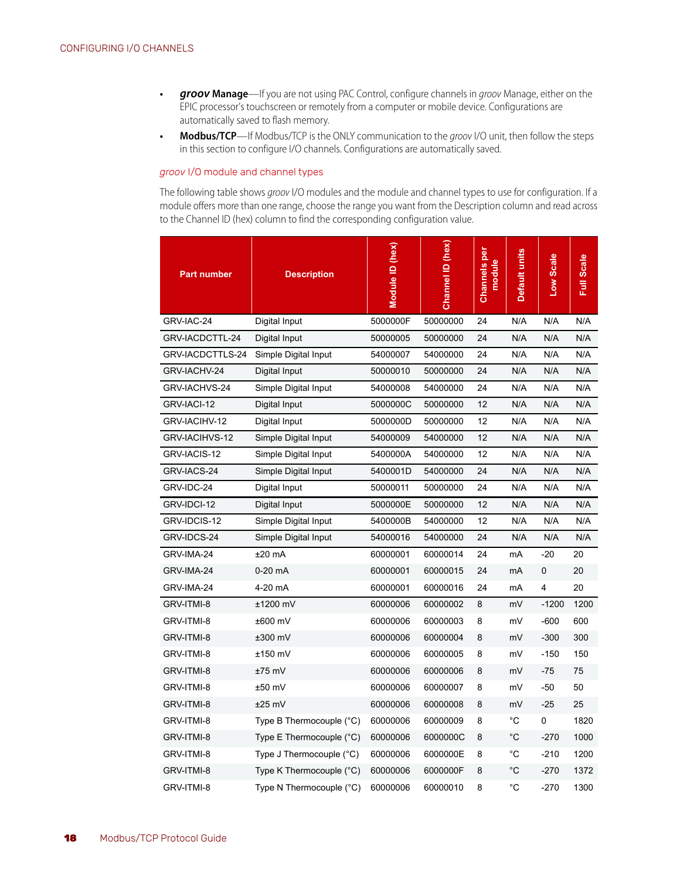- **•** *groov* **Manage**—If you are not using PAC Control, configure channels in *groov* Manage, either on the EPIC processor's touchscreen or remotely from a computer or mobile device. Configurations are automatically saved to flash memory.
- **Modbus/TCP**—If Modbus/TCP is the ONLY communication to the groov I/O unit, then follow the steps in this section to configure I/O channels. Configurations are automatically saved.

#### <span id="page-21-1"></span><span id="page-21-0"></span>*groov* I/O module and channel types

The following table shows *groov* I/O modules and the module and channel types to use for configuration. If a module offers more than one range, choose the range you want from the Description column and read across to the Channel ID (hex) column to find the corresponding configuration value.

| <b>Part number</b> | <b>Description</b>       | Module ID (hex) | Channel ID (hex) | <b>Channels</b> per<br>modul | Default units | Low Scale | <b>Full Scale</b> |
|--------------------|--------------------------|-----------------|------------------|------------------------------|---------------|-----------|-------------------|
| GRV-IAC-24         | Digital Input            | 5000000F        | 50000000         | 24                           | N/A           | N/A       | N/A               |
| GRV-IACDCTTL-24    | Digital Input            | 50000005        | 50000000         | 24                           | N/A           | N/A       | N/A               |
| GRV-IACDCTTLS-24   | Simple Digital Input     | 54000007        | 54000000         | 24                           | N/A           | N/A       | N/A               |
| GRV-IACHV-24       | Digital Input            | 50000010        | 50000000         | 24                           | N/A           | N/A       | N/A               |
| GRV-IACHVS-24      | Simple Digital Input     | 54000008        | 54000000         | 24                           | N/A           | N/A       | N/A               |
| GRV-IACI-12        | Digital Input            | 5000000C        | 50000000         | 12                           | N/A           | N/A       | N/A               |
| GRV-IACIHV-12      | Digital Input            | 5000000D        | 50000000         | 12                           | N/A           | N/A       | N/A               |
| GRV-IACIHVS-12     | Simple Digital Input     | 54000009        | 54000000         | 12                           | N/A           | N/A       | N/A               |
| GRV-IACIS-12       | Simple Digital Input     | 5400000A        | 54000000         | 12                           | N/A           | N/A       | N/A               |
| GRV-IACS-24        | Simple Digital Input     | 5400001D        | 54000000         | 24                           | N/A           | N/A       | N/A               |
| GRV-IDC-24         | Digital Input            | 50000011        | 50000000         | 24                           | N/A           | N/A       | N/A               |
| GRV-IDCI-12        | Digital Input            | 5000000E        | 50000000         | 12                           | N/A           | N/A       | N/A               |
| GRV-IDCIS-12       | Simple Digital Input     | 5400000B        | 54000000         | 12                           | N/A           | N/A       | N/A               |
| GRV-IDCS-24        | Simple Digital Input     | 54000016        | 54000000         | 24                           | N/A           | N/A       | N/A               |
| GRV-IMA-24         | ±20 mA                   | 60000001        | 60000014         | 24                           | mA            | $-20$     | 20                |
| GRV-IMA-24         | 0-20 mA                  | 60000001        | 60000015         | 24                           | mA            | 0         | 20                |
| GRV-IMA-24         | 4-20 mA                  | 60000001        | 60000016         | 24                           | mA            | 4         | 20                |
| GRV-ITMI-8         | ±1200 mV                 | 60000006        | 60000002         | 8                            | mV            | $-1200$   | 1200              |
| GRV-ITMI-8         | ±600 mV                  | 60000006        | 60000003         | 8                            | mV            | $-600$    | 600               |
| GRV-ITMI-8         | ±300 mV                  | 60000006        | 60000004         | 8                            | mV            | $-300$    | 300               |
| GRV-ITMI-8         | ±150 mV                  | 60000006        | 60000005         | 8                            | mV            | $-150$    | 150               |
| GRV-ITMI-8         | ±75 mV                   | 60000006        | 60000006         | 8                            | mV            | $-75$     | 75                |
| GRV-ITMI-8         | $±50$ mV                 | 60000006        | 60000007         | 8                            | mV            | $-50$     | 50                |
| GRV-ITMI-8         | $±25$ mV                 | 60000006        | 60000008         | 8                            | mV            | $-25$     | 25                |
| GRV-ITMI-8         | Type B Thermocouple (°C) | 60000006        | 60000009         | 8                            | $^{\circ}$ C  | 0         | 1820              |
| GRV-ITMI-8         | Type E Thermocouple (°C) | 60000006        | 6000000C         | 8                            | °C            | $-270$    | 1000              |
| GRV-ITMI-8         | Type J Thermocouple (°C) | 60000006        | 6000000E         | 8                            | °C            | $-210$    | 1200              |
| GRV-ITMI-8         | Type K Thermocouple (°C) | 60000006        | 6000000F         | 8                            | °C            | $-270$    | 1372              |
| GRV-ITMI-8         | Type N Thermocouple (°C) | 60000006        | 60000010         | 8                            | $^{\circ}$ C  | $-270$    | 1300              |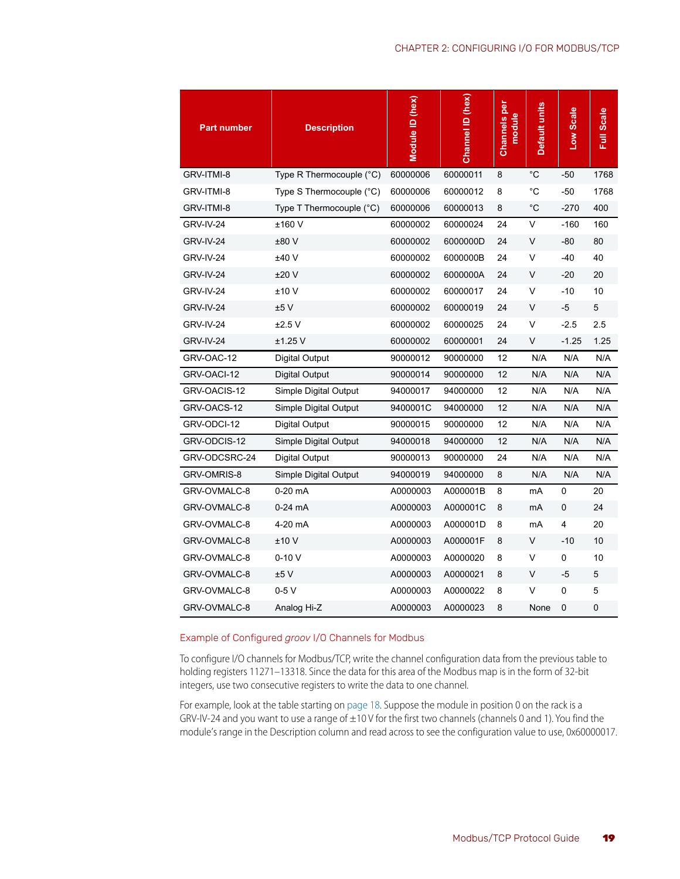| <b>Part number</b> | <b>Description</b>                  | Module ID (hex) | Channel ID (hex) | <b>Channels</b> per<br>module | Default units | Low Scale   | <b>Full Scale</b> |
|--------------------|-------------------------------------|-----------------|------------------|-------------------------------|---------------|-------------|-------------------|
| GRV-ITMI-8         | Type R Thermocouple $(^{\circ}C)$   | 60000006        | 60000011         | 8                             | °C            | $-50$       | 1768              |
| GRV-ITMI-8         | Type S Thermocouple (°C)            | 60000006        | 60000012         | 8                             | °C            | -50         | 1768              |
| GRV-ITMI-8         | Type $T$ Thermocouple $(^{\circ}C)$ | 60000006        | 60000013         | 8                             | °C            | $-270$      | 400               |
| GRV-IV-24          | ±160 V                              | 60000002        | 60000024         | 24                            | V             | $-160$      | 160               |
| GRV-IV-24          | ±80 V                               | 60000002        | 6000000D         | 24                            | V             | $-80$       | 80                |
| GRV-IV-24          | ±40 V                               | 60000002        | 6000000B         | 24                            | $\vee$        | -40         | 40                |
| GRV-IV-24          | ±20V                                | 60000002        | 6000000A         | 24                            | V             | $-20$       | 20                |
| GRV-IV-24          | ±10 V                               | 60000002        | 60000017         | 24                            | V             | $-10$       | 10                |
| GRV-IV-24          | ±5V                                 | 60000002        | 60000019         | 24                            | V             | $-5$        | 5                 |
| GRV-IV-24          | ±2.5V                               | 60000002        | 60000025         | 24                            | V             | $-2.5$      | 2.5               |
| GRV-IV-24          | ±1.25 V                             | 60000002        | 60000001         | 24                            | V             | $-1.25$     | 1.25              |
| GRV-OAC-12         | Digital Output                      | 90000012        | 90000000         | 12                            | N/A           | N/A         | N/A               |
| GRV-OACI-12        | Digital Output                      | 90000014        | 90000000         | 12                            | N/A           | N/A         | N/A               |
| GRV-OACIS-12       | Simple Digital Output               | 94000017        | 94000000         | 12                            | N/A           | N/A         | N/A               |
| GRV-OACS-12        | Simple Digital Output               | 9400001C        | 94000000         | 12                            | N/A           | N/A         | N/A               |
| GRV-ODCI-12        | Digital Output                      | 90000015        | 90000000         | 12                            | N/A           | N/A         | N/A               |
| GRV-ODCIS-12       | Simple Digital Output               | 94000018        | 94000000         | 12                            | N/A           | N/A         | N/A               |
| GRV-ODCSRC-24      | Digital Output                      | 90000013        | 90000000         | 24                            | N/A           | N/A         | N/A               |
| GRV-OMRIS-8        | Simple Digital Output               | 94000019        | 94000000         | 8                             | N/A           | N/A         | N/A               |
| GRV-OVMALC-8       | $0-20$ mA                           | A0000003        | A000001B         | 8                             | mA            | 0           | 20                |
| GRV-OVMALC-8       | $0-24$ mA                           | A0000003        | A000001C         | 8                             | mA            | $\mathbf 0$ | 24                |
| GRV-OVMALC-8       | 4-20 mA                             | A0000003        | A000001D         | 8                             | mA            | 4           | 20                |
| GRV-OVMALC-8       | ±10 V                               | A0000003        | A000001F         | 8                             | V             | $-10$       | 10                |
| GRV-OVMALC-8       | $0-10V$                             | A0000003        | A0000020         | 8                             | V             | 0           | 10                |
| GRV-OVMALC-8       | ±5 V                                | A0000003        | A0000021         | 8                             | V             | -5          | 5                 |
| GRV-OVMALC-8       | $0-5V$                              | A0000003        | A0000022         | 8                             | $\vee$        | 0           | 5                 |
| GRV-OVMALC-8       | Analog Hi-Z                         | A0000003        | A0000023         | 8                             | None          | 0           | 0                 |

#### <span id="page-22-1"></span><span id="page-22-0"></span>Example of Configured *groov* I/O Channels for Modbus

To configure I/O channels for Modbus/TCP, write the channel configuration data from the previous table to holding registers 11271–13318. Since the data for this area of the Modbus map is in the form of 32-bit integers, use two consecutive registers to write the data to one channel.

For example, look at the table starting on [page 18](#page-21-0). Suppose the module in position 0 on the rack is a GRV-IV-24 and you want to use a range of ±10 V for the first two channels (channels 0 and 1). You find the module's range in the Description column and read across to see the configuration value to use, 0x60000017.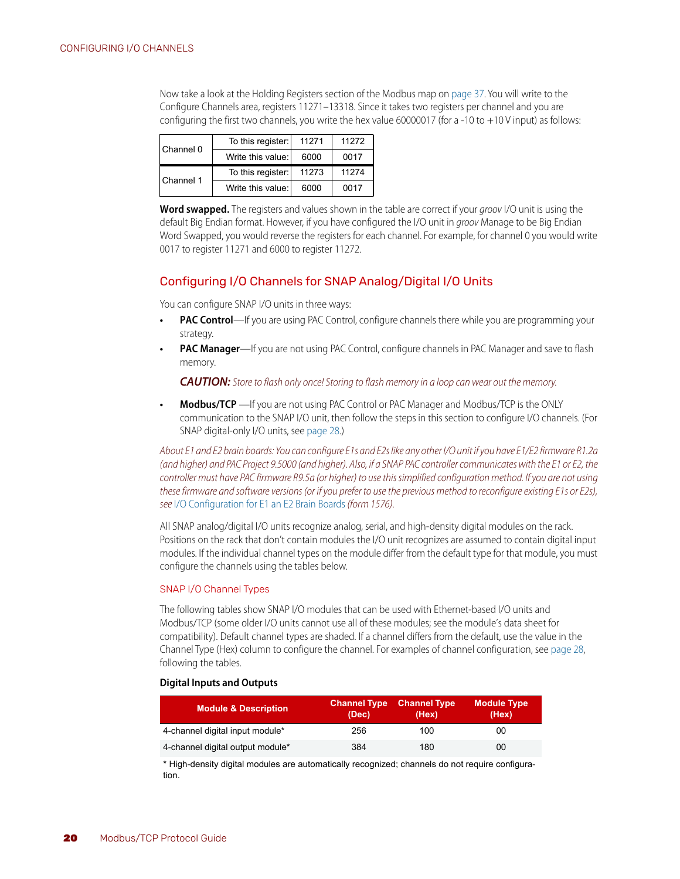Now take a look at the Holding Registers section of the Modbus map on [page 37](#page-40-1). You will write to the Configure Channels area, registers 11271–13318. Since it takes two registers per channel and you are configuring the first two channels, you write the hex value 60000017 (for a -10 to +10 V input) as follows:

| l Channel 0 | To this register: | 11271 | 11272 |
|-------------|-------------------|-------|-------|
|             | Write this value: | 6000  | 0017  |
|             | To this register: | 11273 | 11274 |
| Channel 1   |                   |       |       |

**Word swapped.** The registers and values shown in the table are correct if your *groov* I/O unit is using the default Big Endian format. However, if you have configured the I/O unit in *groov* Manage to be Big Endian Word Swapped, you would reverse the registers for each channel. For example, for channel 0 you would write 0017 to register 11271 and 6000 to register 11272.

#### <span id="page-23-3"></span><span id="page-23-0"></span>Configuring I/O Channels for SNAP Analog/Digital I/O Units

You can configure SNAP I/O units in three ways:

- **PAC Control**—If you are using PAC Control, configure channels there while you are programming your strategy.
- **PAC Manager**—If you are not using PAC Control, configure channels in PAC Manager and save to flash memory.

*CAUTION: Store to flash only once! Storing to flash memory in a loop can wear out the memory.*

**• Modbus/TCP** —If you are not using PAC Control or PAC Manager and Modbus/TCP is the ONLY communication to the SNAP I/O unit, then follow the steps in this section to configure I/O channels. (For SNAP digital-only I/O units, see [page 28.](#page-31-1))

*About E1 and E2 brain boards: You can configure E1s and E2s like any other I/O unit if you have E1/E2 firmware R1.2a (and higher) and PAC Project 9.5000 (and higher). Also, if a SNAP PAC controller communicates with the E1 or E2, the controller must have PAC firmware R9.5a (or higher) to use this simplified configuration method. If you are not using these firmware and software versions (or if you prefer to use the previous method to reconfigure existing E1s or E2s), see* [I/O Configuration for E1 an E2 Brain Boards](http://www.opto22.com/site/documents/doc_drilldown.aspx?aid=1944) *(form 1576).* 

All SNAP analog/digital I/O units recognize analog, serial, and high-density digital modules on the rack. Positions on the rack that don't contain modules the I/O unit recognizes are assumed to contain digital input modules. If the individual channel types on the module differ from the default type for that module, you must configure the channels using the tables below.

#### <span id="page-23-2"></span><span id="page-23-1"></span>SNAP I/O Channel Types

The following tables show SNAP I/O modules that can be used with Ethernet-based I/O units and Modbus/TCP (some older I/O units cannot use all of these modules; see the module's data sheet for compatibility). Default channel types are shaded. If a channel differs from the default, use the value in the Channel Type (Hex) column to configure the channel. For examples of channel configuration, see [page 28,](#page-31-0) following the tables.

#### **Digital Inputs and Outputs**

| <b>Module &amp; Description</b>  | <b>Channel Type</b><br>(Dec) | <b>Channel Type</b><br>(Hex) | <b>Module Type</b><br>(Hex) |
|----------------------------------|------------------------------|------------------------------|-----------------------------|
| 4-channel digital input module*  | 256                          | 100                          | 00                          |
| 4-channel digital output module* | 384                          | 180                          | 00                          |

\* High-density digital modules are automatically recognized; channels do not require configuration.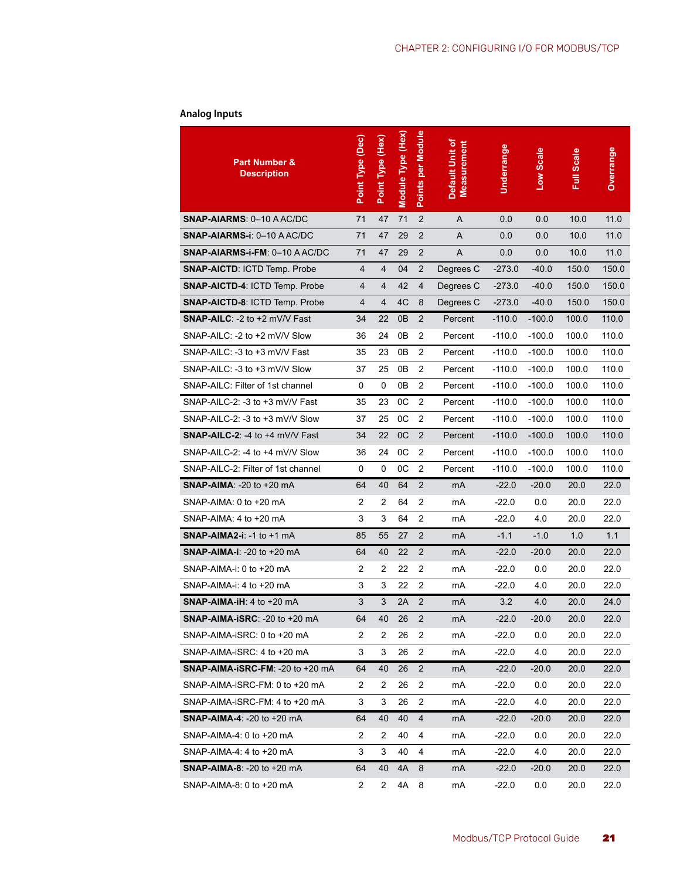# <span id="page-24-0"></span>**Analog Inputs**

| <b>Part Number &amp;</b><br><b>Description</b> | Point Type (Dec) | Point Type (Hex) | Module Type (Hex) | Points per Module | Default Unit of<br><b>Measurement</b> | Underrange | Low Scale | <b>Full Scale</b> | <b>Overrange</b> |
|------------------------------------------------|------------------|------------------|-------------------|-------------------|---------------------------------------|------------|-----------|-------------------|------------------|
| SNAP-AIARMS: 0-10 AAC/DC                       | 71               | 47               | 71                | $\overline{2}$    | A                                     | 0.0        | 0.0       | 10.0              | 11.0             |
| SNAP-AIARMS-i: 0-10 AAC/DC                     | 71               | 47               | 29                | $\overline{2}$    | A                                     | 0.0        | 0.0       | 10.0              | 11.0             |
| SNAP-AIARMS-i-FM: 0-10 AAC/DC                  | 71               | 47               | 29                | $\overline{2}$    | A                                     | 0.0        | 0.0       | 10.0              | 11.0             |
| <b>SNAP-AICTD: ICTD Temp. Probe</b>            | $\overline{4}$   | 4                | 04                | $\overline{2}$    | Degrees C                             | $-273.0$   | $-40.0$   | 150.0             | 150.0            |
| <b>SNAP-AICTD-4: ICTD Temp. Probe</b>          | 4                | 4                | 42                | 4                 | Degrees C                             | $-273.0$   | $-40.0$   | 150.0             | 150.0            |
| <b>SNAP-AICTD-8: ICTD Temp. Probe</b>          | 4                | 4                | 4C                | 8                 | Degrees C                             | $-273.0$   | $-40.0$   | 150.0             | 150.0            |
| SNAP-AILC: -2 to +2 mV/V Fast                  | 34               | 22               | 0 <sub>B</sub>    | $\overline{2}$    | Percent                               | $-110.0$   | $-100.0$  | 100.0             | 110.0            |
| SNAP-AILC: -2 to +2 mV/V Slow                  | 36               | 24               | 0B                | $\overline{2}$    | Percent                               | $-110.0$   | $-100.0$  | 100.0             | 110.0            |
| SNAP-AILC: -3 to +3 mV/V Fast                  | 35               | 23               | 0B                | $\overline{2}$    | Percent                               | $-110.0$   | $-100.0$  | 100.0             | 110.0            |
| SNAP-AILC: -3 to +3 mV/V Slow                  | 37               | 25               | 0B                | $\overline{2}$    | Percent                               | $-110.0$   | $-100.0$  | 100.0             | 110.0            |
| SNAP-AILC: Filter of 1st channel               | 0                | 0                | 0 <sub>B</sub>    | $\overline{2}$    | Percent                               | $-110.0$   | $-100.0$  | 100.0             | 110.0            |
| SNAP-AILC-2: -3 to +3 mV/V Fast                | 35               | 23               | 0C                | $\overline{2}$    | Percent                               | $-110.0$   | $-100.0$  | 100.0             | 110.0            |
| SNAP-AILC-2: -3 to +3 mV/V Slow                | 37               | 25               | 0C                | $\overline{2}$    | Percent                               | $-110.0$   | $-100.0$  | 100.0             | 110.0            |
| <b>SNAP-AILC-2: -4 to +4 mV/V Fast</b>         | 34               | 22               | 0C                | $\overline{2}$    | Percent                               | $-110.0$   | $-100.0$  | 100.0             | 110.0            |
| SNAP-AILC-2: -4 to +4 mV/V Slow                | 36               | 24               | 0C                | $\overline{2}$    | Percent                               | $-110.0$   | $-100.0$  | 100.0             | 110.0            |
| SNAP-AILC-2: Filter of 1st channel             | 0                | 0                | 0C                | $\overline{2}$    | Percent                               | $-110.0$   | $-100.0$  | 100.0             | 110.0            |
| <b>SNAP-AIMA: -20 to +20 mA</b>                | 64               | 40               | 64                | $\overline{2}$    | mA                                    | $-22.0$    | $-20.0$   | 20.0              | 22.0             |
| SNAP-AIMA: 0 to +20 mA                         | $\overline{c}$   | 2                | 64                | $\overline{2}$    | mA                                    | $-22.0$    | 0.0       | 20.0              | 22.0             |
| SNAP-AIMA: 4 to +20 mA                         | 3                | 3                | 64                | $\overline{2}$    | mA                                    | $-22.0$    | 4.0       | 20.0              | 22.0             |
| SNAP-AIMA2-i: -1 to +1 mA                      | 85               | 55               | 27                | $\overline{2}$    | mA                                    | $-1.1$     | $-1.0$    | 1.0               | 1.1              |
| <b>SNAP-AIMA-i: -20 to +20 mA</b>              | 64               | 40               | 22                | $\overline{2}$    | mA                                    | $-22.0$    | $-20.0$   | 20.0              | 22.0             |
| SNAP-AIMA-i: 0 to +20 mA                       | $\overline{c}$   | 2                | 22                | $\overline{2}$    | mA                                    | $-22.0$    | 0.0       | 20.0              | 22.0             |
| SNAP-AIMA-i: 4 to +20 mA                       | 3                | 3                | 22                | $\overline{2}$    | mA                                    | $-22.0$    | 4.0       | 20.0              | 22.0             |
| SNAP-AIMA-iH: 4 to +20 mA                      | 3                | 3                | 2A                | $\overline{2}$    | mA                                    | 3.2        | 4.0       | 20.0              | 24.0             |
| SNAP-AIMA-ISRC: -20 to +20 mA                  | 64               | 40               | 26                | $\overline{2}$    | mA                                    | $-22.0$    | $-20.0$   | 20.0              | 22.0             |
| SNAP-AIMA-iSRC: 0 to +20 mA                    | 2                | 2                | 26                | $\overline{2}$    | mA                                    | $-22.0$    | 0.0       | 20.0              | 22.0             |
| SNAP-AIMA-iSRC: 4 to +20 mA                    | 3                | 3                | 26                | 2                 | mA                                    | $-22.0$    | 4.0       | 20.0              | 22.0             |
| SNAP-AIMA-ISRC-FM: -20 to +20 mA               | 64               | 40               | 26                | $\overline{2}$    | mA                                    | $-22.0$    | $-20.0$   | 20.0              | 22.0             |
| SNAP-AIMA-iSRC-FM: 0 to +20 mA                 | 2                | 2                | 26                | $\overline{2}$    | mA                                    | $-22.0$    | 0.0       | 20.0              | 22.0             |
| SNAP-AIMA-iSRC-FM: 4 to +20 mA                 | 3                | 3                | 26                | 2                 | mA                                    | -22.0      | 4.0       | 20.0              | 22.0             |
| <b>SNAP-AIMA-4: -20 to +20 mA</b>              | 64               | 40               | 40                | 4                 | mA                                    | $-22.0$    | $-20.0$   | 20.0              | 22.0             |
| SNAP-AIMA-4: 0 to +20 mA                       | $\overline{2}$   | 2                | 40                | 4                 | mA                                    | -22.0      | 0.0       | 20.0              | 22.0             |
| SNAP-AIMA-4: 4 to +20 mA                       | 3                | 3                | 40                | 4                 | mA                                    | $-22.0$    | 4.0       | 20.0              | 22.0             |
| <b>SNAP-AIMA-8: -20 to +20 mA</b>              | 64               | 40               | 4A                | 8                 | mA                                    | $-22.0$    | $-20.0$   | 20.0              | 22.0             |
| SNAP-AIMA-8: 0 to +20 mA                       | 2                | 2                | 4A                | 8                 | mA                                    | $-22.0$    | 0.0       | 20.0              | 22.0             |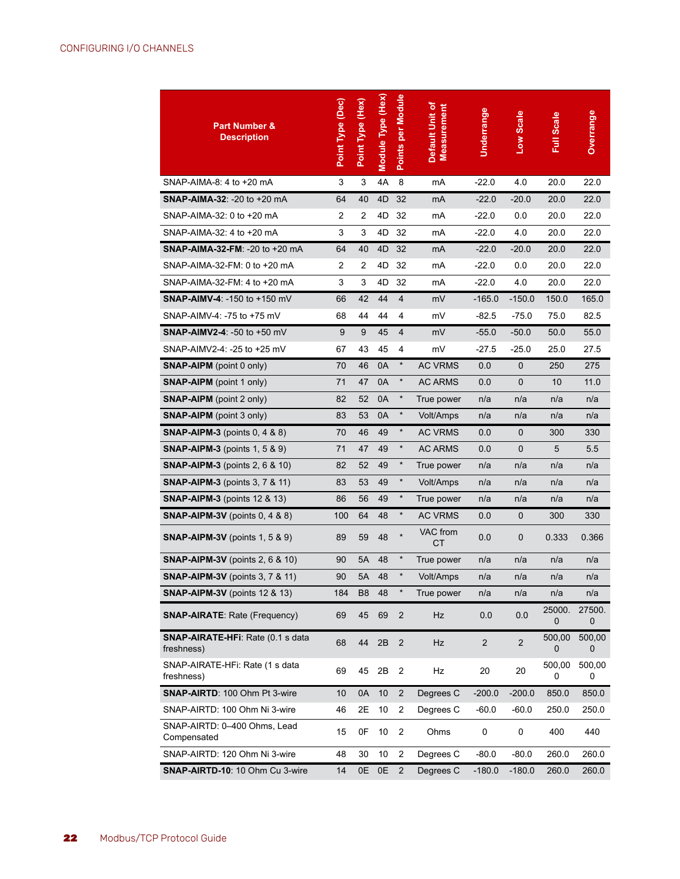| <b>Part Number &amp;</b><br><b>Description</b>  | Point Type (Dec) | Point Type (Hex) | Module Type (Hex) | Points per Module | Default Unit of<br><b>Measurement</b> | Underrange     | Low Scale      | Full Scale  | <b>Overrange</b> |
|-------------------------------------------------|------------------|------------------|-------------------|-------------------|---------------------------------------|----------------|----------------|-------------|------------------|
| SNAP-AIMA-8: 4 to +20 mA                        | 3                | 3                | 4A                | 8                 | mA                                    | $-22.0$        | 4.0            | 20.0        | 22.0             |
| <b>SNAP-AIMA-32: -20 to +20 mA</b>              | 64               | 40               | 4D                | 32                | mA                                    | $-22.0$        | $-20.0$        | 20.0        | 22.0             |
| SNAP-AIMA-32: 0 to +20 mA                       | 2                | 2                | 4D                | 32                | mA                                    | $-22.0$        | 0.0            | 20.0        | 22.0             |
| SNAP-AIMA-32: 4 to +20 mA                       | 3                | 3                | 4D                | 32                | mA                                    | $-22.0$        | 4.0            | 20.0        | 22.0             |
| <b>SNAP-AIMA-32-FM: -20 to +20 mA</b>           | 64               | 40               | 4D                | 32                | mA                                    | $-22.0$        | $-20.0$        | 20.0        | 22.0             |
| SNAP-AIMA-32-FM: 0 to +20 mA                    | 2                | 2                | 4D                | 32                | mA                                    | $-22.0$        | 0.0            | 20.0        | 22.0             |
| SNAP-AIMA-32-FM: 4 to +20 mA                    | 3                | 3                | 4D                | 32                | mA                                    | $-22.0$        | 4.0            | 20.0        | 22.0             |
| <b>SNAP-AIMV-4: -150 to +150 mV</b>             | 66               | 42               | 44                | $\overline{4}$    | mV                                    | $-165.0$       | -150.0         | 150.0       | 165.0            |
| SNAP-AIMV-4: -75 to +75 mV                      | 68               | 44               | 44                | 4                 | mV                                    | $-82.5$        | $-75.0$        | 75.0        | 82.5             |
| <b>SNAP-AIMV2-4: -50 to +50 mV</b>              | 9                | 9                | 45                | $\overline{4}$    | mV                                    | $-55.0$        | $-50.0$        | 50.0        | 55.0             |
| SNAP-AIMV2-4: -25 to +25 mV                     | 67               | 43               | 45                | 4                 | mV                                    | $-27.5$        | -25.0          | 25.0        | 27.5             |
| <b>SNAP-AIPM</b> (point 0 only)                 | 70               | 46               | 0A                | $\star$           | <b>AC VRMS</b>                        | 0.0            | 0              | 250         | 275              |
| <b>SNAP-AIPM</b> (point 1 only)                 | 71               | 47               | 0A                | $\star$           | <b>AC ARMS</b>                        | 0.0            | 0              | 10          | 11.0             |
| <b>SNAP-AIPM</b> (point 2 only)                 | 82               | 52               | 0A                | $\star$           | True power                            | n/a            | n/a            | n/a         | n/a              |
| <b>SNAP-AIPM</b> (point 3 only)                 | 83               | 53               | 0A                | $\star$           | Volt/Amps                             | n/a            | n/a            | n/a         | n/a              |
| <b>SNAP-AIPM-3</b> (points 0, 4 & 8)            | 70               | 46               | 49                | $\star$           | <b>AC VRMS</b>                        | 0.0            | 0              | 300         | 330              |
| <b>SNAP-AIPM-3</b> (points 1, 5 & 9)            | 71               | 47               | 49                | $\star$           | <b>AC ARMS</b>                        | 0.0            | 0              | 5           | 5.5              |
| <b>SNAP-AIPM-3</b> (points 2, 6 & 10)           | 82               | 52               | 49                | $\star$           | True power                            | n/a            | n/a            | n/a         | n/a              |
| <b>SNAP-AIPM-3</b> (points 3, 7 & 11)           | 83               | 53               | 49                | $\star$           | Volt/Amps                             | n/a            | n/a            | n/a         | n/a              |
| <b>SNAP-AIPM-3</b> (points 12 & 13)             | 86               | 56               | 49                | $\star$           | True power                            | n/a            | n/a            | n/a         | n/a              |
| <b>SNAP-AIPM-3V</b> (points $0, 4, 8, 8$ )      | 100              | 64               | 48                | $\star$           | <b>AC VRMS</b>                        | 0.0            | 0              | 300         | 330              |
| <b>SNAP-AIPM-3V</b> (points 1, 5 & 9)           | 89               | 59               | 48                | $\star$           | VAC from<br>СT                        | 0.0            | 0              | 0.333       | 0.366            |
| <b>SNAP-AIPM-3V</b> (points 2, 6 $\&$ 10)       | 90               | 5A               | 48                | $\star$           | True power                            | n/a            | n/a            | n/a         | n/a              |
| <b>SNAP-AIPM-3V</b> (points 3, 7 & 11)          | 90               | 5A               | 48                | $\star$           | Volt/Amps                             | n/a            | n/a            | n/a         | n/a              |
| <b>SNAP-AIPM-3V</b> (points 12 & 13)            | 184              | B <sub>8</sub>   | 48                | $\ast$            | True power                            | n/a            | n/a            | n/a         | n/a              |
| <b>SNAP-AIRATE: Rate (Frequency)</b>            | 69               | 45               | 69                | 2                 | Hz                                    | 0.0            | 0.0            | 25000.<br>0 | 27500.<br>0      |
| SNAP-AIRATE-HFi: Rate (0.1 s data<br>freshness) | 68               | 44               | 2B                | $\overline{2}$    | Hz                                    | $\overline{2}$ | $\overline{2}$ | 500,00<br>0 | 500,00<br>0      |
| SNAP-AIRATE-HFi: Rate (1 s data<br>freshness)   | 69               | 45               | 2B                | 2                 | Hz                                    | 20             | 20             | 500,00<br>0 | 500,00<br>0      |
| <b>SNAP-AIRTD: 100 Ohm Pt 3-wire</b>            | 10               | 0A               | 10                | $\overline{2}$    | Degrees C                             | $-200.0$       | $-200.0$       | 850.0       | 850.0            |
| SNAP-AIRTD: 100 Ohm Ni 3-wire                   | 46               | 2E               | 10                | 2                 | Degrees C                             | $-60.0$        | $-60.0$        | 250.0       | 250.0            |
| SNAP-AIRTD: 0-400 Ohms, Lead<br>Compensated     | 15               | 0F               | 10                | 2                 | Ohms                                  | 0              | 0              | 400         | 440              |
| SNAP-AIRTD: 120 Ohm Ni 3-wire                   | 48               | 30               | 10                | 2                 | Degrees C                             | $-80.0$        | $-80.0$        | 260.0       | 260.0            |
| SNAP-AIRTD-10: 10 Ohm Cu 3-wire                 | 14               | 0E               | $0E$              | $\overline{2}$    | Degrees C                             | $-180.0$       | $-180.0$       | 260.0       | 260.0            |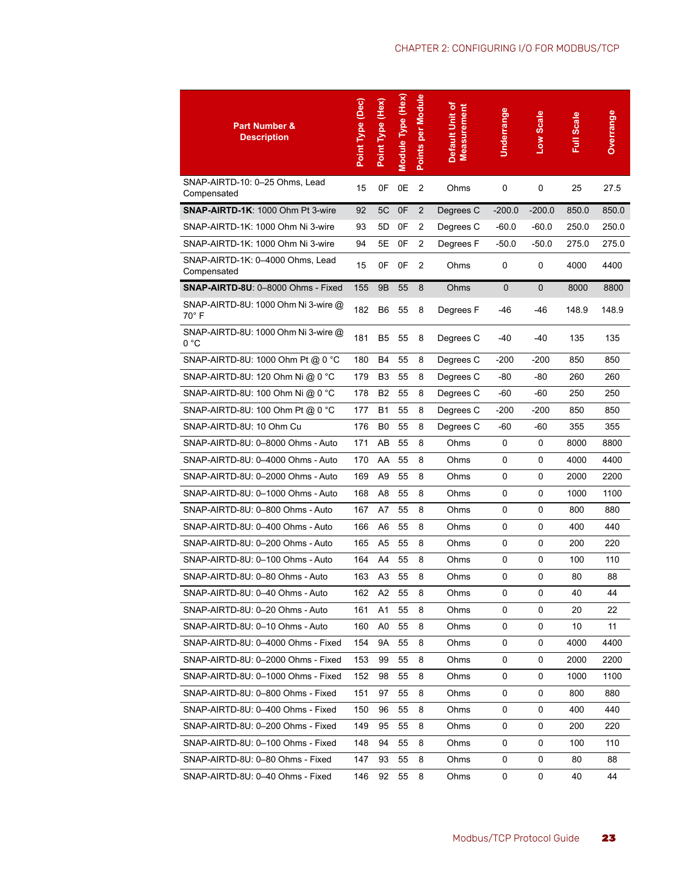| <b>Part Number &amp;</b><br><b>Description</b>  | Point Type (Dec) | Point Type (Hex) | Module Type (Hex) | Points per Module | Default Unit of<br>Measurement | Underrange   | Low Scale    | <b>Full Scale</b> | <b>Overrange</b> |
|-------------------------------------------------|------------------|------------------|-------------------|-------------------|--------------------------------|--------------|--------------|-------------------|------------------|
| SNAP-AIRTD-10: 0-25 Ohms, Lead<br>Compensated   | 15               | 0F               | 0E                | $\overline{2}$    | Ohms                           | $\mathbf 0$  | 0            | 25                | 27.5             |
| <b>SNAP-AIRTD-1K: 1000 Ohm Pt 3-wire</b>        | 92               | 5C               | 0F                | $\overline{2}$    | Degrees C                      | $-200.0$     | $-200.0$     | 850.0             | 850.0            |
| SNAP-AIRTD-1K: 1000 Ohm Ni 3-wire               | 93               | 5D               | 0F                | 2                 | Degrees C                      | $-60.0$      | -60.0        | 250.0             | 250.0            |
| SNAP-AIRTD-1K: 1000 Ohm Ni 3-wire               | 94               | 5Е               | 0F                | 2                 | Degrees F                      | -50.0        | -50.0        | 275.0             | 275.0            |
| SNAP-AIRTD-1K: 0-4000 Ohms, Lead<br>Compensated | 15               | 0F               | 0F                | $\overline{2}$    | Ohms                           | 0            | 0            | 4000              | 4400             |
| <b>SNAP-AIRTD-8U: 0-8000 Ohms - Fixed</b>       | 155              | 9 <sub>B</sub>   | 55                | 8                 | Ohms                           | $\mathbf{0}$ | $\mathbf{0}$ | 8000              | 8800             |
| SNAP-AIRTD-8U: 1000 Ohm Ni 3-wire @<br>70° F    | 182              | B <sub>6</sub>   | 55                | 8                 | Degrees F                      | -46          | $-46$        | 148.9             | 148.9            |
| SNAP-AIRTD-8U: 1000 Ohm Ni 3-wire @<br>0 °C     | 181              | B <sub>5</sub>   | 55                | 8                 | Degrees C                      | $-40$        | $-40$        | 135               | 135              |
| SNAP-AIRTD-8U: 1000 Ohm Pt @ 0 °C               | 180              | B4               | 55                | 8                 | Degrees C                      | $-200$       | -200         | 850               | 850              |
| SNAP-AIRTD-8U: 120 Ohm Ni @ 0 °C                | 179              | B3               | 55                | 8                 | Degrees C                      | -80          | -80          | 260               | 260              |
| SNAP-AIRTD-8U: 100 Ohm Ni @ 0 °C                | 178              | <b>B2</b>        | 55                | 8                 | Degrees C                      | -60          | $-60$        | 250               | 250              |
| SNAP-AIRTD-8U: 100 Ohm Pt @ 0 °C                | 177              | B1               | 55                | 8                 | Degrees C                      | -200         | -200         | 850               | 850              |
| SNAP-AIRTD-8U: 10 Ohm Cu                        | 176              | B <sub>0</sub>   | 55                | 8                 | Degrees C                      | -60          | $-60$        | 355               | 355              |
| SNAP-AIRTD-8U: 0-8000 Ohms - Auto               | 171              | AB               | 55                | 8                 | Ohms                           | 0            | 0            | 8000              | 8800             |
| SNAP-AIRTD-8U: 0-4000 Ohms - Auto               | 170              | AA               | 55                | 8                 | Ohms                           | 0            | 0            | 4000              | 4400             |
| SNAP-AIRTD-8U: 0-2000 Ohms - Auto               | 169              | A <sub>9</sub>   | 55                | 8                 | Ohms                           | 0            | 0            | 2000              | 2200             |
| SNAP-AIRTD-8U: 0-1000 Ohms - Auto               | 168              | A8               | 55                | 8                 | Ohms                           | 0            | 0            | 1000              | 1100             |
| SNAP-AIRTD-8U: 0-800 Ohms - Auto                | 167              | A7               | 55                | 8                 | Ohms                           | 0            | 0            | 800               | 880              |
| SNAP-AIRTD-8U: 0-400 Ohms - Auto                | 166              | A6               | 55                | 8                 | Ohms                           | 0            | 0            | 400               | 440              |
| SNAP-AIRTD-8U: 0-200 Ohms - Auto                | 165              | A5               | 55                | 8                 | Ohms                           | 0            | 0            | 200               | 220              |
| SNAP-AIRTD-8U: 0-100 Ohms - Auto                | 164              | A4               | 55                | 8                 | Ohms                           | 0            | 0            | 100               | 110              |
| SNAP-AIRTD-8U: 0-80 Ohms - Auto                 | 163              | A <sub>3</sub>   | 55                | 8                 | Ohms                           | 0            | 0            | 80                | 88               |
| SNAP-AIRTD-8U: 0-40 Ohms - Auto                 | 162              | A2               | 55                | 8                 | Ohms                           | $\pmb{0}$    | 0            | 40                | 44               |
| SNAP-AIRTD-8U: 0-20 Ohms - Auto                 | 161              | A1               | 55                | 8                 | Ohms                           | 0            | 0            | 20                | 22               |
| SNAP-AIRTD-8U: 0-10 Ohms - Auto                 | 160              | A0               | 55                | 8                 | Ohms                           | 0            | 0            | 10                | 11               |
| SNAP-AIRTD-8U: 0-4000 Ohms - Fixed              | 154              | 9Α               | 55                | 8                 | Ohms                           | 0            | 0            | 4000              | 4400             |
| SNAP-AIRTD-8U: 0-2000 Ohms - Fixed              | 153              | 99               | 55                | 8                 | Ohms                           | $\pmb{0}$    | 0            | 2000              | 2200             |
| SNAP-AIRTD-8U: 0-1000 Ohms - Fixed              | 152              | 98               | 55                | 8                 | Ohms                           | 0            | 0            | 1000              | 1100             |
| SNAP-AIRTD-8U: 0-800 Ohms - Fixed               | 151              | 97               | 55                | 8                 | Ohms                           | 0            | 0            | 800               | 880              |
| SNAP-AIRTD-8U: 0-400 Ohms - Fixed               | 150              | 96               | 55                | 8                 | Ohms                           | 0            | 0            | 400               | 440              |
| SNAP-AIRTD-8U: 0-200 Ohms - Fixed               | 149              | 95               | 55                | 8                 | Ohms                           | $\pmb{0}$    | 0            | 200               | 220              |
| SNAP-AIRTD-8U: 0-100 Ohms - Fixed               | 148              | 94               | 55                | 8                 | Ohms                           | 0            | 0            | 100               | 110              |
| SNAP-AIRTD-8U: 0-80 Ohms - Fixed                | 147              | 93               | 55                | 8                 | Ohms                           | 0            | 0            | 80                | 88               |
| SNAP-AIRTD-8U: 0-40 Ohms - Fixed                | 146              | 92               | 55                | 8                 | Ohms                           | 0            | 0            | 40                | 44               |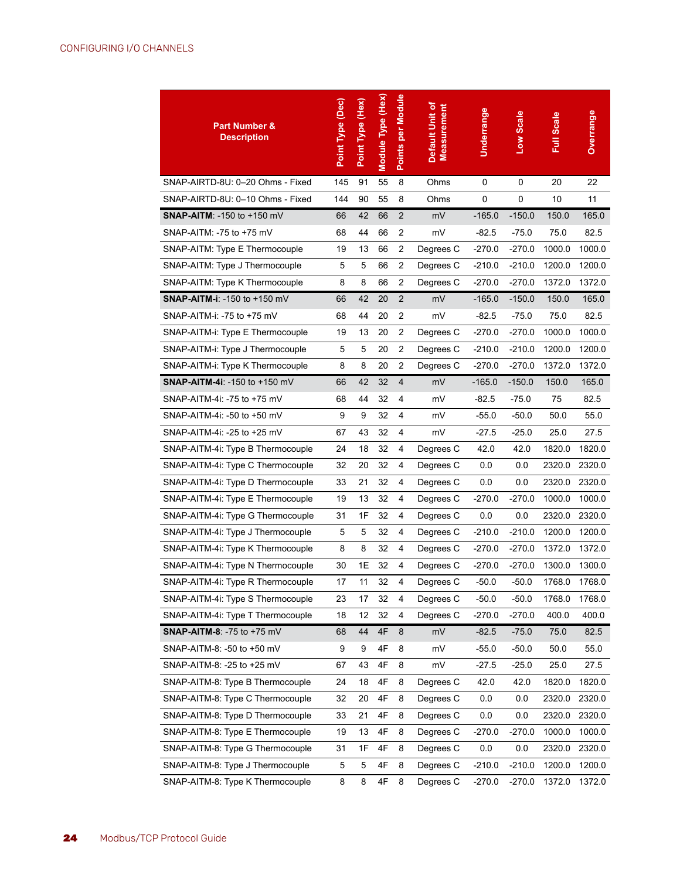| <b>Part Number &amp;</b><br><b>Description</b> | Point Type (Dec) | Point Type (Hex) | Module Type (Hex) | Points per Module | Default Unit of<br><b>Measurement</b> | Underrange | Low Scale   | Full Scale | Overrange |
|------------------------------------------------|------------------|------------------|-------------------|-------------------|---------------------------------------|------------|-------------|------------|-----------|
| SNAP-AIRTD-8U: 0-20 Ohms - Fixed               | 145              | 91               | 55                | 8                 | Ohms                                  | 0          | 0           | 20         | 22        |
| SNAP-AIRTD-8U: 0-10 Ohms - Fixed               | 144              | 90               | 55                | 8                 | Ohms                                  | $\pmb{0}$  | $\mathbf 0$ | 10         | 11        |
| <b>SNAP-AITM: -150 to +150 mV</b>              | 66               | 42               | 66                | $\sqrt{2}$        | mV                                    | $-165.0$   | $-150.0$    | 150.0      | 165.0     |
| SNAP-AITM: -75 to +75 mV                       | 68               | 44               | 66                | 2                 | mV                                    | $-82.5$    | $-75.0$     | 75.0       | 82.5      |
| SNAP-AITM: Type E Thermocouple                 | 19               | 13               | 66                | $\overline{2}$    | Degrees C                             | $-270.0$   | $-270.0$    | 1000.0     | 1000.0    |
| SNAP-AITM: Type J Thermocouple                 | 5                | 5                | 66                | $\overline{2}$    | Degrees C                             | $-210.0$   | $-210.0$    | 1200.0     | 1200.0    |
| SNAP-AITM: Type K Thermocouple                 | 8                | 8                | 66                | $\overline{2}$    | Degrees C                             | $-270.0$   | $-270.0$    | 1372.0     | 1372.0    |
| SNAP-AITM-i: -150 to +150 mV                   | 66               | 42               | 20                | $\overline{2}$    | mV                                    | $-165.0$   | $-150.0$    | 150.0      | 165.0     |
| SNAP-AITM-i: -75 to +75 mV                     | 68               | 44               | 20                | 2                 | mV                                    | $-82.5$    | $-75.0$     | 75.0       | 82.5      |
| SNAP-AITM-i: Type E Thermocouple               | 19               | 13               | 20                | $\overline{2}$    | Degrees C                             | $-270.0$   | $-270.0$    | 1000.0     | 1000.0    |
| SNAP-AITM-i: Type J Thermocouple               | 5                | 5                | 20                | $\overline{2}$    | Degrees C                             | $-210.0$   | $-210.0$    | 1200.0     | 1200.0    |
| SNAP-AITM-i: Type K Thermocouple               | 8                | 8                | 20                | $\overline{2}$    | Degrees C                             | $-270.0$   | $-270.0$    | 1372.0     | 1372.0    |
| SNAP-AITM-4i: -150 to +150 mV                  | 66               | 42               | 32                | 4                 | mV                                    | $-165.0$   | $-150.0$    | 150.0      | 165.0     |
| SNAP-AITM-4i: -75 to +75 mV                    | 68               | 44               | 32                | 4                 | mV                                    | $-82.5$    | $-75.0$     | 75         | 82.5      |
| SNAP-AITM-4i: -50 to +50 mV                    | 9                | 9                | 32                | 4                 | mV                                    | -55.0      | $-50.0$     | 50.0       | 55.0      |
| SNAP-AITM-4i: -25 to +25 mV                    | 67               | 43               | 32                | 4                 | mV                                    | -27.5      | $-25.0$     | 25.0       | 27.5      |
| SNAP-AITM-4i: Type B Thermocouple              | 24               | 18               | 32                | 4                 | Degrees C                             | 42.0       | 42.0        | 1820.0     | 1820.0    |
| SNAP-AITM-4i: Type C Thermocouple              | 32               | 20               | 32                | 4                 | Degrees C                             | 0.0        | 0.0         | 2320.0     | 2320.0    |
| SNAP-AITM-4i: Type D Thermocouple              | 33               | 21               | 32                | 4                 | Degrees C                             | 0.0        | 0.0         | 2320.0     | 2320.0    |
| SNAP-AITM-4i: Type E Thermocouple              | 19               | 13               | 32                | 4                 | Degrees C                             | $-270.0$   | $-270.0$    | 1000.0     | 1000.0    |
| SNAP-AITM-4i: Type G Thermocouple              | 31               | 1F               | 32                | 4                 | Degrees C                             | 0.0        | 0.0         | 2320.0     | 2320.0    |
| SNAP-AITM-4i: Type J Thermocouple              | 5                | 5                | 32                | 4                 | Degrees C                             | $-210.0$   | $-210.0$    | 1200.0     | 1200.0    |
| SNAP-AITM-4i: Type K Thermocouple              | 8                | 8                | 32                | 4                 | Degrees C                             | $-270.0$   | $-270.0$    | 1372.0     | 1372.0    |
| SNAP-AITM-4i: Type N Thermocouple              | 30               | 1E               | 32                | 4                 | Degrees C                             | $-270.0$   | $-270.0$    | 1300.0     | 1300.0    |
| SNAP-AITM-4i: Type R Thermocouple              | 17               | 11               | 32                | 4                 | Degrees C                             | $-50.0$    | -50.0       | 1768.0     | 1768.0    |
| SNAP-AITM-4i: Type S Thermocouple              | 23               | 17               | 32                | 4                 | Degrees C                             | -50.0      | $-50.0$     | 1768.0     | 1768.0    |
| SNAP-AITM-4i: Type T Thermocouple              | 18               | 12               | 32                | 4                 | Degrees C                             | $-270.0$   | -270.0      | 400.0      | 400.0     |
| SNAP-AITM-8: -75 to +75 mV                     | 68               | 44               | 4F                | 8                 | mV                                    | $-82.5$    | $-75.0$     | 75.0       | 82.5      |
| SNAP-AITM-8: -50 to +50 mV                     | 9                | 9                | 4F                | 8                 | mV                                    | $-55.0$    | $-50.0$     | 50.0       | 55.0      |
| SNAP-AITM-8: - 25 to +25 mV                    | 67               | 43               | 4F                | 8                 | mV                                    | -27.5      | $-25.0$     | 25.0       | 27.5      |
| SNAP-AITM-8: Type B Thermocouple               | 24               | 18               | 4F                | 8                 | Degrees C                             | 42.0       | 42.0        | 1820.0     | 1820.0    |
| SNAP-AITM-8: Type C Thermocouple               | 32               | 20               | 4F                | 8                 | Degrees C                             | 0.0        | 0.0         | 2320.0     | 2320.0    |
| SNAP-AITM-8: Type D Thermocouple               | 33               | 21               | 4F                | 8                 | Degrees C                             | 0.0        | 0.0         | 2320.0     | 2320.0    |
| SNAP-AITM-8: Type E Thermocouple               | 19               | 13               | 4F                | 8                 | Degrees C                             | $-270.0$   | $-270.0$    | 1000.0     | 1000.0    |
| SNAP-AITM-8: Type G Thermocouple               | 31               | 1F               | 4F                | 8                 | Degrees C                             | 0.0        | 0.0         | 2320.0     | 2320.0    |
| SNAP-AITM-8: Type J Thermocouple               | 5                | $\mathbf 5$      | 4F                | 8                 | Degrees C                             | $-210.0$   | $-210.0$    | 1200.0     | 1200.0    |
| SNAP-AITM-8: Type K Thermocouple               | 8                | 8                | 4F                | 8                 | Degrees C                             | $-270.0$   | $-270.0$    | 1372.0     | 1372.0    |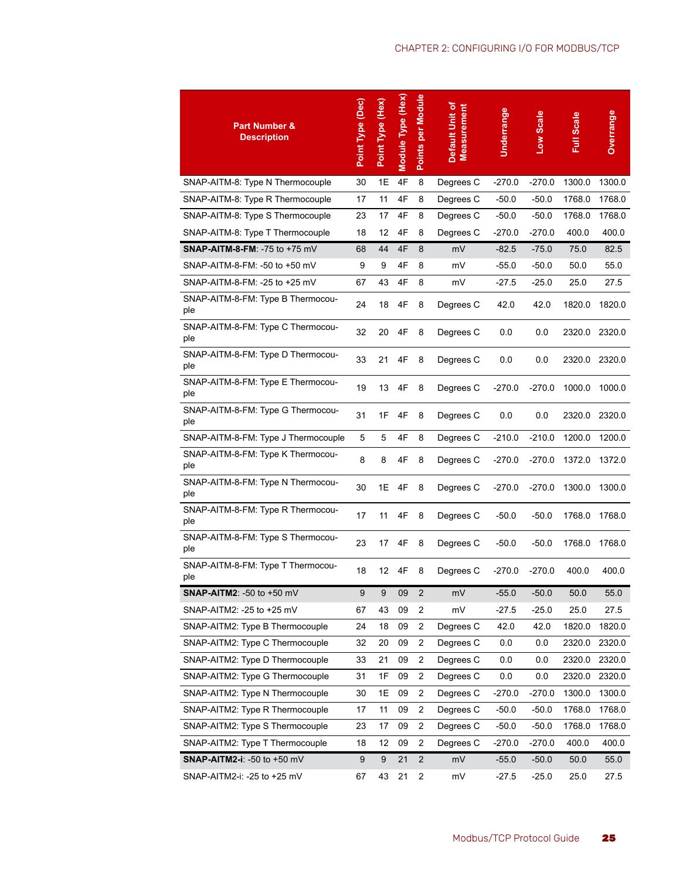| <b>Part Number &amp;</b><br><b>Description</b> | Point Type (Dec) | Point Type (Hex)  | Module Type (Hex) | Points per Module | Default Unit of<br>Measurement | Underrange | Low Scale | <b>Full Scale</b> | Overrange |
|------------------------------------------------|------------------|-------------------|-------------------|-------------------|--------------------------------|------------|-----------|-------------------|-----------|
| SNAP-AITM-8: Type N Thermocouple               | 30               | 1Ε                | 4F                | 8                 | Degrees C                      | $-270.0$   | $-270.0$  | 1300.0            | 1300.0    |
| SNAP-AITM-8: Type R Thermocouple               | 17               | 11                | 4F                | 8                 | Degrees C                      | $-50.0$    | $-50.0$   | 1768.0            | 1768.0    |
| SNAP-AITM-8: Type S Thermocouple               | 23               | 17                | 4F                | 8                 | Degrees C                      | $-50.0$    | $-50.0$   | 1768.0            | 1768.0    |
| SNAP-AITM-8: Type T Thermocouple               | 18               | 12                | 4F                | 8                 | Degrees C                      | $-270.0$   | $-270.0$  | 400.0             | 400.0     |
| <b>SNAP-AITM-8-FM: -75 to +75 mV</b>           | 68               | 44                | 4F                | 8                 | mV                             | $-82.5$    | $-75.0$   | 75.0              | 82.5      |
| SNAP-AITM-8-FM: -50 to +50 mV                  | 9                | 9                 | 4F                | 8                 | mV                             | $-55.0$    | $-50.0$   | 50.0              | 55.0      |
| SNAP-AITM-8-FM: -25 to +25 mV                  | 67               | 43                | 4F                | 8                 | mV                             | $-27.5$    | -25.0     | 25.0              | 27.5      |
| SNAP-AITM-8-FM: Type B Thermocou-<br>ple       | 24               | 18                | 4F                | 8                 | Degrees C                      | 42.0       | 42.0      | 1820.0            | 1820.0    |
| SNAP-AITM-8-FM: Type C Thermocou-<br>ple       | 32               | 20                | 4F                | 8                 | Degrees C                      | 0.0        | 0.0       | 2320.0            | 2320.0    |
| SNAP-AITM-8-FM: Type D Thermocou-<br>ple       | 33               | 21                | 4F                | 8                 | Degrees C                      | 0.0        | 0.0       | 2320.0            | 2320.0    |
| SNAP-AITM-8-FM: Type E Thermocou-<br>ple       | 19               | 13                | 4F                | 8                 | Degrees C                      | $-270.0$   | $-270.0$  | 1000.0            | 1000.0    |
| SNAP-AITM-8-FM: Type G Thermocou-<br>ple       | 31               | 1F                | 4F                | 8                 | Degrees C                      | 0.0        | 0.0       | 2320.0            | 2320.0    |
| SNAP-AITM-8-FM: Type J Thermocouple            | 5                | 5                 | 4F                | 8                 | Degrees C                      | $-210.0$   | $-210.0$  | 1200.0            | 1200.0    |
| SNAP-AITM-8-FM: Type K Thermocou-<br>ple       | 8                | 8                 | 4F                | 8                 | Degrees C                      | $-270.0$   | $-270.0$  | 1372.0            | 1372.0    |
| SNAP-AITM-8-FM: Type N Thermocou-<br>ple       | 30               | 1E                | 4F                | 8                 | Degrees C                      | $-270.0$   | $-270.0$  | 1300.0            | 1300.0    |
| SNAP-AITM-8-FM: Type R Thermocou-<br>ple       | 17               | 11                | 4F                | 8                 | Degrees C                      | $-50.0$    | $-50.0$   | 1768.0            | 1768.0    |
| SNAP-AITM-8-FM: Type S Thermocou-<br>ple       | 23               | 17                | 4F                | 8                 | Degrees C                      | $-50.0$    | $-50.0$   | 1768.0            | 1768.0    |
| SNAP-AITM-8-FM: Type T Thermocou-<br>ple       | 18               | $12 \overline{ }$ | 4F                | 8                 | Degrees C                      | $-270.0$   | $-270.0$  | 400.0             | 400.0     |
| <b>SNAP-AITM2: -50 to +50 mV</b>               | 9                | 9                 | 09                | $\overline{2}$    | mV                             | $-55.0$    | -50.0     | 50.0              | 55.0      |
| SNAP-AITM2: -25 to +25 mV                      | 67               | 43                | 09                | 2                 | mV                             | $-27.5$    | $-25.0$   | 25.0              | 27.5      |
| SNAP-AITM2: Type B Thermocouple                | 24               | 18                | 09                | 2                 | Degrees C                      | 42.0       | 42.0      | 1820.0            | 1820.0    |
| SNAP-AITM2: Type C Thermocouple                | 32               | 20                | 09                | 2                 | Degrees C                      | 0.0        | 0.0       | 2320.0            | 2320.0    |
| SNAP-AITM2: Type D Thermocouple                | 33               | 21                | 09                | 2                 | Degrees C                      | 0.0        | 0.0       | 2320.0            | 2320.0    |
| SNAP-AITM2: Type G Thermocouple                | 31               | 1F                | 09                | 2                 | Degrees C                      | 0.0        | 0.0       | 2320.0            | 2320.0    |
| SNAP-AITM2: Type N Thermocouple                | 30               | 1Ε                | 09                | 2                 | Degrees C                      | -270.0     | $-270.0$  | 1300.0            | 1300.0    |
| SNAP-AITM2: Type R Thermocouple                | 17               | 11                | 09                | 2                 | Degrees C                      | $-50.0$    | -50.0     | 1768.0            | 1768.0    |
| SNAP-AITM2: Type S Thermocouple                | 23               | 17                | 09                | 2                 | Degrees C                      | $-50.0$    | -50.0     | 1768.0            | 1768.0    |
| SNAP-AITM2: Type T Thermocouple                | 18               | 12                | 09                | 2                 | Degrees C                      | -270.0     | $-270.0$  | 400.0             | 400.0     |
| SNAP-AITM2-i: -50 to +50 mV                    | 9                | 9                 | 21                | $\overline{2}$    | mV                             | $-55.0$    | $-50.0$   | 50.0              | 55.0      |
| SNAP-AITM2-i: -25 to +25 mV                    | 67               | 43                | 21                | $\overline{c}$    | mV                             | $-27.5$    | $-25.0$   | 25.0              | 27.5      |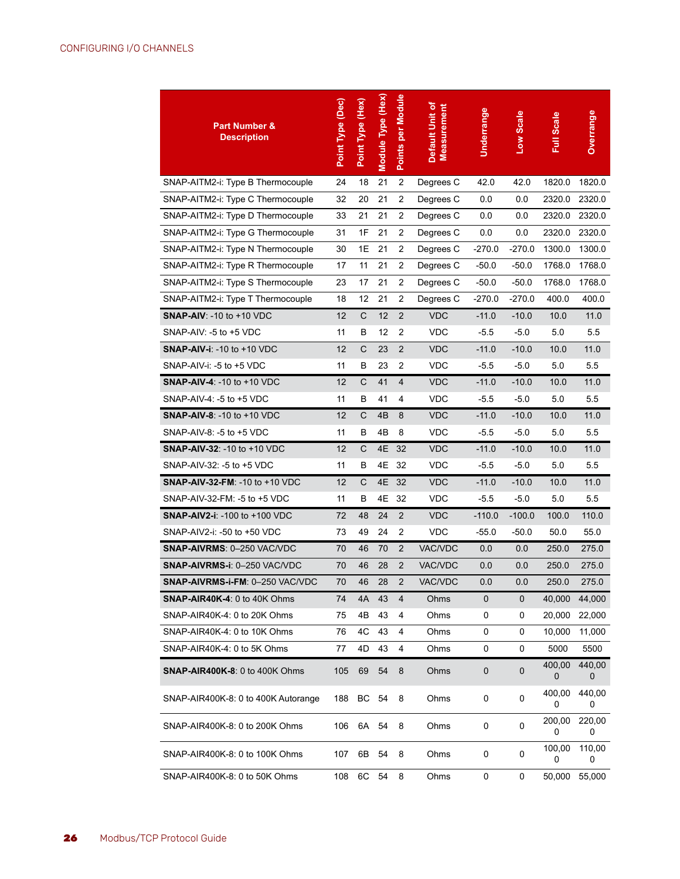| <b>Part Number &amp;</b><br><b>Description</b> | Point Type (Dec) | Point Type (Hex) | Module Type (Hex) | Points per Module | Default Unit of<br><b>Measurement</b> | Underrange | Low Scale | <b>Full Scale</b> | Overrange   |
|------------------------------------------------|------------------|------------------|-------------------|-------------------|---------------------------------------|------------|-----------|-------------------|-------------|
| SNAP-AITM2-i: Type B Thermocouple              | 24               | 18               | 21                | $\overline{2}$    | Degrees C                             | 42.0       | 42.0      | 1820.0            | 1820.0      |
| SNAP-AITM2-i: Type C Thermocouple              | 32               | 20               | 21                | $\overline{2}$    | Degrees C                             | 0.0        | 0.0       | 2320.0            | 2320.0      |
| SNAP-AITM2-i: Type D Thermocouple              | 33               | 21               | 21                | 2                 | Degrees C                             | 0.0        | 0.0       | 2320.0            | 2320.0      |
| SNAP-AITM2-i: Type G Thermocouple              | 31               | 1F               | 21                | 2                 | Degrees C                             | 0.0        | 0.0       | 2320.0            | 2320.0      |
| SNAP-AITM2-i: Type N Thermocouple              | 30               | 1E               | 21                | 2                 | Degrees C                             | -270.0     | $-270.0$  | 1300.0            | 1300.0      |
| SNAP-AITM2-i: Type R Thermocouple              | 17               | 11               | 21                | $\overline{2}$    | Degrees C                             | $-50.0$    | $-50.0$   | 1768.0            | 1768.0      |
| SNAP-AITM2-i: Type S Thermocouple              | 23               | 17               | 21                | 2                 | Degrees C                             | $-50.0$    | $-50.0$   | 1768.0            | 1768.0      |
| SNAP-AITM2-i: Type T Thermocouple              | 18               | 12               | 21                | 2                 | Degrees C                             | $-270.0$   | $-270.0$  | 400.0             | 400.0       |
| <b>SNAP-AIV: -10 to +10 VDC</b>                | 12               | C                | 12                | $\overline{2}$    | <b>VDC</b>                            | $-11.0$    | $-10.0$   | 10.0              | 11.0        |
| SNAP-AIV: -5 to +5 VDC                         | 11               | B                | 12                | $\overline{2}$    | VDC                                   | $-5.5$     | $-5.0$    | 5.0               | 5.5         |
| <b>SNAP-AIV-i: -10 to +10 VDC</b>              | 12               | C                | 23                | $\overline{2}$    | <b>VDC</b>                            | $-11.0$    | $-10.0$   | 10.0              | 11.0        |
| SNAP-AIV-i: -5 to +5 VDC                       | 11               | В                | 23                | 2                 | <b>VDC</b>                            | $-5.5$     | $-5.0$    | 5.0               | 5.5         |
| <b>SNAP-AIV-4: -10 to +10 VDC</b>              | 12               | C                | 41                | 4                 | <b>VDC</b>                            | $-11.0$    | $-10.0$   | 10.0              | 11.0        |
| SNAP-AIV-4: -5 to +5 VDC                       | 11               | B                | 41                | 4                 | <b>VDC</b>                            | $-5.5$     | $-5.0$    | 5.0               | 5.5         |
| <b>SNAP-AIV-8: -10 to +10 VDC</b>              | 12               | C                | 4B                | 8                 | <b>VDC</b>                            | $-11.0$    | $-10.0$   | 10.0              | 11.0        |
| SNAP-AIV-8: -5 to +5 VDC                       | 11               | В                | 4B                | 8                 | <b>VDC</b>                            | $-5.5$     | $-5.0$    | 5.0               | 5.5         |
| <b>SNAP-AIV-32: -10 to +10 VDC</b>             | 12               | C                | 4E                | 32                | <b>VDC</b>                            | $-11.0$    | $-10.0$   | 10.0              | 11.0        |
| SNAP-AIV-32: -5 to +5 VDC                      | 11               | B                | 4Ε                | 32                | <b>VDC</b>                            | $-5.5$     | $-5.0$    | 5.0               | 5.5         |
| SNAP-AIV-32-FM: -10 to +10 VDC                 | 12               | C                | 4E                | 32                | <b>VDC</b>                            | $-11.0$    | $-10.0$   | 10.0              | 11.0        |
| SNAP-AIV-32-FM: -5 to +5 VDC                   | 11               | В                | 4Ε                | 32                | <b>VDC</b>                            | $-5.5$     | $-5.0$    | 5.0               | 5.5         |
| <b>SNAP-AIV2-i: -100 to +100 VDC</b>           | 72               | 48               | 24                | $\overline{2}$    | <b>VDC</b>                            | $-110.0$   | $-100.0$  | 100.0             | 110.0       |
| SNAP-AIV2-i: -50 to +50 VDC                    | 73               | 49               | 24                | 2                 | VDC                                   | -55.0      | -50.0     | 50.0              | 55.0        |
| <b>SNAP-AIVRMS: 0-250 VAC/VDC</b>              | 70               | 46               | 70                | $\overline{2}$    | VAC/VDC                               | 0.0        | 0.0       | 250.0             | 275.0       |
| SNAP-AIVRMS-i: 0-250 VAC/VDC                   | 70               | 46               | 28                | $\overline{2}$    | VAC/VDC                               | 0.0        | 0.0       | 250.0             | 275.0       |
| SNAP-AIVRMS-i-FM: 0-250 VAC/VDC                | 70               | 46               | 28                | $\overline{2}$    | <b>VAC/VDC</b>                        | 0.0        | 0.0       | 250.0             | 275.0       |
| <b>SNAP-AIR40K-4: 0 to 40K Ohms</b>            | 74               | 4A               | 43                | 4                 | Ohms                                  | 0          | 0         | 40,000            | 44,000      |
| SNAP-AIR40K-4: 0 to 20K Ohms                   | 75               | 4B               | 43                | 4                 | Ohms                                  | 0          | 0         | 20,000            | 22,000      |
| SNAP-AIR40K-4: 0 to 10K Ohms                   | 76               | 4C               | 43                | 4                 | Ohms                                  | 0          | 0         | 10,000            | 11,000      |
| SNAP-AIR40K-4: 0 to 5K Ohms                    | 77               | 4D               | 43                | 4                 | Ohms                                  | 0          | 0         | 5000              | 5500        |
| <b>SNAP-AIR400K-8: 0 to 400K Ohms</b>          | 105              | 69               | 54                | 8                 | Ohms                                  | 0          | 0         | 400,00<br>0       | 440,00<br>0 |
| SNAP-AIR400K-8: 0 to 400K Autorange            | 188              | BС               | 54                | 8                 | Ohms                                  | 0          | 0         | 400,00<br>0       | 440,00<br>0 |
| SNAP-AIR400K-8: 0 to 200K Ohms                 | 106              | 6A 54            |                   | 8                 | Ohms                                  | 0          | 0         | 200,00<br>0       | 220,00<br>0 |
| SNAP-AIR400K-8: 0 to 100K Ohms                 | 107              | 6B               | 54                | 8                 | Ohms                                  | 0          | 0         | 100,00<br>0       | 110,00<br>0 |
| SNAP-AIR400K-8: 0 to 50K Ohms                  | 108              | 6C               | 54                | 8                 | Ohms                                  | 0          | 0         | 50,000            | 55,000      |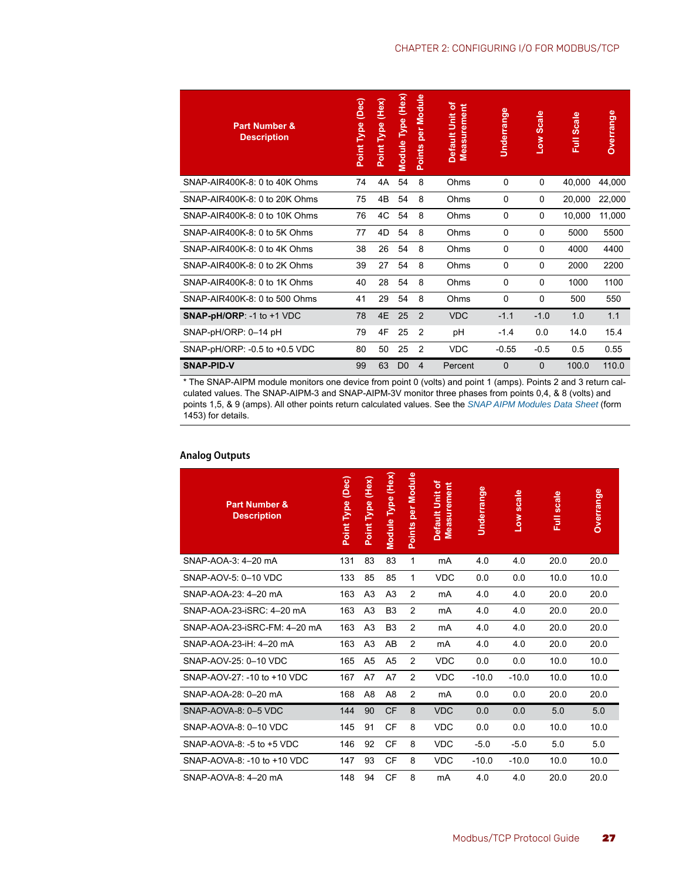| <b>Part Number &amp;</b><br><b>Description</b> | (Dec)<br>Point Type | (Hex)<br>Type<br>Point | Module Type (Hex) | per Module<br><b>Points</b> | Default Unit of<br><b>Measurement</b> | Underrange | <b>Scale</b><br><b>MOT</b> | <b>Full Scale</b> | <b>Overrange</b> |
|------------------------------------------------|---------------------|------------------------|-------------------|-----------------------------|---------------------------------------|------------|----------------------------|-------------------|------------------|
| SNAP-AIR400K-8: 0 to 40K Ohms                  | 74                  | 4A                     | 54                | 8                           | Ohms                                  | 0          | 0                          | 40,000            | 44,000           |
| SNAP-AIR400K-8: 0 to 20K Ohms                  | 75                  | 4B                     | 54                | 8                           | Ohms                                  | $\Omega$   | 0                          | 20,000            | 22,000           |
| SNAP-AIR400K-8: 0 to 10K Ohms                  | 76                  | 4C                     | 54                | 8                           | Ohms                                  | 0          | $\Omega$                   | 10,000            | 11,000           |
| SNAP-AIR400K-8: 0 to 5K Ohms                   | 77                  | 4D                     | 54                | 8                           | Ohms                                  | $\Omega$   | $\Omega$                   | 5000              | 5500             |
| SNAP-AIR400K-8: 0 to 4K Ohms                   | 38                  | 26                     | 54                | 8                           | Ohms                                  | $\Omega$   | $\Omega$                   | 4000              | 4400             |
| SNAP-AIR400K-8: 0 to 2K Ohms                   | 39                  | 27                     | 54                | 8                           | Ohms                                  | $\Omega$   | $\Omega$                   | 2000              | 2200             |
| SNAP-AIR400K-8: 0 to 1K Ohms                   | 40                  | 28                     | 54                | 8                           | Ohms                                  | $\Omega$   | 0                          | 1000              | 1100             |
| SNAP-AIR400K-8: 0 to 500 Ohms                  | 41                  | 29                     | 54                | 8                           | Ohms                                  | 0          | $\Omega$                   | 500               | 550              |
| <b>SNAP-pH/ORP: -1 to +1 VDC</b>               | 78                  | 4E                     | 25                | 2                           | <b>VDC</b>                            | $-1.1$     | $-1.0$                     | 1.0               | 1.1              |
| SNAP-pH/ORP: 0-14 pH                           | 79                  | 4F                     | 25                | 2                           | рH                                    | $-1.4$     | 0.0                        | 14.0              | 15.4             |
| SNAP-pH/ORP: - 0.5 to +0.5 VDC                 | 80                  | 50                     | 25                | 2                           | <b>VDC</b>                            | $-0.55$    | $-0.5$                     | 0.5               | 0.55             |
| <b>SNAP-PID-V</b>                              | 99                  | 63                     | D <sub>0</sub>    | 4                           | Percent                               | $\Omega$   | $\Omega$                   | 100.0             | 110.0            |

\* The SNAP-AIPM module monitors one device from point 0 (volts) and point 1 (amps). Points 2 and 3 return calculated values. The SNAP-AIPM-3 and SNAP-AIPM-3V monitor three phases from points 0,4, & 8 (volts) and points 1,5, & 9 (amps). All other points return calculated values. See the *[SNAP AIPM Modules Data Sheet](http://www.opto22.com/site/documents/drilldown.aspx?aid=1873)* (form 1453) for details.

| <b>Part Number &amp;</b><br><b>Description</b> | Point Type (Dec) | Point Type (Hex) | Module Type (Hex) | per Module<br>Points | Default Unit of<br><b>Measurement</b> | Underrange | Low scale | <b>Full scale</b> | Overrange |
|------------------------------------------------|------------------|------------------|-------------------|----------------------|---------------------------------------|------------|-----------|-------------------|-----------|
| SNAP-AOA-3: 4-20 mA                            | 131              | 83               | 83                | 1                    | mA                                    | 4.0        | 4.0       | 20.0              | 20.0      |
| SNAP-AOV-5: 0-10 VDC                           | 133              | 85               | 85                | 1                    | <b>VDC</b>                            | 0.0        | 0.0       | 10.0              | 10.0      |
| SNAP-AOA-23: 4-20 mA                           | 163              | A <sub>3</sub>   | A <sub>3</sub>    | 2                    | mA                                    | 4.0        | 4.0       | 20.0              | 20.0      |
| SNAP-AOA-23-iSRC: 4-20 mA                      | 163              | A <sub>3</sub>   | B <sub>3</sub>    | 2                    | mA                                    | 4.0        | 4.0       | 20.0              | 20.0      |
| SNAP-AOA-23-iSRC-FM: 4-20 mA                   | 163              | A <sub>3</sub>   | B <sub>3</sub>    | 2                    | mA                                    | 4.0        | 4.0       | 20.0              | 20.0      |
| SNAP-AOA-23-iH: 4-20 mA                        | 163              | A <sub>3</sub>   | AB                | 2                    | mA                                    | 4.0        | 4.0       | 20.0              | 20.0      |
| SNAP-AOV-25: 0-10 VDC                          | 165              | A <sub>5</sub>   | A <sub>5</sub>    | 2                    | <b>VDC</b>                            | 0.0        | 0.0       | 10.0              | 10.0      |
| SNAP-AOV-27: -10 to +10 VDC                    | 167              | A7               | A7                | 2                    | <b>VDC</b>                            | $-10.0$    | $-10.0$   | 10.0              | 10.0      |
| SNAP-AOA-28: 0-20 mA                           | 168              | A <sub>8</sub>   | A <sub>8</sub>    | 2                    | mA                                    | 0.0        | 0.0       | 20.0              | 20.0      |
| SNAP-AOVA-8: 0-5 VDC                           | 144              | 90               | <b>CF</b>         | 8                    | <b>VDC</b>                            | 0.0        | 0.0       | 5.0               | 5.0       |
| SNAP-AOVA-8: 0-10 VDC                          | 145              | 91               | CF                | 8                    | <b>VDC</b>                            | 0.0        | 0.0       | 10.0              | 10.0      |
| SNAP-AOVA-8: -5 to +5 VDC                      | 146              | 92               | <b>CF</b>         | 8                    | <b>VDC</b>                            | $-5.0$     | $-5.0$    | 5.0               | 5.0       |
| SNAP-AOVA-8: -10 to +10 VDC                    | 147              | 93               | <b>CF</b>         | 8                    | <b>VDC</b>                            | $-10.0$    | $-10.0$   | 10.0              | 10.0      |
| SNAP-AOVA-8: 4-20 mA                           | 148              | 94               | <b>CF</b>         | 8                    | mA                                    | 4.0        | 4.0       | 20.0              | 20.0      |

#### <span id="page-30-0"></span>**Analog Outputs**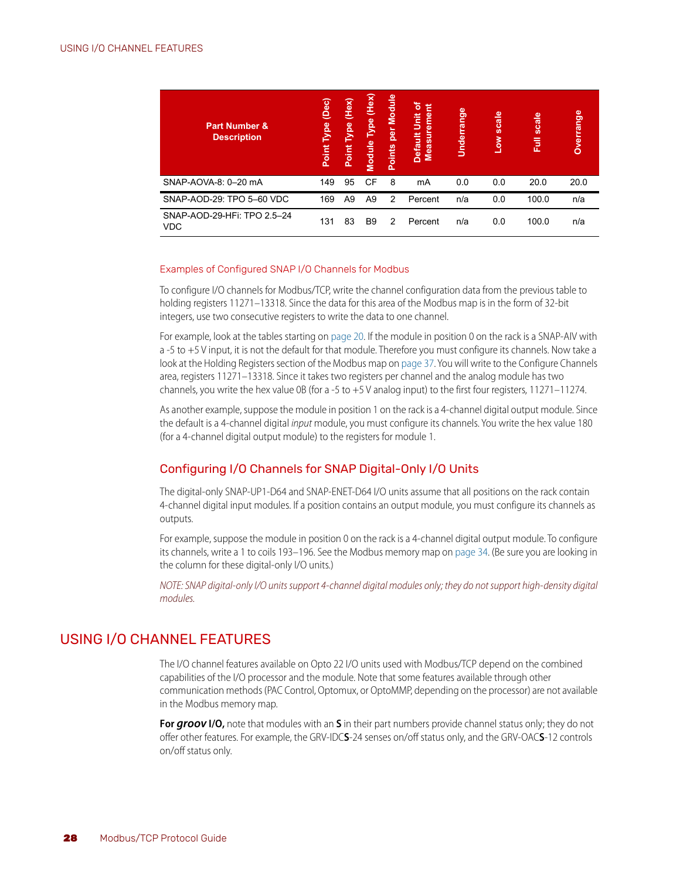| <b>Part Number &amp;</b><br><b>Description</b> | (Dec)<br><b>Type</b><br>Point | Type (Hex)<br>Point | (Hex)<br><b>Type</b><br>Module | Module<br>per<br>Points | ৳<br>Default Unit<br><b>Measureme</b> | Underrange | <b>scale</b><br>$\overline{\mathsf{S}}$ | scale<br>巨 | Overrange |
|------------------------------------------------|-------------------------------|---------------------|--------------------------------|-------------------------|---------------------------------------|------------|-----------------------------------------|------------|-----------|
| SNAP-AOVA-8: 0-20 mA                           | 149                           | 95                  | <b>CF</b>                      | 8                       | mA                                    | 0.0        | 0.0                                     | 20.0       | 20.0      |
| SNAP-AOD-29: TPO 5-60 VDC                      | 169                           | A <sub>9</sub>      | A <sub>9</sub>                 | $\mathcal{P}$           | Percent                               | n/a        | 0.0                                     | 100.0      | n/a       |
| SNAP-AOD-29-HFi: TPO 2.5-24<br><b>VDC</b>      | 131                           | 83                  | B <sub>9</sub>                 | $\mathcal{P}$           | Percent                               | n/a        | 0.0                                     | 100.0      | n/a       |

#### <span id="page-31-4"></span><span id="page-31-0"></span>Examples of Configured SNAP I/O Channels for Modbus

To configure I/O channels for Modbus/TCP, write the channel configuration data from the previous table to holding registers 11271–13318. Since the data for this area of the Modbus map is in the form of 32-bit integers, use two consecutive registers to write the data to one channel.

For example, look at the tables starting on [page 20](#page-23-1). If the module in position 0 on the rack is a SNAP-AIV with a -5 to +5 V input, it is not the default for that module. Therefore you must configure its channels. Now take a look at the Holding Registers section of the Modbus map on [page 37.](#page-40-1) You will write to the Configure Channels area, registers 11271–13318. Since it takes two registers per channel and the analog module has two channels, you write the hex value 0B (for a -5 to +5 V analog input) to the first four registers, 11271–11274.

As another example, suppose the module in position 1 on the rack is a 4-channel digital output module. Since the default is a 4-channel digital *input* module, you must configure its channels. You write the hex value 180 (for a 4-channel digital output module) to the registers for module 1.

#### <span id="page-31-5"></span><span id="page-31-1"></span>Configuring I/O Channels for SNAP Digital-Only I/O Units

The digital-only SNAP-UP1-D64 and SNAP-ENET-D64 I/O units assume that all positions on the rack contain 4-channel digital input modules. If a position contains an output module, you must configure its channels as outputs.

For example, suppose the module in position 0 on the rack is a 4-channel digital output module. To configure its channels, write a 1 to coils 193–196. See the Modbus memory map on [page 34](#page-37-0). (Be sure you are looking in the column for these digital-only I/O units.)

*NOTE: SNAP digital-only I/O units support 4-channel digital modules only; they do not support high-density digital modules.*

#### <span id="page-31-3"></span><span id="page-31-2"></span>USING I/O CHANNEL FEATURES

The I/O channel features available on Opto 22 I/O units used with Modbus/TCP depend on the combined capabilities of the I/O processor and the module. Note that some features available through other communication methods (PAC Control, Optomux, or OptoMMP, depending on the processor) are not available in the Modbus memory map.

**For groov I/O,** note that modules with an **S** in their part numbers provide channel status only; they do not offer other features. For example, the GRV-IDC**S**-24 senses on/off status only, and the GRV-OAC**S**-12 controls on/off status only.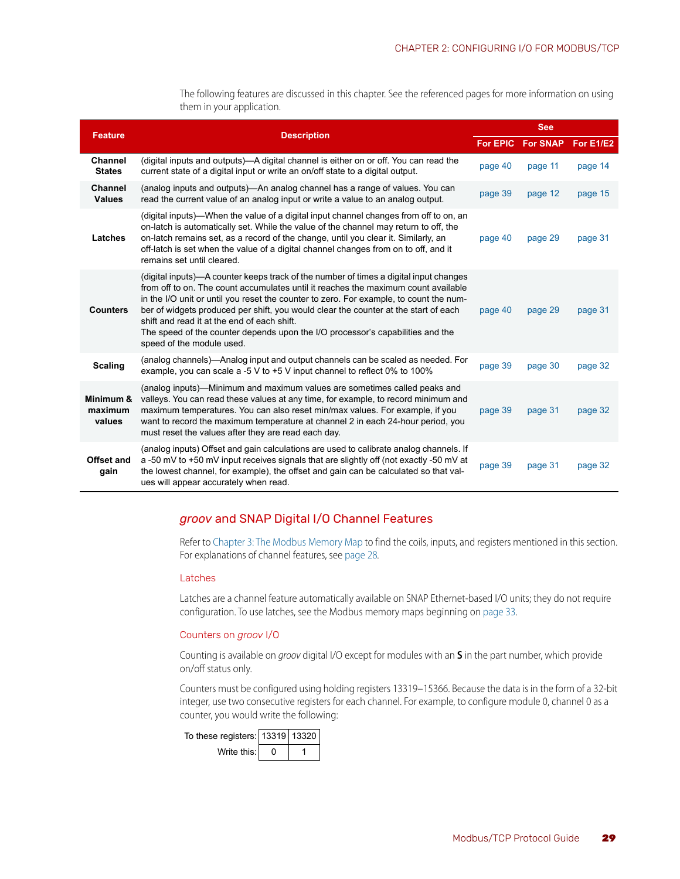<span id="page-32-14"></span>The following features are discussed in this chapter. See the referenced pages for more information on using them in your application.

<span id="page-32-12"></span><span id="page-32-9"></span><span id="page-32-7"></span><span id="page-32-6"></span>

| <b>Feature</b>                  | <b>Description</b>                                                                                                                                                                                                                                                                                                                                                                                                                                                                                                         |                 | <b>See</b>      |           |  |  |  |  |
|---------------------------------|----------------------------------------------------------------------------------------------------------------------------------------------------------------------------------------------------------------------------------------------------------------------------------------------------------------------------------------------------------------------------------------------------------------------------------------------------------------------------------------------------------------------------|-----------------|-----------------|-----------|--|--|--|--|
|                                 |                                                                                                                                                                                                                                                                                                                                                                                                                                                                                                                            | <b>For EPIC</b> | <b>For SNAP</b> | For E1/E2 |  |  |  |  |
| Channel<br><b>States</b>        | (digital inputs and outputs)—A digital channel is either on or off. You can read the<br>current state of a digital input or write an on/off state to a digital output.                                                                                                                                                                                                                                                                                                                                                     | page 40         | page 11         | page 14   |  |  |  |  |
| <b>Channel</b><br><b>Values</b> | (analog inputs and outputs)—An analog channel has a range of values. You can<br>read the current value of an analog input or write a value to an analog output.                                                                                                                                                                                                                                                                                                                                                            | page 39         | page 12         | page 15   |  |  |  |  |
| Latches                         | (digital inputs)—When the value of a digital input channel changes from off to on, an<br>on-latch is automatically set. While the value of the channel may return to off, the<br>on-latch remains set, as a record of the change, until you clear it. Similarly, an<br>off-latch is set when the value of a digital channel changes from on to off, and it<br>remains set until cleared.                                                                                                                                   | page 40         | page 29         | page 31   |  |  |  |  |
| <b>Counters</b>                 | (digital inputs)—A counter keeps track of the number of times a digital input changes<br>from off to on. The count accumulates until it reaches the maximum count available<br>in the I/O unit or until you reset the counter to zero. For example, to count the num-<br>ber of widgets produced per shift, you would clear the counter at the start of each<br>shift and read it at the end of each shift.<br>The speed of the counter depends upon the I/O processor's capabilities and the<br>speed of the module used. | page 40         | page 29         | page 31   |  |  |  |  |
| <b>Scaling</b>                  | (analog channels)—Analog input and output channels can be scaled as needed. For<br>example, you can scale a -5 V to +5 V input channel to reflect 0% to 100%                                                                                                                                                                                                                                                                                                                                                               | page 39         | page 30         | page 32   |  |  |  |  |
| Minimum &<br>maximum<br>values  | (analog inputs)—Minimum and maximum values are sometimes called peaks and<br>valleys. You can read these values at any time, for example, to record minimum and<br>maximum temperatures. You can also reset min/max values. For example, if you<br>want to record the maximum temperature at channel 2 in each 24-hour period, you<br>must reset the values after they are read each day.                                                                                                                                  | page 39         | page 31         | page 32   |  |  |  |  |
| Offset and<br>gain              | (analog inputs) Offset and gain calculations are used to calibrate analog channels. If<br>a-50 mV to +50 mV input receives signals that are slightly off (not exactly -50 mV at<br>the lowest channel, for example), the offset and gain can be calculated so that val-<br>ues will appear accurately when read.                                                                                                                                                                                                           | page 39         | page 31         | page 32   |  |  |  |  |

#### <span id="page-32-13"></span><span id="page-32-10"></span><span id="page-32-5"></span><span id="page-32-4"></span><span id="page-32-3"></span><span id="page-32-0"></span>*groov* and SNAP Digital I/O Channel Features

Refer to [Chapter 3: The Modbus Memory Map](#page-36-3) to find the coils, inputs, and registers mentioned in this section. For explanations of channel features, see [page 28](#page-31-2)*.*

#### <span id="page-32-11"></span><span id="page-32-1"></span>Latches

Latches are a channel feature automatically available on SNAP Ethernet-based I/O units; they do not require configuration. To use latches, see the Modbus memory maps beginning on [page 33](#page-36-4).

#### <span id="page-32-8"></span><span id="page-32-2"></span>Counters on *groov* I/O

Counting is available on *groov* digital I/O except for modules with an **S** in the part number, which provide on/off status only.

Counters must be configured using holding registers 13319–15366. Because the data is in the form of a 32-bit integer, use two consecutive registers for each channel. For example, to configure module 0, channel 0 as a counter, you would write the following:

| To these registers:   13319   13320 |  |
|-------------------------------------|--|
| Write this: I                       |  |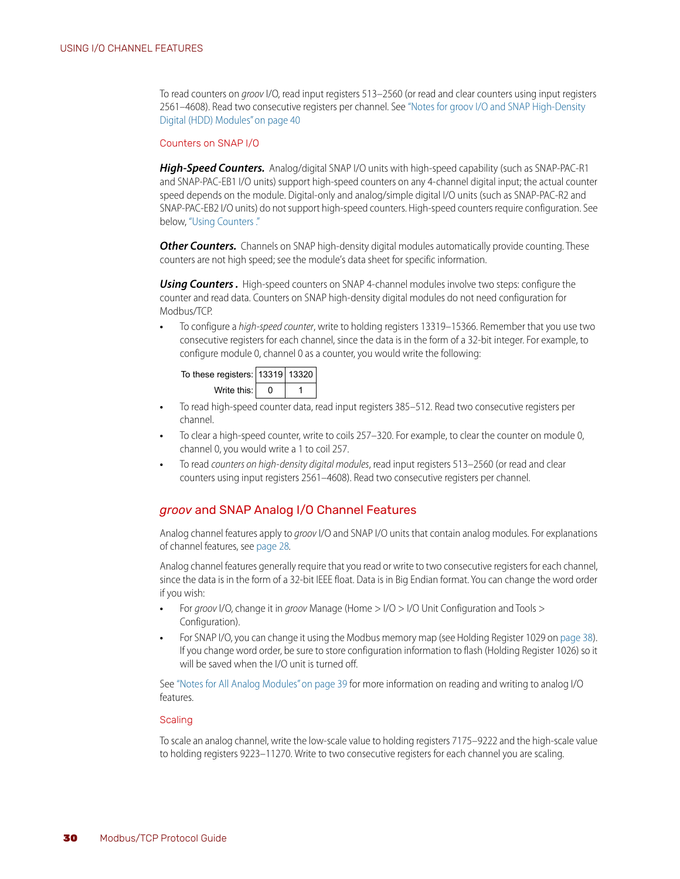To read counters on *groov* I/O, read input registers 513–2560 (or read and clear counters using input registers 2561–4608). Read two consecutive registers per channel. See ["Notes for groov I/O and SNAP High-Density](#page-43-3)  [Digital \(HDD\) Modules" on page 40](#page-43-3)

#### <span id="page-33-4"></span><span id="page-33-0"></span>Counters on SNAP I/O

*High-Speed Counters.* Analog/digital SNAP I/O units with high-speed capability (such as SNAP-PAC-R1 and SNAP-PAC-EB1 I/O units) support high-speed counters on any 4-channel digital input; the actual counter speed depends on the module. Digital-only and analog/simple digital I/O units (such as SNAP-PAC-R2 and SNAP-PAC-EB2 I/O units) do not support high-speed counters. High-speed counters require configuration. See below, ["Using Counters ."](#page-33-3) 

**Other Counters.** Channels on SNAP high-density digital modules automatically provide counting. These counters are not high speed; see the module's data sheet for specific information.

<span id="page-33-3"></span>**Using Counters.** High-speed counters on SNAP 4-channel modules involve two steps: configure the counter and read data. Counters on SNAP high-density digital modules do not need configuration for Modbus/TCP.

**•** To configure a *high-speed counter*, write to holding registers 13319–15366. Remember that you use two consecutive registers for each channel, since the data is in the form of a 32-bit integer. For example, to configure module 0, channel 0 as a counter, you would write the following:



- **•** To read high-speed counter data, read input registers 385–512. Read two consecutive registers per channel.
- **•** To clear a high-speed counter, write to coils 257–320. For example, to clear the counter on module 0, channel 0, you would write a 1 to coil 257.
- **•** To read *counters on high-density digital modules*, read input registers 513–2560 (or read and clear counters using input registers 2561–4608). Read two consecutive registers per channel.

#### <span id="page-33-5"></span><span id="page-33-1"></span>*groov* and SNAP Analog I/O Channel Features

Analog channel features apply to *groov* I/O and SNAP I/O units that contain analog modules. For explanations of channel features, see [page 28](#page-31-2)*.*

<span id="page-33-7"></span>Analog channel features generally require that you read or write to two consecutive registers for each channel, since the data is in the form of a 32-bit IEEE float. Data is in Big Endian format. You can change the word order if you wish:

- **•** For *groov* I/O, change it in *groov* Manage (Home > I/O > I/O Unit Configuration and Tools > Configuration).
- **•** For SNAP I/O, you can change it using the Modbus memory map (see Holding Register 1029 on [page 38\)](#page-41-0). If you change word order, be sure to store configuration information to flash (Holding Register 1026) so it will be saved when the I/O unit is turned off.

See ["Notes for All Analog Modules" on page 39](#page-42-2) for more information on reading and writing to analog I/O features.

#### <span id="page-33-6"></span><span id="page-33-2"></span>**Scaling**

To scale an analog channel, write the low-scale value to holding registers 7175–9222 and the high-scale value to holding registers 9223–11270. Write to two consecutive registers for each channel you are scaling.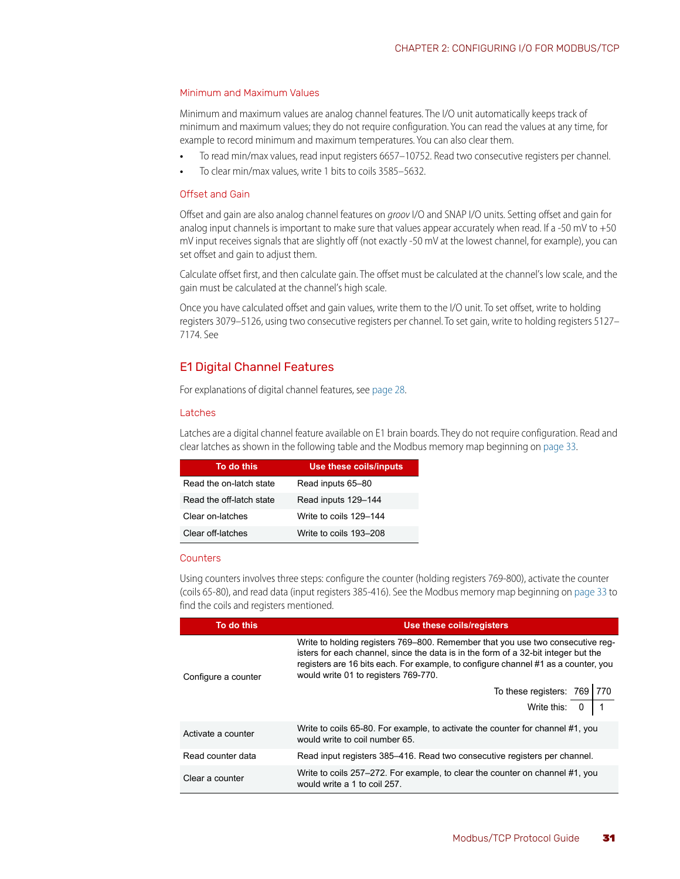#### <span id="page-34-6"></span><span id="page-34-0"></span>Minimum and Maximum Values

Minimum and maximum values are analog channel features. The I/O unit automatically keeps track of minimum and maximum values; they do not require configuration. You can read the values at any time, for example to record minimum and maximum temperatures. You can also clear them.

- **•** To read min/max values, read input registers 6657–10752. Read two consecutive registers per channel.
- **•** To clear min/max values, write 1 bits to coils 3585–5632.

#### <span id="page-34-5"></span><span id="page-34-1"></span>Offset and Gain

Offset and gain are also analog channel features on *groov* I/O and SNAP I/O units. Setting offset and gain for analog input channels is important to make sure that values appear accurately when read. If a -50 mV to +50 mV input receives signals that are slightly off (not exactly -50 mV at the lowest channel, for example), you can set offset and gain to adjust them.

Calculate offset first, and then calculate gain. The offset must be calculated at the channel's low scale, and the gain must be calculated at the channel's high scale.

Once you have calculated offset and gain values, write them to the I/O unit. To set offset, write to holding registers 3079–5126, using two consecutive registers per channel. To set gain, write to holding registers 5127– 7174. See

#### <span id="page-34-8"></span><span id="page-34-2"></span>E1 Digital Channel Features

For explanations of digital channel features, see [page 28.](#page-31-2)

#### <span id="page-34-9"></span><span id="page-34-3"></span>Latches

Latches are a digital channel feature available on E1 brain boards. They do not require configuration. Read and clear latches as shown in the following table and the Modbus memory map beginning on [page 33.](#page-36-4)

| To do this               | Use these coils/inputs |
|--------------------------|------------------------|
| Read the on-latch state  | Read inputs 65-80      |
| Read the off-latch state | Read inputs 129-144    |
| Clear on-latches         | Write to coils 129–144 |
| Clear off-latches        | Write to coils 193–208 |

#### <span id="page-34-7"></span><span id="page-34-4"></span>**Counters**

Using counters involves three steps: configure the counter (holding registers 769-800), activate the counter (coils 65-80), and read data (input registers 385-416). See the Modbus memory map beginning on [page 33](#page-36-4) to find the coils and registers mentioned.

| To do this          | Use these coils/registers                                                                                                                                                                                                                                                                          |
|---------------------|----------------------------------------------------------------------------------------------------------------------------------------------------------------------------------------------------------------------------------------------------------------------------------------------------|
| Configure a counter | Write to holding registers 769–800. Remember that you use two consecutive reg-<br>isters for each channel, since the data is in the form of a 32-bit integer but the<br>registers are 16 bits each. For example, to configure channel #1 as a counter, you<br>would write 01 to registers 769-770. |
|                     | To these registers: $769$ 770                                                                                                                                                                                                                                                                      |
|                     | Write this: $0 \mid 1$                                                                                                                                                                                                                                                                             |
| Activate a counter  | Write to coils 65-80. For example, to activate the counter for channel #1, you<br>would write to coil number 65.                                                                                                                                                                                   |
| Read counter data   | Read input registers 385–416. Read two consecutive registers per channel.                                                                                                                                                                                                                          |
| Clear a counter     | Write to coils 257-272. For example, to clear the counter on channel #1, you<br>would write a 1 to coil 257.                                                                                                                                                                                       |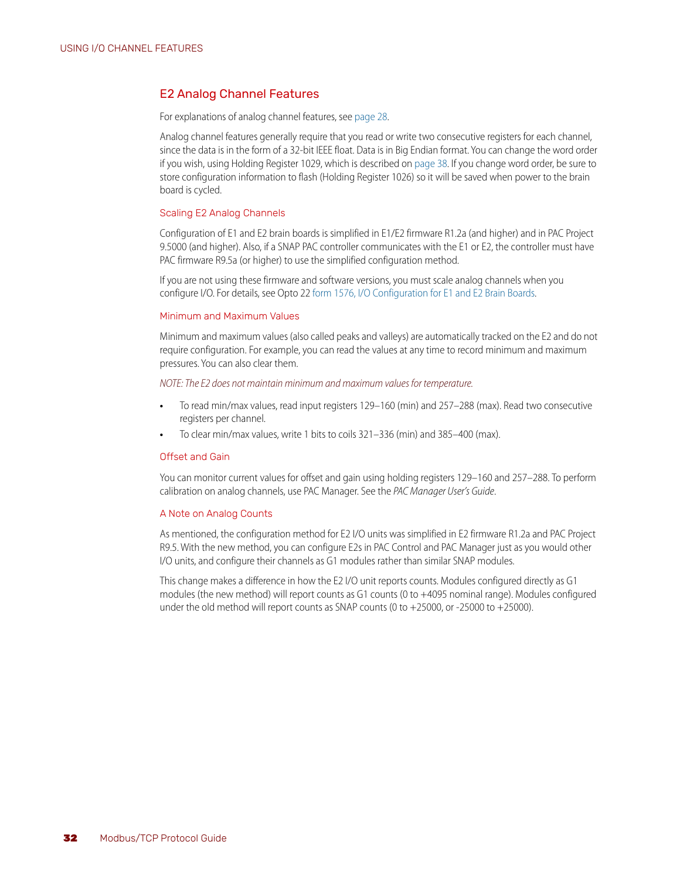#### <span id="page-35-5"></span><span id="page-35-0"></span>E2 Analog Channel Features

For explanations of analog channel features, see [page 28.](#page-31-2)

Analog channel features generally require that you read or write two consecutive registers for each channel, since the data is in the form of a 32-bit IEEE float. Data is in Big Endian format. You can change the word order if you wish, using Holding Register 1029, which is described on [page 38.](#page-41-0) If you change word order, be sure to store configuration information to flash (Holding Register 1026) so it will be saved when power to the brain board is cycled.

#### <span id="page-35-9"></span><span id="page-35-8"></span><span id="page-35-1"></span>Scaling E2 Analog Channels

Configuration of E1 and E2 brain boards is simplified in E1/E2 firmware R1.2a (and higher) and in PAC Project 9.5000 (and higher). Also, if a SNAP PAC controller communicates with the E1 or E2, the controller must have PAC firmware R9.5a (or higher) to use the simplified configuration method.

If you are not using these firmware and software versions, you must scale analog channels when you configure I/O. For details, see Opto 22 [form 1576, I/O Configuration for E1 and E2 Brain Boards.](http://www.opto22.com/site/documents/drilldown.aspx?aid=1944)

#### <span id="page-35-7"></span><span id="page-35-2"></span>Minimum and Maximum Values

Minimum and maximum values (also called peaks and valleys) are automatically tracked on the E2 and do not require configuration. For example, you can read the values at any time to record minimum and maximum pressures. You can also clear them.

#### *NOTE: The E2 does not maintain minimum and maximum values for temperature.*

- **•** To read min/max values, read input registers 129–160 (min) and 257–288 (max). Read two consecutive registers per channel.
- <span id="page-35-6"></span>**•** To clear min/max values, write 1 bits to coils 321–336 (min) and 385–400 (max).

#### <span id="page-35-3"></span>Offset and Gain

You can monitor current values for offset and gain using holding registers 129–160 and 257–288. To perform calibration on analog channels, use PAC Manager. See the *PAC Manager User's Guide*.

#### <span id="page-35-4"></span>A Note on Analog Counts

As mentioned, the configuration method for E2 I/O units was simplified in E2 firmware R1.2a and PAC Project R9.5. With the new method, you can configure E2s in PAC Control and PAC Manager just as you would other I/O units, and configure their channels as G1 modules rather than similar SNAP modules.

This change makes a difference in how the E2 I/O unit reports counts. Modules configured directly as G1 modules (the new method) will report counts as G1 counts (0 to +4095 nominal range). Modules configured under the old method will report counts as SNAP counts (0 to +25000, or -25000 to +25000).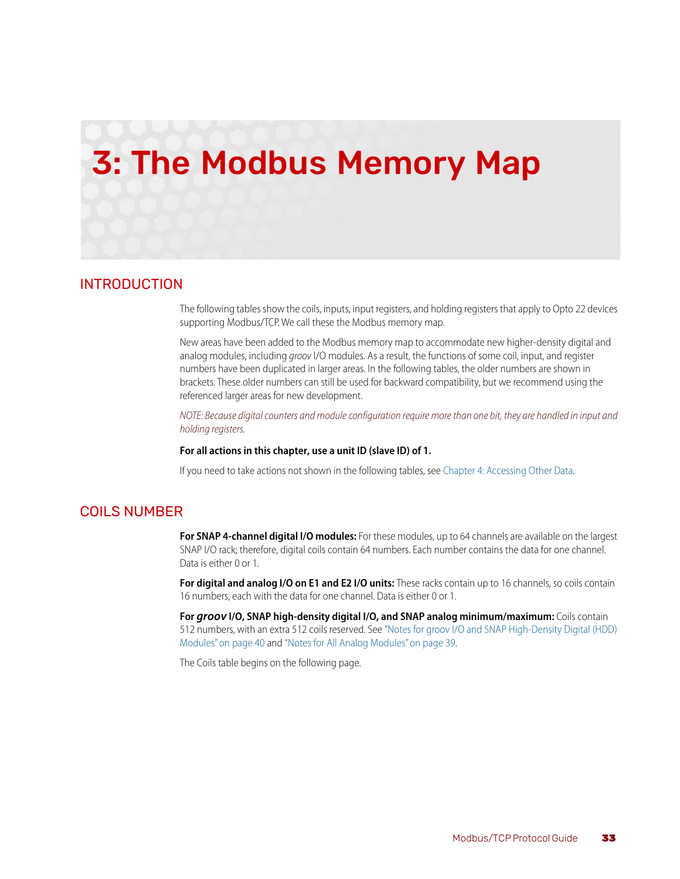# <span id="page-36-5"></span><span id="page-36-3"></span><span id="page-36-0"></span>3: The Modbus Memory Map

#### <span id="page-36-4"></span><span id="page-36-1"></span>INTRODUCTION

The following tables show the coils, inputs, input registers, and holding registers that apply to Opto 22 devices supporting Modbus/TCP. We call these the Modbus memory map.

New areas have been added to the Modbus memory map to accommodate new higher-density digital and analog modules, including *groov* I/O modules. As a result, the functions of some coil, input, and register numbers have been duplicated in larger areas. In the following tables, the older numbers are shown in brackets. These older numbers can still be used for backward compatibility, but we recommend using the referenced larger areas for new development.

*NOTE: Because digital counters and module configuration require more than one bit, they are handled in input and holding registers.*

#### **For all actions in this chapter, use a unit ID (slave ID) of 1.**

If you need to take actions not shown in the following tables, see [Chapter 4: Accessing Other Data.](#page-46-4)

#### <span id="page-36-6"></span><span id="page-36-2"></span>COILS NUMBER

**For SNAP 4-channel digital I/O modules:** For these modules, up to 64 channels are available on the largest SNAP I/O rack; therefore, digital coils contain 64 numbers. Each number contains the data for one channel. Data is either 0 or 1.

**For digital and analog I/O on E1 and E2 I/O units:** These racks contain up to 16 channels, so coils contain 16 numbers, each with the data for one channel. Data is either 0 or 1.

**For** *groov* **I/O, SNAP high-density digital I/O, and SNAP analog minimum/maximum:** Coils contain 512 numbers, with an extra 512 coils reserved. See ["Notes for groov I/O and SNAP High-Density Digital \(HDD\)](#page-43-1)  [Modules" on page 40](#page-43-1) and ["Notes for All Analog Modules" on page 39](#page-42-0).

The Coils table begins on the following page.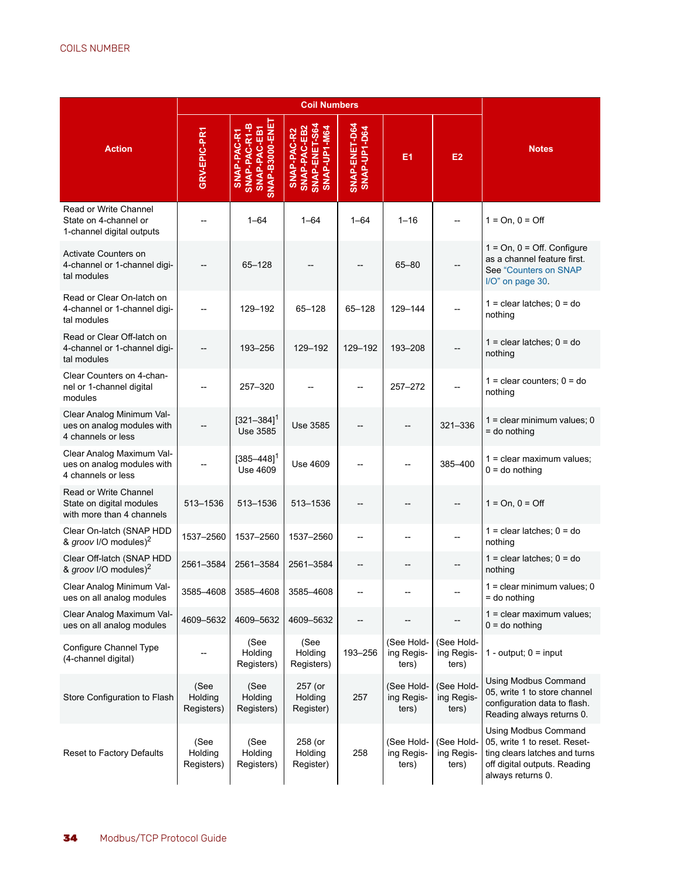<span id="page-37-0"></span>

|                                                                                |                               |                                                                | <b>Coil Numbers</b>                                          |                               |                                   |                                   |                                                                                                                                            |
|--------------------------------------------------------------------------------|-------------------------------|----------------------------------------------------------------|--------------------------------------------------------------|-------------------------------|-----------------------------------|-----------------------------------|--------------------------------------------------------------------------------------------------------------------------------------------|
| <b>Action</b>                                                                  | GRV-EPIC-PR1                  | SNAP-PAC-EB1<br>SNAP-B3000-ENE<br>SNAP-PAC-R1-B<br>SNAP-PAC-R1 | SNAP-PAC-EB2<br>SNAP-ENET-S64<br>SNAP-UP1-M64<br>SNAP-PAC-R2 | SNAP-ENET-D64<br>SNAP-UP1-D64 | E <sub>1</sub>                    | E <sub>2</sub>                    | <b>Notes</b>                                                                                                                               |
| Read or Write Channel<br>State on 4-channel or<br>1-channel digital outputs    |                               | $1 - 64$                                                       | $1 - 64$                                                     | $1 - 64$                      | $1 - 16$                          |                                   | $1 = On, 0 = Off$                                                                                                                          |
| Activate Counters on<br>4-channel or 1-channel digi-<br>tal modules            |                               | 65-128                                                         |                                                              |                               | $65 - 80$                         |                                   | $1 = On, 0 = Off.$ Configure<br>as a channel feature first.<br>See "Counters on SNAP<br>I/O" on page 30.                                   |
| Read or Clear On-latch on<br>4-channel or 1-channel digi-<br>tal modules       |                               | 129-192                                                        | 65-128                                                       | 65-128                        | 129-144                           |                                   | $1 =$ clear latches; $0 =$ do<br>nothing                                                                                                   |
| Read or Clear Off-latch on<br>4-channel or 1-channel digi-<br>tal modules      |                               | 193-256                                                        | 129-192                                                      | 129-192                       | 193-208                           |                                   | $1 =$ clear latches; $0 =$ do<br>nothing                                                                                                   |
| Clear Counters on 4-chan-<br>nel or 1-channel digital<br>modules               |                               | 257-320                                                        |                                                              |                               | $257 - 272$                       |                                   | $1 =$ clear counters; $0 =$ do<br>nothing                                                                                                  |
| Clear Analog Minimum Val-<br>ues on analog modules with<br>4 channels or less  |                               | $[321 - 384]$ <sup>1</sup><br>Use 3585                         | Use 3585                                                     |                               |                                   | 321-336                           | 1 = clear minimum values; 0<br>= do nothing                                                                                                |
| Clear Analog Maximum Val-<br>ues on analog modules with<br>4 channels or less  |                               | $[385 - 448]$ <sup>1</sup><br>Use 4609                         | Use 4609                                                     |                               |                                   | 385-400                           | $1 =$ clear maximum values;<br>$0 =$ do nothing                                                                                            |
| Read or Write Channel<br>State on digital modules<br>with more than 4 channels | 513-1536                      | 513-1536                                                       | 513-1536                                                     |                               |                                   |                                   | $1 = On, 0 = Off$                                                                                                                          |
| Clear On-latch (SNAP HDD<br>& groov I/O modules) <sup>2</sup>                  | 1537-2560                     | 1537-2560                                                      | 1537-2560                                                    |                               |                                   |                                   | $1 =$ clear latches; $0 =$ do<br>nothing                                                                                                   |
| Clear Off-latch (SNAP HDD<br>& groov I/O modules) <sup>2</sup>                 | 2561-3584                     | 2561-3584                                                      | 2561-3584                                                    | --                            |                                   |                                   | $1 =$ clear latches; $0 =$ do<br>nothing                                                                                                   |
| Clear Analog Minimum Val-<br>ues on all analog modules                         | 3585-4608                     | 3585–4608                                                      | 3585–4608                                                    |                               |                                   |                                   | $1 =$ clear minimum values; 0<br>$=$ do nothing                                                                                            |
| Clear Analog Maximum Val-<br>ues on all analog modules                         | 4609-5632                     | 4609–5632                                                      | 4609-5632                                                    |                               |                                   |                                   | $1 =$ clear maximum values;<br>$0 =$ do nothing                                                                                            |
| Configure Channel Type<br>(4-channel digital)                                  |                               | (See<br>Holding<br>Registers)                                  | (See<br>Holding<br>Registers)                                | 193-256                       | (See Hold-<br>ing Regis-<br>ters) | (See Hold-<br>ing Regis-<br>ters) | 1 - output; $0 =$ input                                                                                                                    |
| Store Configuration to Flash                                                   | (See<br>Holding<br>Registers) | (See<br>Holding<br>Registers)                                  | 257 (or<br>Holding<br>Register)                              | 257                           | (See Hold-<br>ing Regis-<br>ters) | (See Hold-<br>ing Regis-<br>ters) | <b>Using Modbus Command</b><br>05, write 1 to store channel<br>configuration data to flash.<br>Reading always returns 0.                   |
| Reset to Factory Defaults                                                      | (See<br>Holding<br>Registers) | (See<br>Holding<br>Registers)                                  | 258 (or<br>Holding<br>Register)                              | 258                           | (See Hold-<br>ing Regis-<br>ters) | (See Hold-<br>ing Regis-<br>ters) | Using Modbus Command<br>05, write 1 to reset. Reset-<br>ting clears latches and turns<br>off digital outputs. Reading<br>always returns 0. |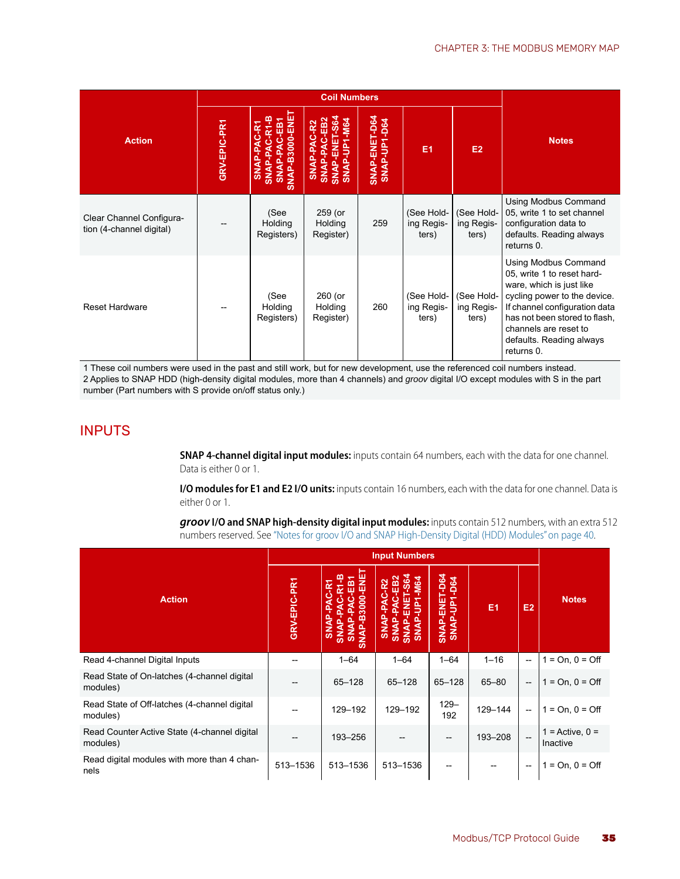|                                                      |              |                                                                                      | <b>Coil Numbers</b>                                                               |                               |                                   |                                   |                                                                                                                                                                                                                                                     |  |  |
|------------------------------------------------------|--------------|--------------------------------------------------------------------------------------|-----------------------------------------------------------------------------------|-------------------------------|-----------------------------------|-----------------------------------|-----------------------------------------------------------------------------------------------------------------------------------------------------------------------------------------------------------------------------------------------------|--|--|
| <b>Action</b>                                        | GRV-EPIC-PR1 | SNAP-B3000-ENE<br>AC-R1<br>ΕB<br>SNAP-PAC-R1<br>ပ<br><b>SNAP-PA</b><br><b>SNAP-P</b> | SNAP-ENET-S64<br>C-EB2<br><b>SNAP-UP1-M64</b><br>SNAP-PAC-R2<br>ឝ្<br><b>SNAP</b> | SNAP-ENET-D64<br>SNAP-UP1-D64 | E <sub>1</sub>                    | E2                                | <b>Notes</b>                                                                                                                                                                                                                                        |  |  |
| Clear Channel Configura-<br>tion (4-channel digital) |              | (See<br>Holding<br>Registers)                                                        | 259 (or<br>Holding<br>Register)                                                   | 259                           | (See Hold-<br>ing Regis-<br>ters) | (See Hold-<br>ing Regis-<br>ters) | Using Modbus Command<br>05, write 1 to set channel<br>configuration data to<br>defaults. Reading always<br>returns 0.                                                                                                                               |  |  |
| <b>Reset Hardware</b>                                |              | (See<br>Holding<br>Registers)                                                        | 260 (or<br>Holding<br>Register)                                                   | 260                           | (See Hold-<br>ing Regis-<br>ters) | (See Hold-<br>ing Regis-<br>ters) | Using Modbus Command<br>05, write 1 to reset hard-<br>ware, which is just like<br>cycling power to the device.<br>If channel configuration data<br>has not been stored to flash,<br>channels are reset to<br>defaults. Reading always<br>returns 0. |  |  |

1 These coil numbers were used in the past and still work, but for new development, use the referenced coil numbers instead. 2 Applies to SNAP HDD (high-density digital modules, more than 4 channels) and *groov* digital I/O except modules with S in the part number (Part numbers with S provide on/off status only.)

## <span id="page-38-1"></span><span id="page-38-0"></span>INPUTS

**SNAP 4-channel digital input modules:** inputs contain 64 numbers, each with the data for one channel. Data is either 0 or 1.

**I/O modules for E1 and E2 I/O units:** inputs contain 16 numbers, each with the data for one channel. Data is either 0 or 1.

*groov* **I/O and SNAP high-density digital input modules:** inputs contain 512 numbers, with an extra 512 numbers reserved. See ["Notes for groov I/O and SNAP High-Density Digital \(HDD\) Modules" on page 40.](#page-43-1)

|                                                          |              |                                                                                     | <b>Input Numbers</b>                                                                                      |                               |                |                          |                                 |  |
|----------------------------------------------------------|--------------|-------------------------------------------------------------------------------------|-----------------------------------------------------------------------------------------------------------|-------------------------------|----------------|--------------------------|---------------------------------|--|
| <b>Action</b>                                            | GRV-EPIC-PR1 | <b>HENE</b><br>B3000-<br><b>NAP</b><br>$\frac{5}{2}$<br>$\vec{s}$<br>$\vec{s}$<br>ഄ | <b>584</b><br>EB2<br><b>M64</b><br>ш<br>غ<br>ج<br>ш<br><b>SNAP</b><br><b>INNS</b><br>SNA<br>$\frac{5}{2}$ | SNAP-ENET-D64<br>SNAP-UP1-D64 | E <sub>1</sub> | E <sub>2</sub>           | <b>Notes</b>                    |  |
| Read 4-channel Digital Inputs                            | --           | $1 - 64$                                                                            | $1 - 64$                                                                                                  | $1 - 64$                      | $1 - 16$       | $\overline{\phantom{a}}$ | $1 = On, 0 = Off$               |  |
| Read State of On-latches (4-channel digital<br>modules)  |              | $65 - 128$                                                                          | $65 - 128$                                                                                                | 65-128                        | $65 - 80$      | $\overline{\phantom{a}}$ | $1 = On, 0 = Off$               |  |
| Read State of Off-latches (4-channel digital<br>modules) |              | 129-192                                                                             | 129-192                                                                                                   | $129 -$<br>192                | 129-144        | --                       | $1 = On, 0 = Off$               |  |
| Read Counter Active State (4-channel digital<br>modules) |              | 193-256                                                                             |                                                                                                           |                               | 193-208        | $\overline{\phantom{a}}$ | $1 =$ Active, $0 =$<br>Inactive |  |
| Read digital modules with more than 4 chan-<br>nels      | 513-1536     | 513-1536                                                                            | 513-1536                                                                                                  |                               | --             | $\overline{\phantom{a}}$ | $1 = On, 0 = Off$               |  |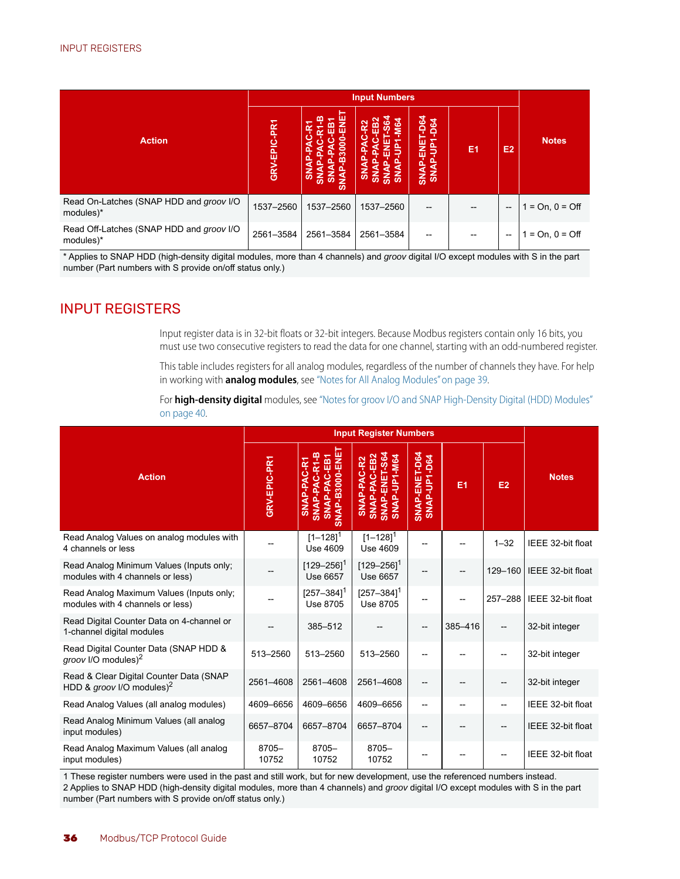|                                                       |              |                                                                  | <b>Input Numbers</b>                         |                                               |                |                |                       |  |
|-------------------------------------------------------|--------------|------------------------------------------------------------------|----------------------------------------------|-----------------------------------------------|----------------|----------------|-----------------------|--|
| <b>Action</b>                                         | GRV-EPIC-PR1 | نا<br>پا<br>3000<br>m<br><b>SNAP</b><br>3<br>$\frac{5}{2}$<br>ဖာ | $\mathfrak{p}$<br><b>B2</b><br>۵ò<br>š<br>ົດ | $-064$<br><b>D64</b><br>ш<br>롭<br><b>SNAP</b> | E <sub>1</sub> | E <sub>2</sub> | <b>Notes</b>          |  |
| Read On-Latches (SNAP HDD and groov I/O<br>modules)*  | 1537-2560    | 1537-2560                                                        | 1537-2560                                    | --                                            |                | --             | $=$ On, 0 = Off<br>1  |  |
| Read Off-Latches (SNAP HDD and groov I/O<br>modules)* | 2561-3584    | 2561-3584                                                        | 2561-3584                                    |                                               |                | $-$            | $=$ On, 0 = Off<br>-1 |  |

\* Applies to SNAP HDD (high-density digital modules, more than 4 channels) and *groov* digital I/O except modules with S in the part number (Part numbers with S provide on/off status only.)

# <span id="page-39-1"></span><span id="page-39-0"></span>INPUT REGISTERS

<span id="page-39-2"></span>Input register data is in 32-bit floats or 32-bit integers. Because Modbus registers contain only 16 bits, you must use two consecutive registers to read the data for one channel, starting with an odd-numbered register.

This table includes registers for all analog modules, regardless of the number of channels they have. For help in working with **analog modules**, see ["Notes for All Analog Modules" on page 39](#page-42-0).

For **high-density digital** modules, see ["Notes for groov I/O and SNAP High-Density Digital \(HDD\) Modules"](#page-43-1)  [on page 40](#page-43-1).

|                                                                                  |                |                                                                | <b>Input Register Numbers</b>                                           |                               |                |          |                   |  |  |
|----------------------------------------------------------------------------------|----------------|----------------------------------------------------------------|-------------------------------------------------------------------------|-------------------------------|----------------|----------|-------------------|--|--|
| <b>Action</b>                                                                    | GRV-EPIC-PR1   | SNAP-PAC-EB1<br>SNAP-B3000-ENE<br>SNAP-PAC-R1-B<br>SNAP-PAC-R1 | SNAP-PAC-EB2<br>ENET-S64<br>SNAP-UP1-M64<br>SNAP-PAC-R2<br><b>SNAP-</b> | SNAP-ENET-D64<br>SNAP-UP1-D64 | E <sub>1</sub> | E2       | <b>Notes</b>      |  |  |
| Read Analog Values on analog modules with<br>4 channels or less                  |                | $[1 - 128]$ <sup>1</sup><br>Use 4609                           | $[1 - 128]$ <sup>1</sup><br>Use 4609                                    |                               |                | $1 - 32$ | IEEE 32-bit float |  |  |
| Read Analog Minimum Values (Inputs only;<br>modules with 4 channels or less)     |                | $[129 - 256]$ <sup>1</sup><br>Use 6657                         | $[129 - 256]$ <sup>1</sup><br>Use 6657                                  |                               |                | 129-160  | IEEE 32-bit float |  |  |
| Read Analog Maximum Values (Inputs only;<br>modules with 4 channels or less)     |                | $[257 - 384]$ <sup>1</sup><br>Use 8705                         | $[257 - 384]$ <sup>1</sup><br>Use 8705                                  |                               |                | 257-288  | IEEE 32-bit float |  |  |
| Read Digital Counter Data on 4-channel or<br>1-channel digital modules           |                | 385-512                                                        |                                                                         |                               | 385-416        |          | 32-bit integer    |  |  |
| Read Digital Counter Data (SNAP HDD &<br>groov I/O modules) <sup>2</sup>         | 513-2560       | 513-2560                                                       | 513-2560                                                                |                               |                |          | 32-bit integer    |  |  |
| Read & Clear Digital Counter Data (SNAP<br>HDD & groov I/O modules) <sup>2</sup> | 2561-4608      | 2561-4608                                                      | 2561-4608                                                               |                               |                |          | 32-bit integer    |  |  |
| Read Analog Values (all analog modules)                                          | 4609-6656      | 4609-6656                                                      | 4609-6656                                                               | $-$                           |                | --       | IEEE 32-bit float |  |  |
| Read Analog Minimum Values (all analog<br>input modules)                         | 6657-8704      | 6657-8704                                                      | 6657-8704                                                               | --                            |                | --       | IEEE 32-bit float |  |  |
| Read Analog Maximum Values (all analog<br>input modules)                         | 8705-<br>10752 | 8705-<br>10752                                                 | 8705-<br>10752                                                          |                               |                |          | IEEE 32-bit float |  |  |

1 These register numbers were used in the past and still work, but for new development, use the referenced numbers instead. 2 Applies to SNAP HDD (high-density digital modules, more than 4 channels) and *groov* digital I/O except modules with S in the part number (Part numbers with S provide on/off status only.)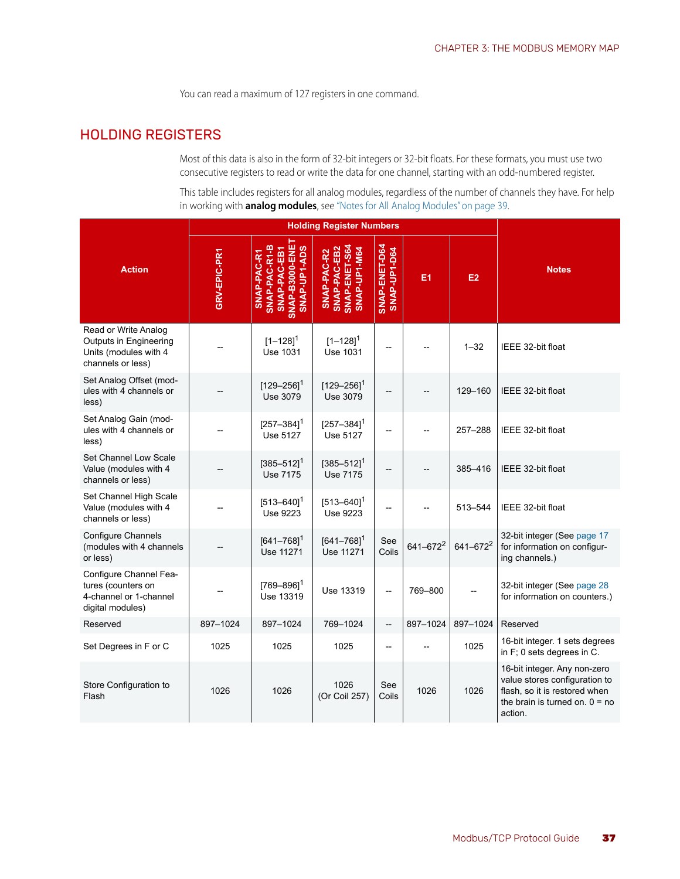<span id="page-40-2"></span>You can read a maximum of 127 registers in one command.

# <span id="page-40-1"></span><span id="page-40-0"></span>HOLDING REGISTERS

Most of this data is also in the form of 32-bit integers or 32-bit floats. For these formats, you must use two consecutive registers to read or write the data for one channel, starting with an odd-numbered register.

This table includes registers for all analog modules, regardless of the number of channels they have. For help in working with **analog modules**, see ["Notes for All Analog Modules" on page 39](#page-42-0).

|                                                                                              |              |                                                                                 | <b>Holding Register Numbers</b>                              |                               |                      |               |                                                                                                                                               |
|----------------------------------------------------------------------------------------------|--------------|---------------------------------------------------------------------------------|--------------------------------------------------------------|-------------------------------|----------------------|---------------|-----------------------------------------------------------------------------------------------------------------------------------------------|
| <b>Action</b>                                                                                | GRV-EPIC-PR1 | SNAP-B3000-ENE<br>SNAP-PAC-R1-B<br>SNAP-UP-1-ADS<br>SNAP-PAC-EB1<br>SNAP-PAC-R1 | SNAP-ENET-S64<br>SNAP-PAC-EB2<br>SNAP-UP1-M64<br>SNAP-PAC-R2 | SNAP-ENET-D64<br>SNAP-UP1-D64 | E1                   | E2            | <b>Notes</b>                                                                                                                                  |
| Read or Write Analog<br>Outputs in Engineering<br>Units (modules with 4<br>channels or less) |              | $[1 - 128]$ <sup>1</sup><br><b>Use 1031</b>                                     | $[1 - 128]$ <sup>1</sup><br><b>Use 1031</b>                  |                               |                      | $1 - 32$      | IEEE 32-bit float                                                                                                                             |
| Set Analog Offset (mod-<br>ules with 4 channels or<br>less)                                  |              | $[129 - 256]$ <sup>1</sup><br>Use 3079                                          | $[129 - 256]$ <sup>1</sup><br>Use 3079                       |                               |                      | 129-160       | IEEE 32-bit float                                                                                                                             |
| Set Analog Gain (mod-<br>ules with 4 channels or<br>less)                                    |              | $[257 - 384]$ <sup>1</sup><br>Use 5127                                          | $[257 - 384]$ <sup>1</sup><br>Use 5127                       |                               |                      | $257 - 288$   | IEEE 32-bit float                                                                                                                             |
| Set Channel Low Scale<br>Value (modules with 4<br>channels or less)                          |              | $[385 - 512]$ <sup>1</sup><br>Use 7175                                          | $[385 - 512]$ <sup>1</sup><br>Use 7175                       |                               |                      | 385-416       | IEEE 32-bit float                                                                                                                             |
| Set Channel High Scale<br>Value (modules with 4<br>channels or less)                         |              | $[513 - 640]$ <sup>1</sup><br>Use 9223                                          | $[513 - 640]$ <sup>1</sup><br>Use 9223                       |                               |                      | 513-544       | IEEE 32-bit float                                                                                                                             |
| <b>Configure Channels</b><br>(modules with 4 channels<br>or less)                            |              | $[641 - 768]$ <sup>1</sup><br>Use 11271                                         | $[641 - 768]$ <sup>1</sup><br>Use 11271                      | See<br>Coils                  | 641-672 <sup>2</sup> | $641 - 672^2$ | 32-bit integer (See page 17<br>for information on configur-<br>ing channels.)                                                                 |
| Configure Channel Fea-<br>tures (counters on<br>4-channel or 1-channel<br>digital modules)   |              | $[769 - 896]$ <sup>1</sup><br>Use 13319                                         | Use 13319                                                    | $\overline{\phantom{a}}$      | 769-800              |               | 32-bit integer (See page 28<br>for information on counters.)                                                                                  |
| Reserved                                                                                     | 897-1024     | 897-1024                                                                        | 769-1024                                                     | $\overline{\phantom{a}}$      | 897-1024             | 897-1024      | Reserved                                                                                                                                      |
| Set Degrees in F or C                                                                        | 1025         | 1025                                                                            | 1025                                                         |                               |                      | 1025          | 16-bit integer. 1 sets degrees<br>in F; 0 sets degrees in C.                                                                                  |
| Store Configuration to<br>Flash                                                              | 1026         | 1026                                                                            | 1026<br>(Or Coil 257)                                        | See<br>Coils                  | 1026                 | 1026          | 16-bit integer. Any non-zero<br>value stores configuration to<br>flash, so it is restored when<br>the brain is turned on. $0 = no$<br>action. |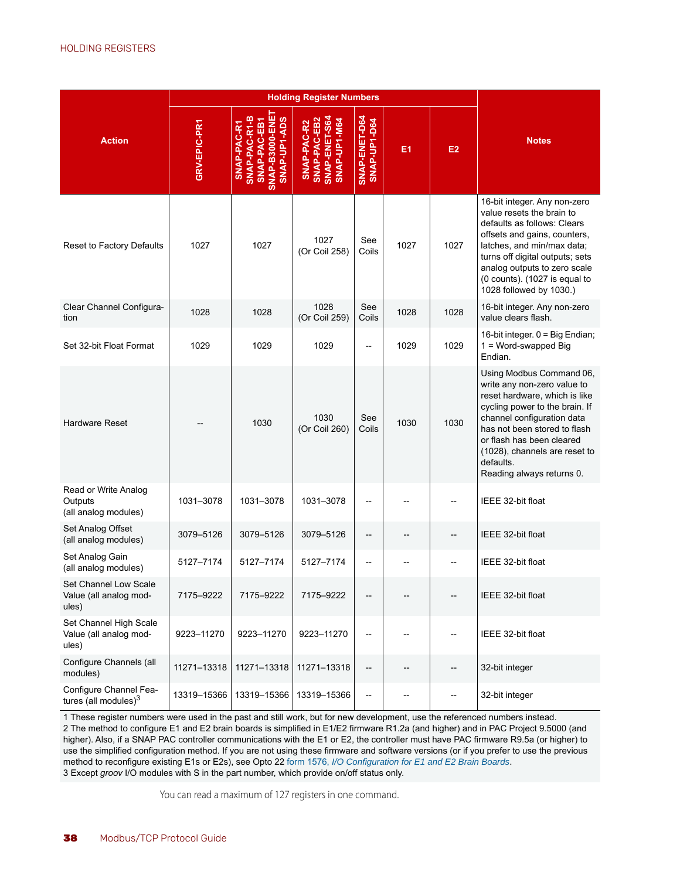<span id="page-41-0"></span>

|                                                           |              |                                                                                 | <b>Holding Register Numbers</b>                              |                               |      |                          |                                                                                                                                                                                                                                                                                                  |
|-----------------------------------------------------------|--------------|---------------------------------------------------------------------------------|--------------------------------------------------------------|-------------------------------|------|--------------------------|--------------------------------------------------------------------------------------------------------------------------------------------------------------------------------------------------------------------------------------------------------------------------------------------------|
| <b>Action</b>                                             | GRV-EPIC-PR1 | SNAP-B3000-ENE<br>SNAP-PAC-R1-B<br>SNAP-UP-1-ADS<br>SNAP-PAC-EB1<br>SNAP-PAC-R1 | SNAP-ENET-S64<br>SNAP-UP1-M64<br>SNAP-PAC-EB2<br>SNAP-PAC-R2 | SNAP-ENET-D64<br>SNAP-UP1-D64 | E1   | E <sub>2</sub>           | <b>Notes</b>                                                                                                                                                                                                                                                                                     |
| Reset to Factory Defaults                                 | 1027         | 1027                                                                            | 1027<br>(Or Coil 258)                                        | See<br>Coils                  | 1027 | 1027                     | 16-bit integer. Any non-zero<br>value resets the brain to<br>defaults as follows: Clears<br>offsets and gains, counters,<br>latches, and min/max data;<br>turns off digital outputs; sets<br>analog outputs to zero scale<br>(0 counts). (1027 is equal to<br>1028 followed by 1030.)            |
| Clear Channel Configura-<br>tion                          | 1028         | 1028                                                                            | 1028<br>(Or Coil 259)                                        | See<br>Coils                  | 1028 | 1028                     | 16-bit integer. Any non-zero<br>value clears flash.                                                                                                                                                                                                                                              |
| Set 32-bit Float Format                                   | 1029         | 1029                                                                            | 1029                                                         | Ξ.                            | 1029 | 1029                     | 16-bit integer. 0 = Big Endian;<br>$1 = Word-swaped Big$<br>Endian.                                                                                                                                                                                                                              |
| <b>Hardware Reset</b>                                     |              | 1030                                                                            | 1030<br>(Or Coil 260)                                        | See<br>Coils                  | 1030 | 1030                     | Using Modbus Command 06,<br>write any non-zero value to<br>reset hardware, which is like<br>cycling power to the brain. If<br>channel configuration data<br>has not been stored to flash<br>or flash has been cleared<br>(1028), channels are reset to<br>defaults.<br>Reading always returns 0. |
| Read or Write Analog<br>Outputs<br>(all analog modules)   | 1031-3078    | 1031-3078                                                                       | 1031-3078                                                    | Ξ.                            |      |                          | IEEE 32-bit float                                                                                                                                                                                                                                                                                |
| Set Analog Offset<br>(all analog modules)                 | 3079-5126    | 3079-5126                                                                       | 3079-5126                                                    | --                            |      |                          | IEEE 32-bit float                                                                                                                                                                                                                                                                                |
| Set Analog Gain<br>(all analog modules)                   | 5127-7174    | 5127-7174                                                                       | 5127-7174                                                    | Ξ.                            |      |                          | IEEE 32-bit float                                                                                                                                                                                                                                                                                |
| Set Channel Low Scale<br>Value (all analog mod-<br>ules)  | 7175-9222    | 7175-9222                                                                       | 7175-9222                                                    |                               |      |                          | IEEE 32-bit float                                                                                                                                                                                                                                                                                |
| Set Channel High Scale<br>Value (all analog mod-<br>ules) | 9223-11270   | 9223-11270                                                                      | 9223-11270                                                   | --                            |      |                          | IEEE 32-bit float                                                                                                                                                                                                                                                                                |
| Configure Channels (all<br>modules)                       | 11271-13318  | 11271-13318                                                                     | 11271-13318                                                  | $\overline{\phantom{a}}$      |      | --                       | 32-bit integer                                                                                                                                                                                                                                                                                   |
| Configure Channel Fea-<br>tures (all modules) $3$         | 13319-15366  | 13319-15366                                                                     | 13319-15366                                                  | $\overline{\phantom{a}}$      |      | $\overline{\phantom{a}}$ | 32-bit integer                                                                                                                                                                                                                                                                                   |

1 These register numbers were used in the past and still work, but for new development, use the referenced numbers instead. 2 The method to configure E1 and E2 brain boards is simplified in E1/E2 firmware R1.2a (and higher) and in PAC Project 9.5000 (and higher). Also, if a SNAP PAC controller communications with the E1 or E2, the controller must have PAC firmware R9.5a (or higher) to use the simplified configuration method. If you are not using these firmware and software versions (or if you prefer to use the previous method to reconfigure existing E1s or E2s), see Opto 22 [form 1576,](http://www.opto22.com/site/documents/drilldown.aspx?aid=1944) *I/O Configuration for E1 and E2 Brain Boards*. 3 Except *groov* I/O modules with S in the part number, which provide on/off status only.

You can read a maximum of 127 registers in one command.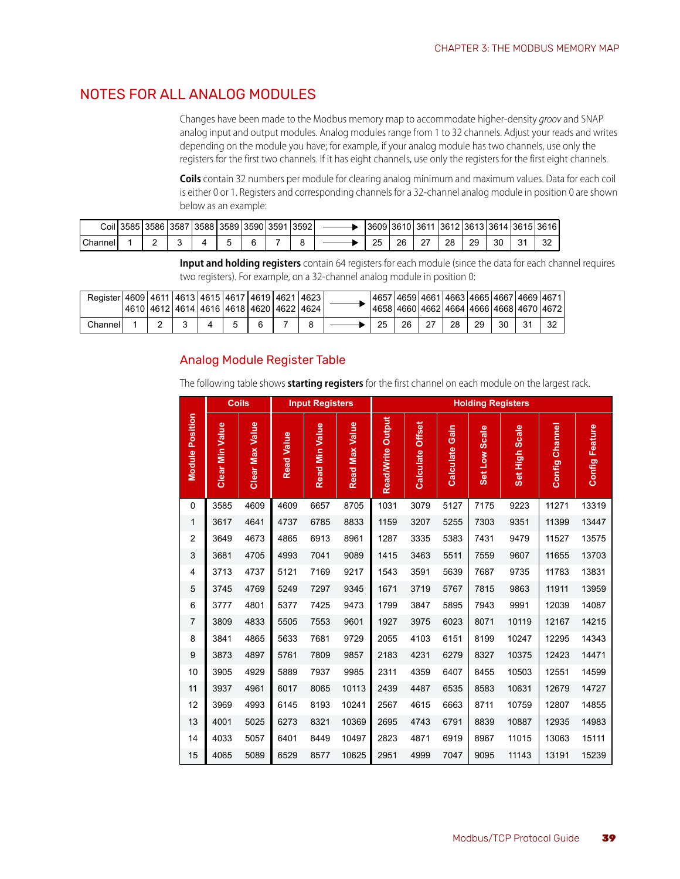## <span id="page-42-2"></span><span id="page-42-0"></span>NOTES FOR ALL ANALOG MODULES

<span id="page-42-4"></span><span id="page-42-3"></span>Changes have been made to the Modbus memory map to accommodate higher-density *groov* and SNAP analog input and output modules. Analog modules range from 1 to 32 channels. Adjust your reads and writes depending on the module you have; for example, if your analog module has two channels, use only the registers for the first two channels. If it has eight channels, use only the registers for the first eight channels.

**Coils** contain 32 numbers per module for clearing analog minimum and maximum values. Data for each coil is either 0 or 1. Registers and corresponding channels for a 32-channel analog module in position 0 are shown below as an example:

|         | Coil 3585 | 1358613587 | 3588   3589   3590   3591 |  | 3592 | '36091 |    | 3610 3611 3612 3613 3614 3615 3616 |    |    |        |
|---------|-----------|------------|---------------------------|--|------|--------|----|------------------------------------|----|----|--------|
| Channel |           |            |                           |  |      | つら     | 26 | 28                                 | 29 | 30 | $\sim$ |

**Input and holding registers** contain 64 registers for each module (since the data for each channel requires two registers). For example, on a 32-channel analog module in position 0:

| Register   4609   4611   4613   4615   4617   4619   4621   4623 |   | 4610   4612   4614   4616   4618   4620   4622   4624 |  |  |    |    |        |    |    | 14657146591466114663146651466714669146711<br>14658 4660 4662 4664 4666 4668 4670 4672 |  |
|------------------------------------------------------------------|---|-------------------------------------------------------|--|--|----|----|--------|----|----|---------------------------------------------------------------------------------------|--|
| Channell                                                         | - |                                                       |  |  | 25 | 26 | $\sim$ | 28 | 29 | 30                                                                                    |  |

#### <span id="page-42-1"></span>Analog Module Register Table

The following table shows **starting registers** for the first channel on each module on the largest rack.

|                        |                        | <b>Coils</b>           |                   | <b>Input Registers</b> |                |                   |                            |                   | <b>Holding Registers</b> |                          |                |                       |
|------------------------|------------------------|------------------------|-------------------|------------------------|----------------|-------------------|----------------------------|-------------------|--------------------------|--------------------------|----------------|-----------------------|
| <b>Module Position</b> | <b>Clear Min Value</b> | <b>Clear Max Value</b> | <b>Read Value</b> | <b>Read Min Value</b>  | Read Max Value | Read/Write Output | <b>Offset</b><br>Calculate | Gain<br>Calculate | Set Low Scale            | <b>Scale</b><br>Set High | Config Channel | <b>Config Feature</b> |
| 0                      | 3585                   | 4609                   | 4609              | 6657                   | 8705           | 1031              | 3079                       | 5127              | 7175                     | 9223                     | 11271          | 13319                 |
| 1                      | 3617                   | 4641                   | 4737              | 6785                   | 8833           | 1159              | 3207                       | 5255              | 7303                     | 9351                     | 11399          | 13447                 |
| $\overline{2}$         | 3649                   | 4673                   | 4865              | 6913                   | 8961           | 1287              | 3335                       | 5383              | 7431                     | 9479                     | 11527          | 13575                 |
| $\mathsf 3$            | 3681                   | 4705                   | 4993              | 7041                   | 9089           | 1415              | 3463                       | 5511              | 7559                     | 9607                     | 11655          | 13703                 |
| $\overline{4}$         | 3713                   | 4737                   | 5121              | 7169                   | 9217           | 1543              | 3591                       | 5639              | 7687                     | 9735                     | 11783          | 13831                 |
| 5                      | 3745                   | 4769                   | 5249              | 7297                   | 9345           | 1671              | 3719                       | 5767              | 7815                     | 9863                     | 11911          | 13959                 |
| 6                      | 3777                   | 4801                   | 5377              | 7425                   | 9473           | 1799              | 3847                       | 5895              | 7943                     | 9991                     | 12039          | 14087                 |
| 7                      | 3809                   | 4833                   | 5505              | 7553                   | 9601           | 1927              | 3975                       | 6023              | 8071                     | 10119                    | 12167          | 14215                 |
| 8                      | 3841                   | 4865                   | 5633              | 7681                   | 9729           | 2055              | 4103                       | 6151              | 8199                     | 10247                    | 12295          | 14343                 |
| 9                      | 3873                   | 4897                   | 5761              | 7809                   | 9857           | 2183              | 4231                       | 6279              | 8327                     | 10375                    | 12423          | 14471                 |
| 10                     | 3905                   | 4929                   | 5889              | 7937                   | 9985           | 2311              | 4359                       | 6407              | 8455                     | 10503                    | 12551          | 14599                 |
| 11                     | 3937                   | 4961                   | 6017              | 8065                   | 10113          | 2439              | 4487                       | 6535              | 8583                     | 10631                    | 12679          | 14727                 |
| 12                     | 3969                   | 4993                   | 6145              | 8193                   | 10241          | 2567              | 4615                       | 6663              | 8711                     | 10759                    | 12807          | 14855                 |
| 13                     | 4001                   | 5025                   | 6273              | 8321                   | 10369          | 2695              | 4743                       | 6791              | 8839                     | 10887                    | 12935          | 14983                 |
| 14                     | 4033                   | 5057                   | 6401              | 8449                   | 10497          | 2823              | 4871                       | 6919              | 8967                     | 11015                    | 13063          | 15111                 |
| 15                     | 4065                   | 5089                   | 6529              | 8577                   | 10625          | 2951              | 4999                       | 7047              | 9095                     | 11143                    | 13191          | 15239                 |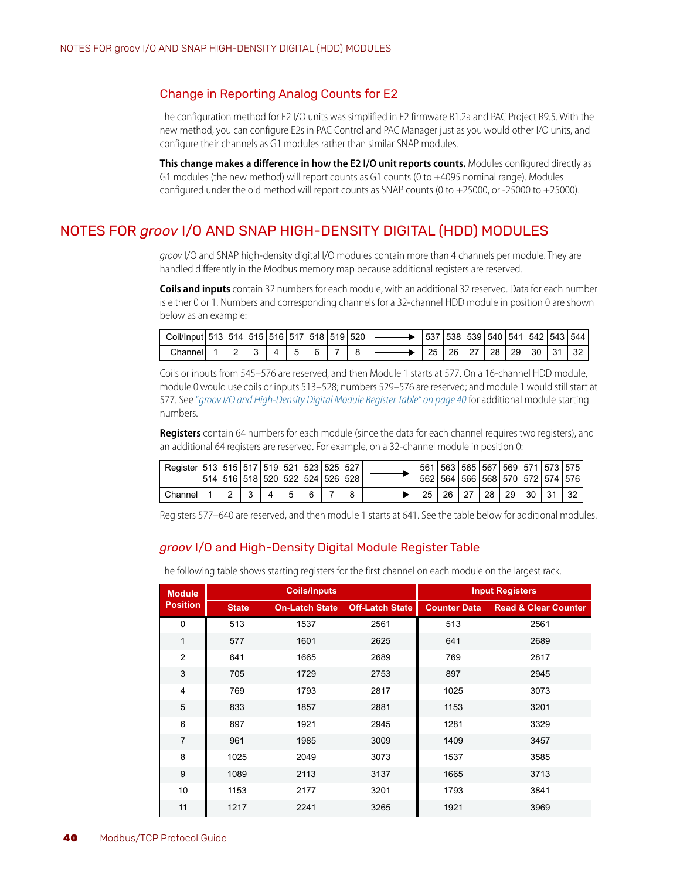#### <span id="page-43-5"></span><span id="page-43-0"></span>Change in Reporting Analog Counts for E2

The configuration method for E2 I/O units was simplified in E2 firmware R1.2a and PAC Project R9.5. With the new method, you can configure E2s in PAC Control and PAC Manager just as you would other I/O units, and configure their channels as G1 modules rather than similar SNAP modules.

**This change makes a difference in how the E2 I/O unit reports counts.** Modules configured directly as G1 modules (the new method) will report counts as G1 counts (0 to +4095 nominal range). Modules configured under the old method will report counts as SNAP counts (0 to  $+25000$ , or  $-25000$  to  $+25000$ ).

# <span id="page-43-3"></span><span id="page-43-1"></span>NOTES FOR *groov* I/O AND SNAP HIGH-DENSITY DIGITAL (HDD) MODULES

<span id="page-43-7"></span><span id="page-43-6"></span>*groov* I/O and SNAP high-density digital I/O modules contain more than 4 channels per module. They are handled differently in the Modbus memory map because additional registers are reserved.

**Coils and inputs** contain 32 numbers for each module, with an additional 32 reserved. Data for each number is either 0 or 1. Numbers and corresponding channels for a 32-channel HDD module in position 0 are shown below as an example:

| Coil/Input 513 514 515 516 517 518 519 520 |  |  |  |  |    |    |    |    | 537   538   539   540   541   542   543   544 |  |
|--------------------------------------------|--|--|--|--|----|----|----|----|-----------------------------------------------|--|
| Channel                                    |  |  |  |  | 25 | 26 | 28 | 29 | 30                                            |  |

Coils or inputs from 545–576 are reserved, and then Module 1 starts at 577. On a 16-channel HDD module, module 0 would use coils or inputs 513–528; numbers 529–576 are reserved; and module 1 would still start at 577. See "*[groov I/O and High-Density Digital Module Register Table" on page 40](#page-43-2)* for additional module starting numbers.

**Registers** contain 64 numbers for each module (since the data for each channel requires two registers), and an additional 64 registers are reserved. For example, on a 32-channel module in position 0:

| Register   513   515   517   519   521   523   525   527 |  | 514   516   518   520   522   524   526   528 |  |  |    |    |    | 561   563   565   567   569   571   573   575  <br>562   564   566   568   570   572   574   576 |         |  |
|----------------------------------------------------------|--|-----------------------------------------------|--|--|----|----|----|--------------------------------------------------------------------------------------------------|---------|--|
| Channel i                                                |  |                                               |  |  | 25 | 26 | 28 | -29                                                                                              | 30   31 |  |

Registers 577–640 are reserved, and then module 1 starts at 641. See the table below for additional modules.

#### <span id="page-43-2"></span>*groov* I/O and High-Density Digital Module Register Table

<span id="page-43-4"></span>**Module Position Coils/Inputs Input Registers State On-Latch State Off-Latch State Counter Data Read & Clear Counter** 0 513 1537 2561 513 2561 1 577 1601 2625 641 2689 2 641 1665 2689 769 2817 3 705 1729 2753 897 2945 4 769 1793 2817 1025 3073 5 833 1857 2881 1153 3201 6 897 1921 2945 1281 3329 7 961 1985 3009 1409 3457 8 1025 2049 3073 1537 3585 9 1089 2113 3137 1665 3713 10 1153 2177 3201 1793 3841 11 | 1217 2241 3265 | 1921 3969

The following table shows starting registers for the first channel on each module on the largest rack.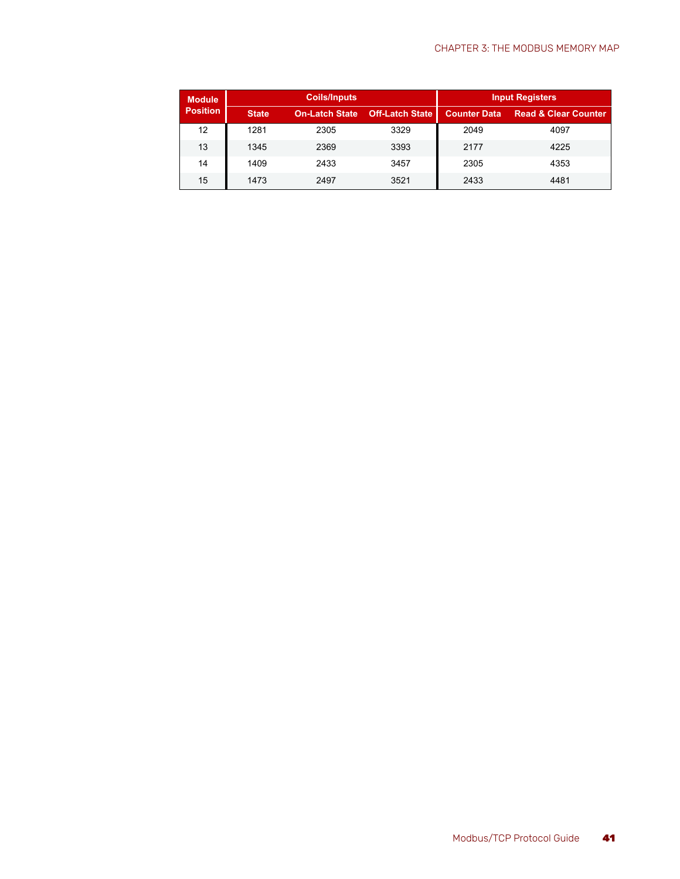| <b>Module</b>   |              | <b>Coils/Inputs</b>   |                        | <b>Input Registers</b> |                                 |  |  |  |  |
|-----------------|--------------|-----------------------|------------------------|------------------------|---------------------------------|--|--|--|--|
| <b>Position</b> | <b>State</b> | <b>On-Latch State</b> | <b>Off-Latch State</b> | <b>Counter Data</b>    | <b>Read &amp; Clear Counter</b> |  |  |  |  |
| 12              | 1281         | 2305                  | 3329                   | 2049                   | 4097                            |  |  |  |  |
| 13              | 1345         | 2369                  | 3393                   | 2177                   | 4225                            |  |  |  |  |
| 14              | 1409         | 2433                  | 3457                   | 2305                   | 4353                            |  |  |  |  |
| 15              | 1473         | 2497                  | 3521                   | 2433                   | 4481                            |  |  |  |  |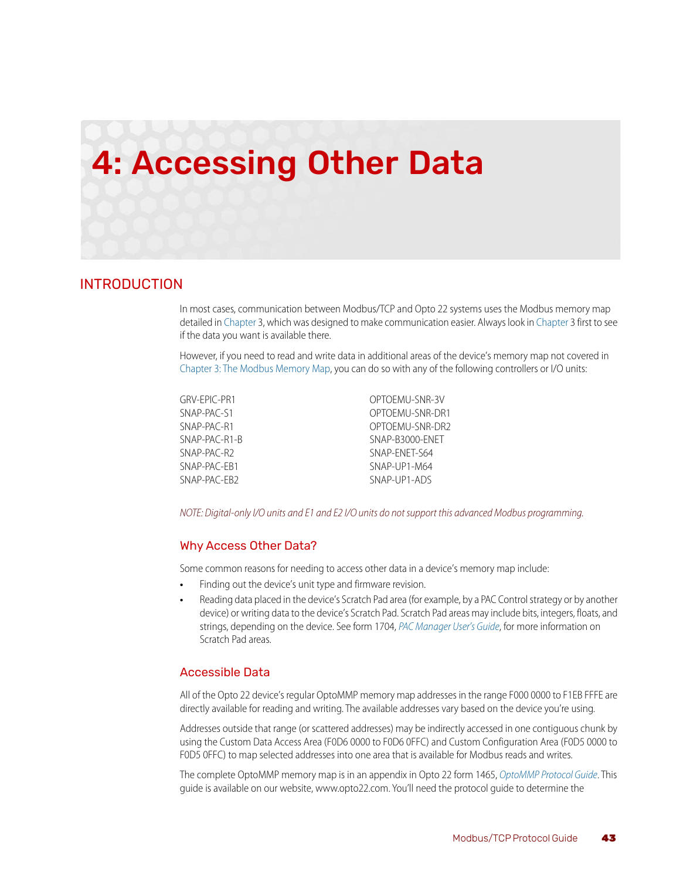# <span id="page-46-4"></span><span id="page-46-0"></span>4: Accessing Other Data

#### <span id="page-46-1"></span>INTRODUCTION

In most cases, communication between Modbus/TCP and Opto 22 systems uses the Modbus memory map detailed in [Chapter](#page-36-5) 3, which was designed to make communication easier. Always look in [Chapter 3](#page-36-5) first to see if the data you want is available there.

However, if you need to read and write data in additional areas of the device's memory map not covered in [Chapter 3: The Modbus Memory Map](#page-36-3), you can do so with any of the following controllers or I/O units:

| GRV-EPIC-PR1  |  |
|---------------|--|
| SNAP-PAC-S1   |  |
| SNAP-PAC-R1   |  |
| SNAP-PAC-R1-B |  |
| SNAP-PAC-R2   |  |
| SNAP-PAC-FR1  |  |
| SNAP-PAC-FR2  |  |

OPTOEMU-SNR-3V OPTOEMU-SNR-DR1 OPTOEMU-SNR-DR2 SNAP-B3000-ENET SNAP-ENET-S64 SNAP-UP1-M64 SNAP-UP1-ADS

*NOTE: Digital-only I/O units and E1 and E2 I/O units do not support this advanced Modbus programming.* 

#### <span id="page-46-2"></span>Why Access Other Data?

<span id="page-46-5"></span>Some common reasons for needing to access other data in a device's memory map include:

- **•** Finding out the device's unit type and firmware revision.
- **•** Reading data placed in the device's Scratch Pad area (for example, by a PAC Control strategy or by another device) or writing data to the device's Scratch Pad. Scratch Pad areas may include bits, integers, floats, and strings, depending on the device. See form 1704, *[PAC Manager User's Guide](http://www.opto22.com/site/documents/doc_drilldown.aspx?aid=3161)*, for more information on Scratch Pad areas.

#### <span id="page-46-6"></span><span id="page-46-3"></span>Accessible Data

All of the Opto 22 device's regular OptoMMP memory map addresses in the range F000 0000 to F1EB FFFE are directly available for reading and writing. The available addresses vary based on the device you're using.

Addresses outside that range (or scattered addresses) may be indirectly accessed in one contiguous chunk by using the Custom Data Access Area (F0D6 0000 to F0D6 0FFC) and Custom Configuration Area (F0D5 0000 to F0D5 0FFC) to map selected addresses into one area that is available for Modbus reads and writes.

The complete OptoMMP memory map is in an appendix in Opto 22 form 1465, *[OptoMMP Protocol Guide](http://www.opto22.com/site/documents/doc_drilldown.aspx?aid=1875)*. This guide is available on our website, www.opto22.com. You'll need the protocol guide to determine the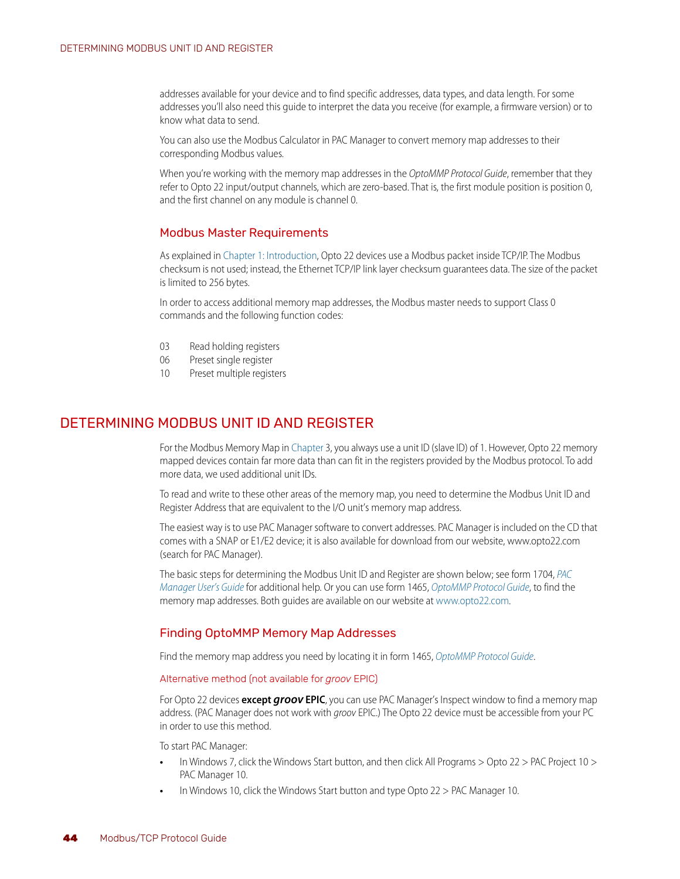addresses available for your device and to find specific addresses, data types, and data length. For some addresses you'll also need this guide to interpret the data you receive (for example, a firmware version) or to know what data to send.

You can also use the Modbus Calculator in PAC Manager to convert memory map addresses to their corresponding Modbus values.

When you're working with the memory map addresses in the *OptoMMP Protocol Guide*, remember that they refer to Opto 22 input/output channels, which are zero-based. That is, the first module position is position 0, and the first channel on any module is channel 0.

#### <span id="page-47-0"></span>Modbus Master Requirements

As explained in [Chapter 1: Introduction](#page-4-4), Opto 22 devices use a Modbus packet inside TCP/IP. The Modbus checksum is not used; instead, the Ethernet TCP/IP link layer checksum guarantees data. The size of the packet is limited to 256 bytes.

In order to access additional memory map addresses, the Modbus master needs to support Class 0 commands and the following function codes:

- 03 Read holding registers
- 06 Preset single register
- 10 Preset multiple registers

## <span id="page-47-1"></span>DETERMINING MODBUS UNIT ID AND REGISTER

For the Modbus Memory Map in [Chapter](#page-36-5) 3, you always use a unit ID (slave ID) of 1. However, Opto 22 memory mapped devices contain far more data than can fit in the registers provided by the Modbus protocol. To add more data, we used additional unit IDs.

To read and write to these other areas of the memory map, you need to determine the Modbus Unit ID and Register Address that are equivalent to the I/O unit's memory map address.

<span id="page-47-4"></span>The easiest way is to use PAC Manager software to convert addresses. PAC Manager is included on the CD that comes with a SNAP or E1/E2 device; it is also available for download from our website, www.opto22.com (search for PAC Manager).

The basic steps for determining the Modbus Unit ID and Register are shown below; see form 1704, *[PAC](http://www.opto22.com/site/documents/doc_drilldown.aspx?aid=3161)  [Manager User's Guide](http://www.opto22.com/site/documents/doc_drilldown.aspx?aid=3161)* [for additional help. Or you can use form 1465,](http://www.opto22.com/site/documents/doc_drilldown.aspx?aid=1875) *OptoMMP Protocol Guide*, to find the memory map addresses. Both guides are available on our website at [www.opto22.com](http://www.opto22.com/).

#### <span id="page-47-2"></span>Finding OptoMMP Memory Map Addresses

Find the memory map address you need by locating it in form 1465, *[OptoMMP Protocol Guide](http://www.opto22.com/site/documents/doc_drilldown.aspx?aid=1875)*.

#### <span id="page-47-3"></span>Alternative method (not available for *groov* EPIC)

For Opto 22 devices **except** *groov* **EPIC**, you can use PAC Manager's Inspect window to find a memory map address. (PAC Manager does not work with *groov* EPIC.) The Opto 22 device must be accessible from your PC in order to use this method.

#### To start PAC Manager:

- **•** In Windows 7, click the Windows Start button, and then click All Programs > Opto 22 > PAC Project 10 > PAC Manager 10.
- **•** In Windows 10, click the Windows Start button and type Opto 22 > PAC Manager 10.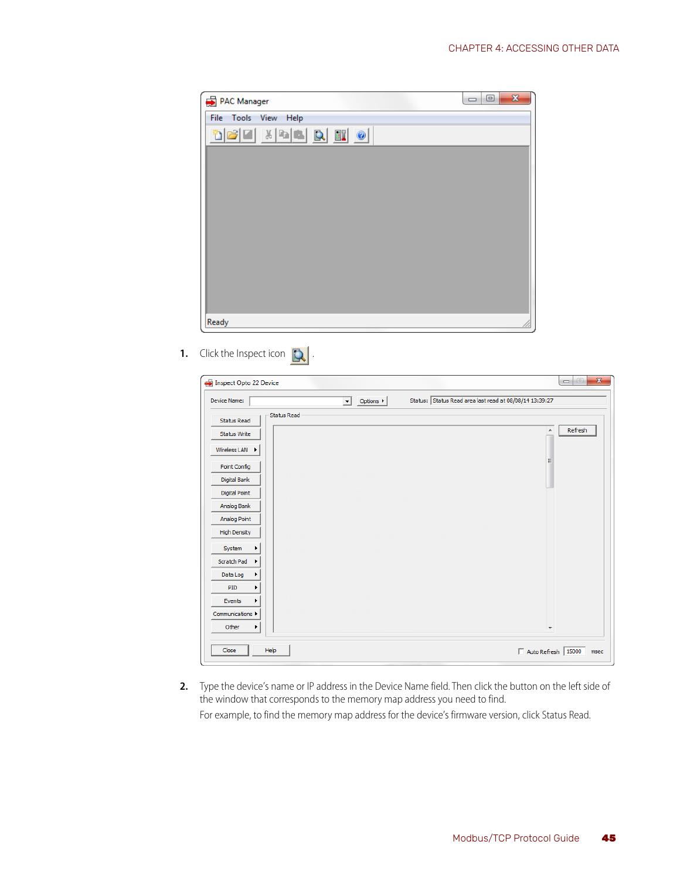| PAC Manager          | $\Box$ $\Box$ | $\mathbf{x}$ |
|----------------------|---------------|--------------|
| File Tools View Help |               |              |
| døe krek dø          |               |              |
|                      |               |              |
|                      |               |              |
|                      |               |              |
|                      |               |              |
|                      |               |              |
|                      |               |              |
|                      |               |              |
|                      |               |              |
| Ready                |               | 11.          |

**1.** Click the Inspect icon  $\mathbb{Q}$ .

| Device Name:                             | $\overline{\mathbf{r}}$<br>Options $\blacktriangleright$ | Status: Status Read area last read at 08/08/14 13:39:27 |              |
|------------------------------------------|----------------------------------------------------------|---------------------------------------------------------|--------------|
| <b>Status Read</b><br><b>Status Read</b> |                                                          |                                                         |              |
| <b>Status Write</b>                      |                                                          |                                                         | Refresh<br>۸ |
| Wireless LAN                             |                                                          |                                                         |              |
| Point Config                             |                                                          |                                                         | 目            |
| Digital Bank                             |                                                          |                                                         |              |
| <b>Digital Point</b>                     |                                                          |                                                         |              |
| Analog Bank                              |                                                          |                                                         |              |
| Analog Point                             |                                                          |                                                         |              |
| <b>High Density</b>                      |                                                          |                                                         |              |
| System                                   |                                                          |                                                         |              |
| Scratch Pad<br>٠                         |                                                          |                                                         |              |
| Data Log                                 |                                                          |                                                         |              |
| PID<br>▸                                 |                                                          |                                                         |              |
| Events<br>r                              |                                                          |                                                         |              |
| Communications >                         |                                                          |                                                         |              |
| Other<br>▶                               |                                                          |                                                         | ٠            |

**2.** Type the device's name or IP address in the Device Name field. Then click the button on the left side of the window that corresponds to the memory map address you need to find. For example, to find the memory map address for the device's firmware version, click Status Read.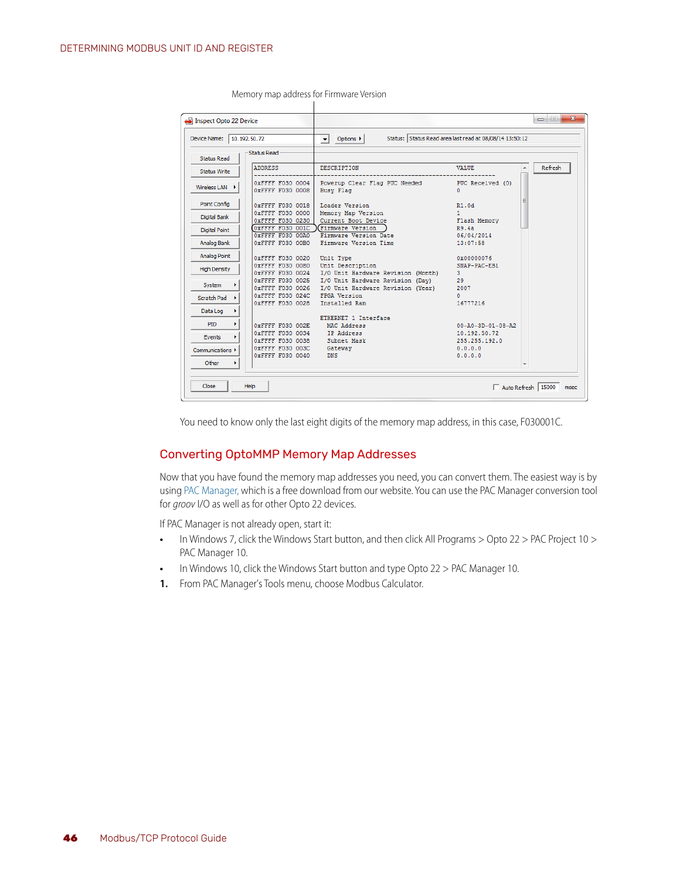| Device Name:<br>10.192.50.72 |                                         | Options $\blacktriangleright$<br>$\mathbf{r}$                                          | Status: Status Read area last read at 08/08/14 13:50:12 |         |
|------------------------------|-----------------------------------------|----------------------------------------------------------------------------------------|---------------------------------------------------------|---------|
|                              | <b>Status Read</b>                      |                                                                                        |                                                         |         |
| <b>Status Read</b>           |                                         |                                                                                        |                                                         |         |
| <b>Status Write</b>          | <b>ADDRESS</b>                          | <b>DESCRIPTION</b>                                                                     | <b>VALUE</b>                                            | Refresh |
| Wireless LAN $\rightarrow$   | 0xFFFF F030 0004<br>0xFFFF F030 0008    | Powerup Clear Flag PUC Needed<br><b>Busy Flag</b>                                      | PUC Received (0)<br>n                                   |         |
| Point Config                 | 0xFFFF F030 0018<br>0xFFFF F030 0000    | Loader Version<br>Memory Map Version                                                   | R1.0d<br>1.                                             |         |
| <b>Digital Bank</b>          | OXFFFF F030 0230                        | Current Boot Device                                                                    | Flash Memory                                            |         |
| <b>Digital Point</b>         | OXFFFF F030 001C<br>OXFFFF F030 00A0    | <b>Firmware Version</b><br>Firmware Version Date                                       | R9.4a<br>06/04/2014                                     |         |
| Analog Bank                  | OXFFFF F030 00B0                        | Firmware Version Time                                                                  | 13:07:58                                                |         |
| <b>Analog Point</b>          | 0xFFFF F030 0020                        | Unit Type                                                                              | 0x00000076                                              |         |
| <b>High Density</b>          | OXFFFF F030 0080<br>0xFFFF F030 0024    | Unit Description<br>I/O Unit Hardware Revision (Month)                                 | SNAP-PAC-EB1<br>3.                                      |         |
| System                       | 0xFFFF F030 0026                        | OXFFFF F030 0025 I/O Unit Hardware Revision (Dav)<br>I/O Unit Hardware Revision (Year) | 29<br>2007                                              |         |
| Scratch Pad                  | $0x$ FFFF F030 024C<br>0xFFFF F030 0028 | FPGA Version<br>Installed Ram                                                          | n.<br>16777216                                          |         |
| Data Log<br>▸                |                                         |                                                                                        |                                                         |         |
| <b>PID</b><br>۰              | 0xFFFF F030 002E                        | ETHERNET 1 Interface<br>MAC Address                                                    | $00 - A0 - 3D - 01 - 08 - A2$                           |         |
| Events                       | OXFFFF F030 0034<br>OXFFFF F030 0038    | IP Address<br>Subnet Mask                                                              | 10.192.50.72<br>255.255.192.0                           |         |
| Communications ▶             | OXFFFF F030 003C                        | Gateway                                                                                | 0.0.0.0                                                 |         |
| Other<br>٠                   | 0xFFFF F030 0040                        | <b>DNS</b>                                                                             | 0.0.0.0                                                 |         |

Memory map address for Firmware Version

You need to know only the last eight digits of the memory map address, in this case, F030001C.

#### <span id="page-49-0"></span>Converting OptoMMP Memory Map Addresses

Now that you have found the memory map addresses you need, you can convert them. The easiest way is by using [PAC Manager,](https://www.opto22.com/support/resources-tools/downloads/pac_manager) which is a free download from our website. You can use the PAC Manager conversion tool for *groov* I/O as well as for other Opto 22 devices.

If PAC Manager is not already open, start it:

- **•** In Windows 7, click the Windows Start button, and then click All Programs > Opto 22 > PAC Project 10 > PAC Manager 10.
- **•** In Windows 10, click the Windows Start button and type Opto 22 > PAC Manager 10.
- **1.** From PAC Manager's Tools menu, choose Modbus Calculator.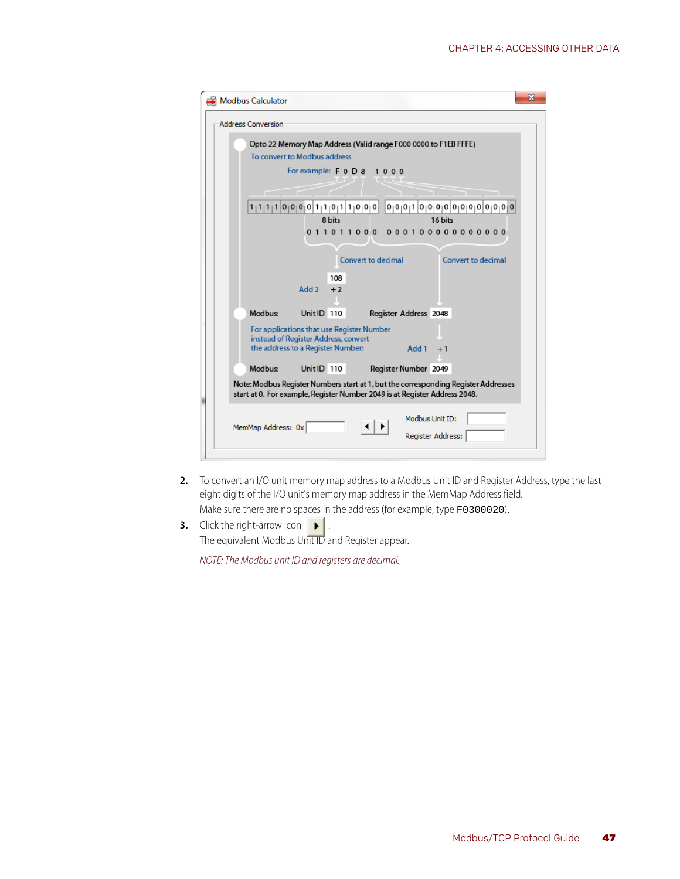| Modbus Calculator                                                                                                                                                | ж |
|------------------------------------------------------------------------------------------------------------------------------------------------------------------|---|
| <b>Address Conversion</b>                                                                                                                                        |   |
| Opto 22 Memory Map Address (Valid range F000 0000 to F1EB FFFE)<br>To convert to Modbus address                                                                  |   |
| For example: F 0 D 8 1 0 0 0                                                                                                                                     |   |
| 0 0 0 1 0 0 0 0 0 0 0 0 0 0 0 0 0 <br>1 1 1 1 0 0 0 0 1 1 0 1 1 0 0 0 <br>8 bits<br>16 bits                                                                      |   |
| 011011000<br>000100000000000                                                                                                                                     |   |
| Convert to decimal<br>Convert to decimal                                                                                                                         |   |
| 108<br>Add 2<br>$+2$                                                                                                                                             |   |
| Modbus:<br>Unit ID 110<br>Register Address 2048                                                                                                                  |   |
| For applications that use Register Number<br>instead of Register Address, convert<br>the address to a Register Number:<br>Add 1<br>$+1$                          |   |
| Modbus:<br>Unit ID 110<br>Register Number 2049                                                                                                                   |   |
| Note: Modbus Register Numbers start at 1, but the corresponding Register Addresses<br>start at 0. For example, Register Number 2049 is at Register Address 2048. |   |
| Modbus Unit ID:<br>MemMap Address: 0x<br>Register Address:                                                                                                       |   |

**2.** To convert an I/O unit memory map address to a Modbus Unit ID and Register Address, type the last eight digits of the I/O unit's memory map address in the MemMap Address field.

Make sure there are no spaces in the address (for example, type F0300020).

**3.** Click the right-arrow icon . The equivalent Modbus Unit ID and Register appear.

*NOTE: The Modbus unit ID and registers are decimal.*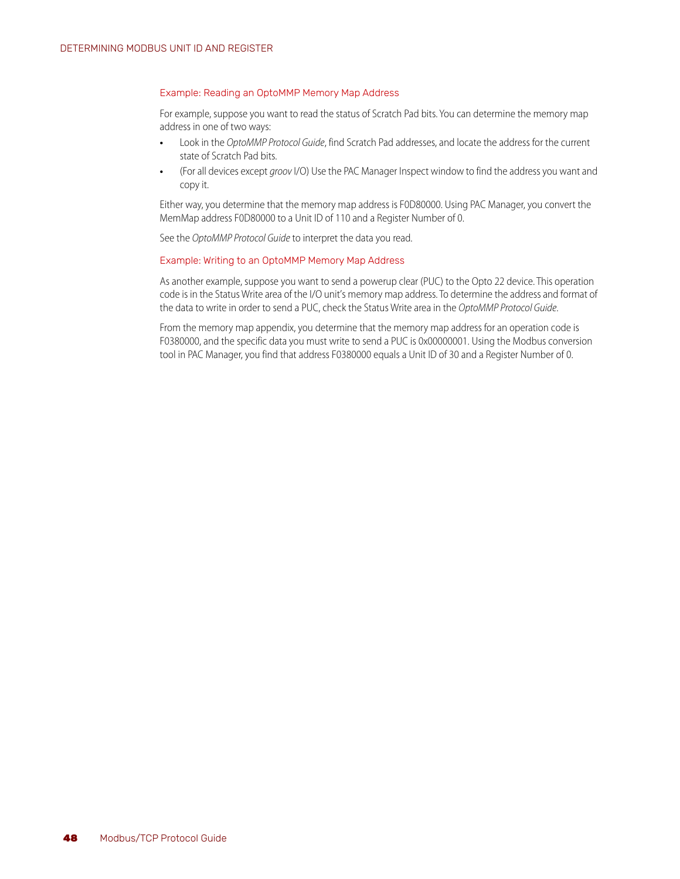#### <span id="page-51-0"></span>Example: Reading an OptoMMP Memory Map Address

For example, suppose you want to read the status of Scratch Pad bits. You can determine the memory map address in one of two ways:

- **•** Look in the *OptoMMP Protocol Guide*, find Scratch Pad addresses, and locate the address for the current state of Scratch Pad bits.
- **•** (For all devices except *groov* I/O) Use the PAC Manager Inspect window to find the address you want and copy it.

Either way, you determine that the memory map address is F0D80000. Using PAC Manager, you convert the MemMap address F0D80000 to a Unit ID of 110 and a Register Number of 0.

See the *OptoMMP Protocol Guide* to interpret the data you read.

#### <span id="page-51-1"></span>Example: Writing to an OptoMMP Memory Map Address

As another example, suppose you want to send a powerup clear (PUC) to the Opto 22 device. This operation code is in the Status Write area of the I/O unit's memory map address. To determine the address and format of the data to write in order to send a PUC, check the Status Write area in the *OptoMMP Protocol Guide*.

From the memory map appendix, you determine that the memory map address for an operation code is F0380000, and the specific data you must write to send a PUC is 0x00000001. Using the Modbus conversion tool in PAC Manager, you find that address F0380000 equals a Unit ID of 30 and a Register Number of 0.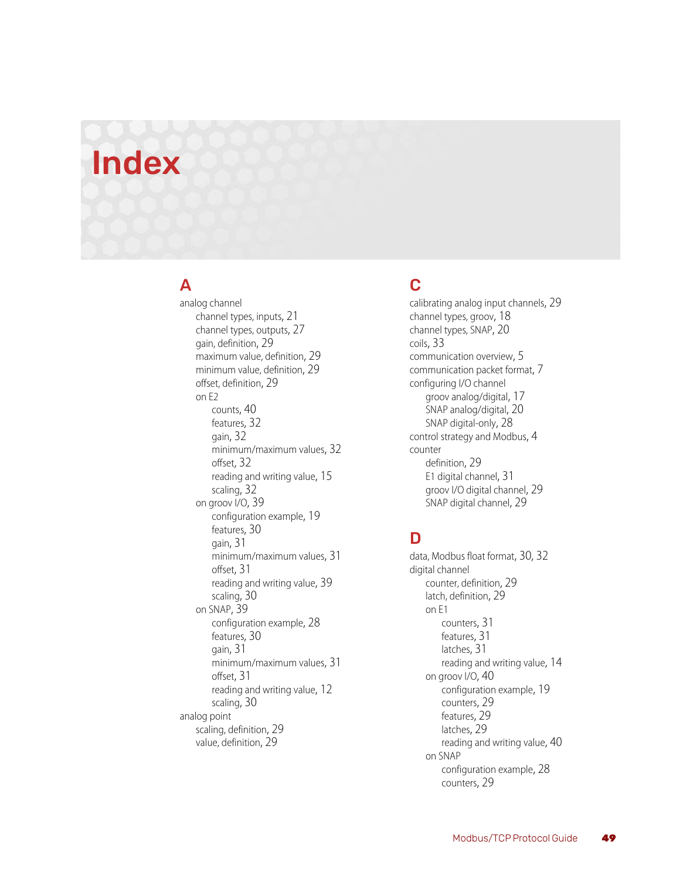# <span id="page-52-0"></span>Index

# A

analog channel channel types, inputs[, 21](#page-24-0) channel types, output[s, 27](#page-30-0) gain, definition[, 29](#page-32-3) maximum value, definition[, 29](#page-32-4) minimum value, definitio[n, 29](#page-32-4) offset, definitio[n, 29](#page-32-3) on E2 count[s, 40](#page-43-5) features[, 32](#page-35-5) gain[, 32](#page-35-6) minimum/maximum value[s, 32](#page-35-7) offse[t, 32](#page-35-6) reading and writing value[, 15](#page-18-3) scalin[g, 32](#page-35-8) on groov I/O[, 39](#page-42-3) configuration exampl[e, 19](#page-22-1) features[, 30](#page-33-5) gain[, 31](#page-34-5) minimum/maximum value[s, 31](#page-34-6) offse[t, 31](#page-34-5) reading and writing value[, 39](#page-42-4) scalin[g, 30](#page-33-6) on SNA[P, 39](#page-42-3) configuration exampl[e, 28](#page-31-4) features[, 30](#page-33-5) gain[, 31](#page-34-5) minimum/maximum value[s, 31](#page-34-6) offse[t, 31](#page-34-5) reading and writing value[, 12](#page-15-1) scalin[g, 30](#page-33-6) analog point scaling, definitio[n, 29](#page-32-5) value, definitio[n, 29](#page-32-6)

# C

calibrating analog input channel[s, 29](#page-32-3) channel types, groov[, 18](#page-21-1) channel types, SNA[P, 20](#page-23-2) coil[s, 33](#page-36-6) communication overvie[w, 5](#page-8-1) communication packet format[, 7](#page-10-2) configuring I/O channel groov analog/digital[, 17](#page-20-3) SNAP analog/digita[l, 20](#page-23-3) SNAP digital-only[, 28](#page-31-5) control strategy and Modbu[s, 4](#page-7-2) counter definitio[n, 29](#page-32-7) E1 digital channel[, 31](#page-34-7) groov I/O digital channel[, 29](#page-32-8) SNAP digital channe[l, 29](#page-32-8)

# D

data, Modbus float forma[t, 30,](#page-33-7) [32](#page-35-9) digital channel counter, definitio[n, 29](#page-32-7) latch, definition[, 29](#page-32-9) on E1 counters[, 31](#page-34-7) features[, 31](#page-34-8) latche[s, 31](#page-34-9) reading and writing value[, 14](#page-17-1) on groov I/O[, 40](#page-43-6) configuration exampl[e, 19](#page-22-1) counters[, 29](#page-32-8) features[, 29](#page-32-10) latche[s, 29](#page-32-11) reading and writing value[, 40](#page-43-6) on SNAP configuration exampl[e, 28](#page-31-4) counters[, 29](#page-32-8)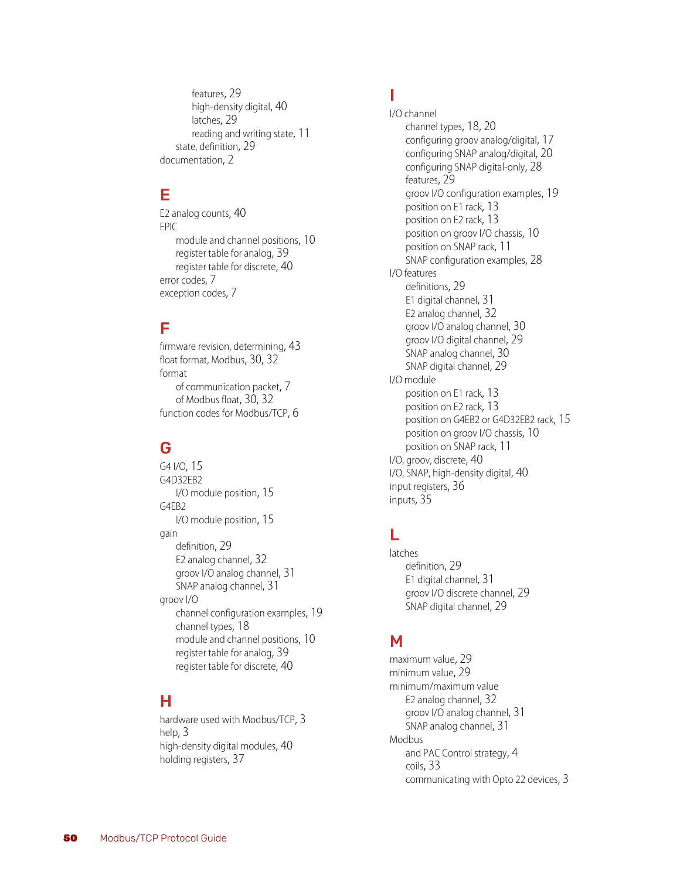features[, 29](#page-32-10) high-density digita[l, 40](#page-43-7) latche[s, 29](#page-32-11) reading and writing stat[e, 11](#page-14-2) state, definition[, 29](#page-32-12) documentation[, 2](#page-5-3)

# E

E2 analog count[s, 40](#page-43-5) EPIC module and channel positions[, 10](#page-13-1) register table for analog[, 39](#page-42-3) registe[r table for discrete](#page-10-3)[, 40](#page-43-6) error codes, 7 exception codes[, 7](#page-10-3)

# F

firmware revision, determining[, 43](#page-46-5) float format, Modbu[s, 30,](#page-33-7) [32](#page-35-9) format of communication packet[, 7](#page-10-2) of Modbus float[, 30,](#page-33-7) [32](#page-35-9) function codes for Modbus/TC[P, 6](#page-9-3)

# G

G4 I/[O, 15](#page-18-4) G4D32EB2 I/O module position[, 15](#page-18-4) G4EB2 I/O module position[, 15](#page-18-4) gain definitio[n, 29](#page-32-3) E2 analog channe[l, 32](#page-35-6) groov I/O analog channel[, 31](#page-34-5) SNAP analog channe[l, 31](#page-34-5) groov I/O channel configuration example[s, 19](#page-22-1) channel type[s, 18](#page-21-1) module and channel positions[, 10](#page-13-1) register table for analog[, 39](#page-42-4) register table for discret[e, 40](#page-43-6)

# H

har[dware used with Modbus/TCP](#page-6-3)[, 3](#page-6-2) help, 3 high-density digital module[s, 40](#page-43-7) holding registers[, 37](#page-40-2)

# I

I/O channel channel type[s, 18,](#page-21-1) [20](#page-23-2) configuring groov analog/digital[, 17](#page-20-3) configuring SNAP analog/digita[l, 20](#page-23-3) configuring SNAP digital-only[, 28](#page-31-5) feature[s, 29](#page-32-13) groov I/O configuration examples[, 19](#page-22-1) position on E1 rac[k, 13](#page-16-1) position on E2 rac[k, 13](#page-16-1) position on groov I/O chassi[s, 10](#page-13-1) position on SNAP rac[k, 11](#page-14-3) SNAP configuration example[s, 28](#page-31-4) I/O features definitions[, 29](#page-32-14) E1 digital channel[, 31](#page-34-8) E2 analog channe[l, 32](#page-35-5) groov I/O analog channel[, 30](#page-33-5) groov I/O digital channel[, 29](#page-32-10) SNAP analog channe[l, 30](#page-33-5) SNAP digital channe[l, 29](#page-32-10) I/O module position on E1 rac[k, 13](#page-16-1) position on E2 rac[k, 13](#page-16-1) position on G4EB2 or G4D32EB2 rack[, 15](#page-18-4) position on groov I/O chassi[s, 10](#page-13-1) position on SNAP rac[k, 11](#page-14-3) I/O, groov, discrete[, 40](#page-43-6) I/O, SNAP, high-density digita[l, 40](#page-43-7) input register[s, 36](#page-39-2) inputs[, 35](#page-38-1)

# L

latches definitio[n, 29](#page-32-9) E1 digital channel[, 31](#page-34-9) groov I/O discrete channel[, 29](#page-32-11) SNAP digital channe[l, 29](#page-32-11)

# M

maximum value[, 29](#page-32-4) minimum valu[e, 29](#page-32-4) minimum/maximum value E2 analog channe[l, 32](#page-35-7) groov I/O analog channel[, 31](#page-34-6) SNAP analog channe[l, 31](#page-34-6) Modbus and PAC Control strategy[, 4](#page-7-2) coils[, 33](#page-36-6) communicating with Opto 22 device[s, 3](#page-6-2)